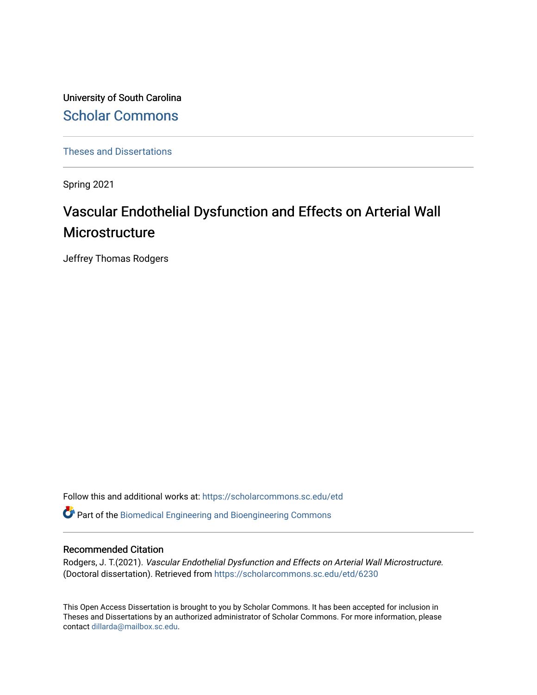University of South Carolina [Scholar Commons](https://scholarcommons.sc.edu/) 

[Theses and Dissertations](https://scholarcommons.sc.edu/etd)

Spring 2021

# Vascular Endothelial Dysfunction and Effects on Arterial Wall **Microstructure**

Jeffrey Thomas Rodgers

Follow this and additional works at: [https://scholarcommons.sc.edu/etd](https://scholarcommons.sc.edu/etd?utm_source=scholarcommons.sc.edu%2Fetd%2F6230&utm_medium=PDF&utm_campaign=PDFCoverPages)

Part of the [Biomedical Engineering and Bioengineering Commons](http://network.bepress.com/hgg/discipline/229?utm_source=scholarcommons.sc.edu%2Fetd%2F6230&utm_medium=PDF&utm_campaign=PDFCoverPages) 

#### Recommended Citation

Rodgers, J. T.(2021). Vascular Endothelial Dysfunction and Effects on Arterial Wall Microstructure. (Doctoral dissertation). Retrieved from [https://scholarcommons.sc.edu/etd/6230](https://scholarcommons.sc.edu/etd/6230?utm_source=scholarcommons.sc.edu%2Fetd%2F6230&utm_medium=PDF&utm_campaign=PDFCoverPages)

This Open Access Dissertation is brought to you by Scholar Commons. It has been accepted for inclusion in Theses and Dissertations by an authorized administrator of Scholar Commons. For more information, please contact [dillarda@mailbox.sc.edu.](mailto:dillarda@mailbox.sc.edu)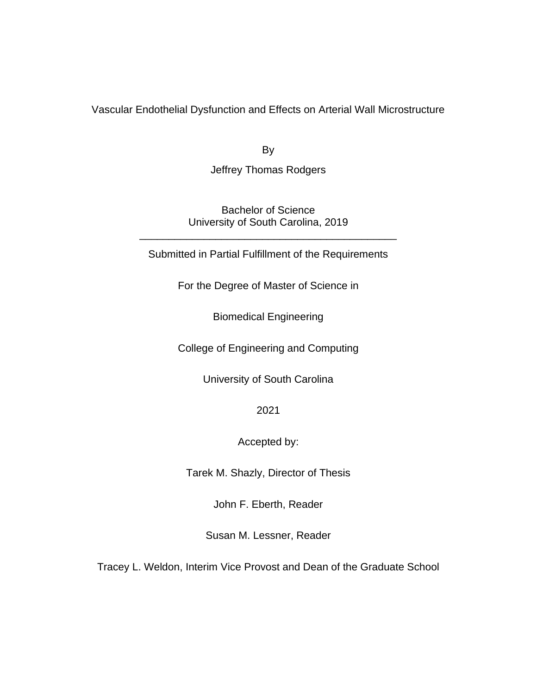Vascular Endothelial Dysfunction and Effects on Arterial Wall Microstructure

By

Jeffrey Thomas Rodgers

Bachelor of Science University of South Carolina, 2019

\_\_\_\_\_\_\_\_\_\_\_\_\_\_\_\_\_\_\_\_\_\_\_\_\_\_\_\_\_\_\_\_\_\_\_\_\_\_\_\_\_\_\_\_

Submitted in Partial Fulfillment of the Requirements

For the Degree of Master of Science in

Biomedical Engineering

College of Engineering and Computing

University of South Carolina

2021

Accepted by:

Tarek M. Shazly, Director of Thesis

John F. Eberth, Reader

Susan M. Lessner, Reader

Tracey L. Weldon, Interim Vice Provost and Dean of the Graduate School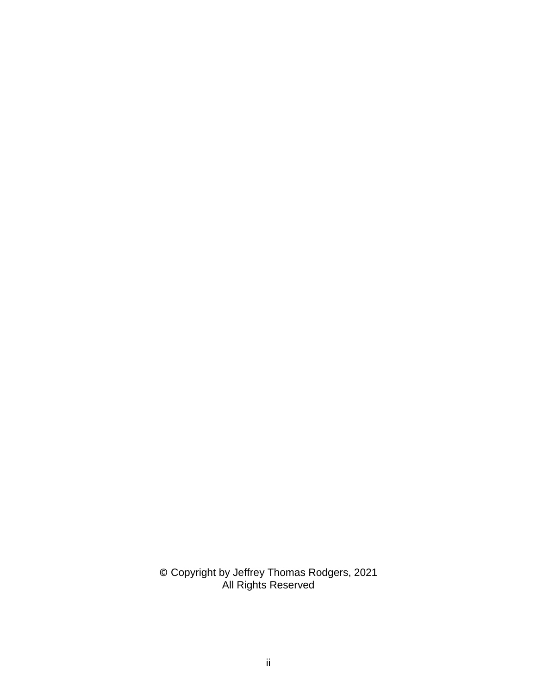© Copyright by Jeffrey Thomas Rodgers, 2021 All Rights Reserved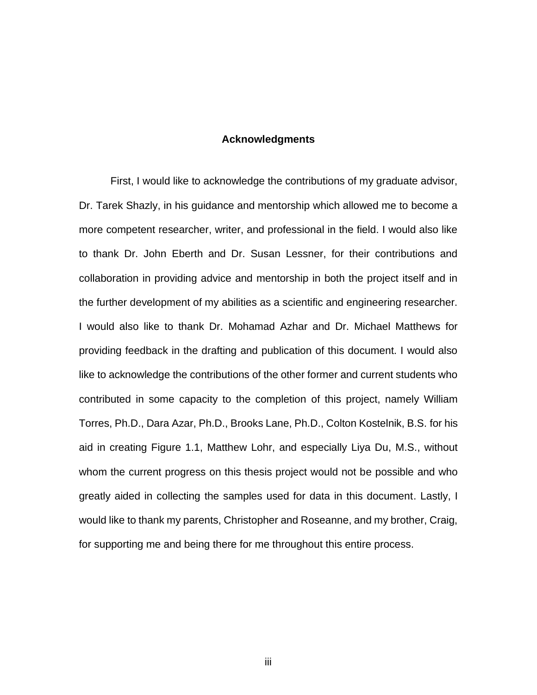#### **Acknowledgments**

First, I would like to acknowledge the contributions of my graduate advisor, Dr. Tarek Shazly, in his guidance and mentorship which allowed me to become a more competent researcher, writer, and professional in the field. I would also like to thank Dr. John Eberth and Dr. Susan Lessner, for their contributions and collaboration in providing advice and mentorship in both the project itself and in the further development of my abilities as a scientific and engineering researcher. I would also like to thank Dr. Mohamad Azhar and Dr. Michael Matthews for providing feedback in the drafting and publication of this document. I would also like to acknowledge the contributions of the other former and current students who contributed in some capacity to the completion of this project, namely William Torres, Ph.D., Dara Azar, Ph.D., Brooks Lane, Ph.D., Colton Kostelnik, B.S. for his aid in creating Figure 1.1, Matthew Lohr, and especially Liya Du, M.S., without whom the current progress on this thesis project would not be possible and who greatly aided in collecting the samples used for data in this document. Lastly, I would like to thank my parents, Christopher and Roseanne, and my brother, Craig, for supporting me and being there for me throughout this entire process.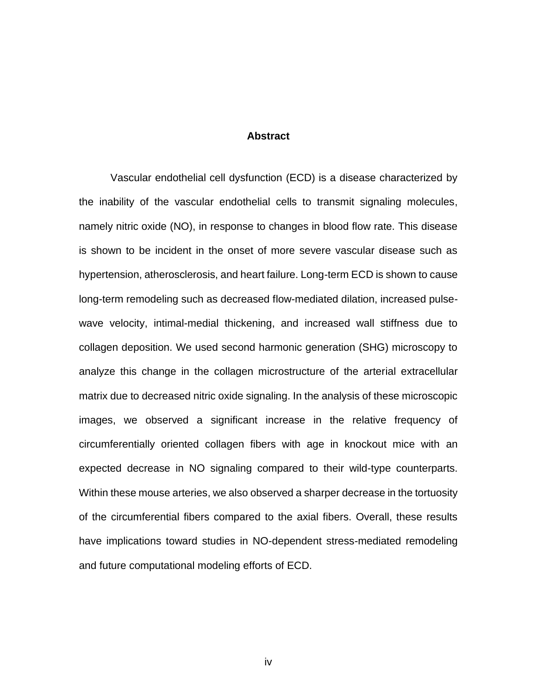#### **Abstract**

Vascular endothelial cell dysfunction (ECD) is a disease characterized by the inability of the vascular endothelial cells to transmit signaling molecules, namely nitric oxide (NO), in response to changes in blood flow rate. This disease is shown to be incident in the onset of more severe vascular disease such as hypertension, atherosclerosis, and heart failure. Long-term ECD is shown to cause long-term remodeling such as decreased flow-mediated dilation, increased pulsewave velocity, intimal-medial thickening, and increased wall stiffness due to collagen deposition. We used second harmonic generation (SHG) microscopy to analyze this change in the collagen microstructure of the arterial extracellular matrix due to decreased nitric oxide signaling. In the analysis of these microscopic images, we observed a significant increase in the relative frequency of circumferentially oriented collagen fibers with age in knockout mice with an expected decrease in NO signaling compared to their wild-type counterparts. Within these mouse arteries, we also observed a sharper decrease in the tortuosity of the circumferential fibers compared to the axial fibers. Overall, these results have implications toward studies in NO-dependent stress-mediated remodeling and future computational modeling efforts of ECD.

iv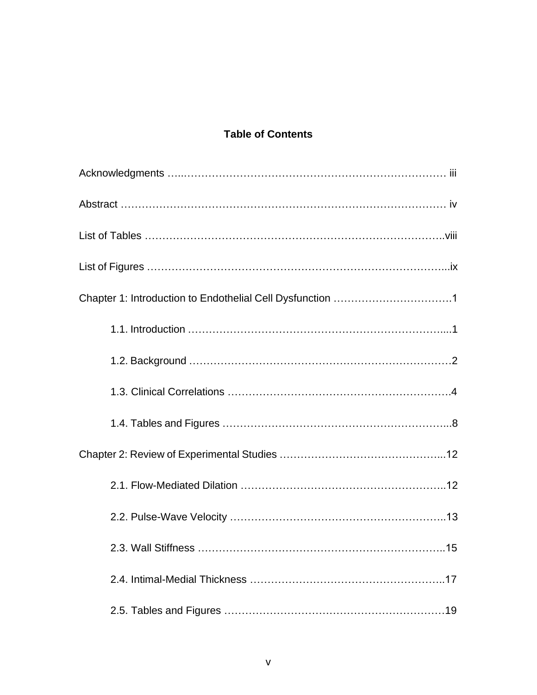## **Table of Contents**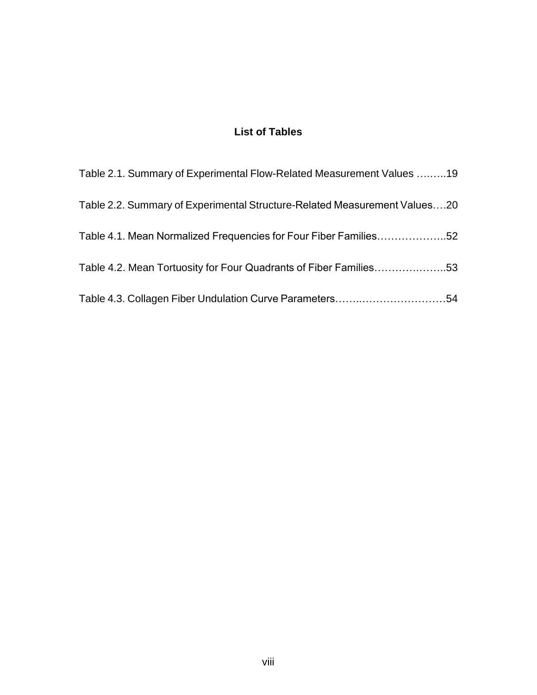## **List of Tables**

| Table 2.1. Summary of Experimental Flow-Related Measurement Values 19     |
|---------------------------------------------------------------------------|
| Table 2.2. Summary of Experimental Structure-Related Measurement Values20 |
| Table 4.1. Mean Normalized Frequencies for Four Fiber Families52          |
| Table 4.2. Mean Tortuosity for Four Quadrants of Fiber Families53         |
|                                                                           |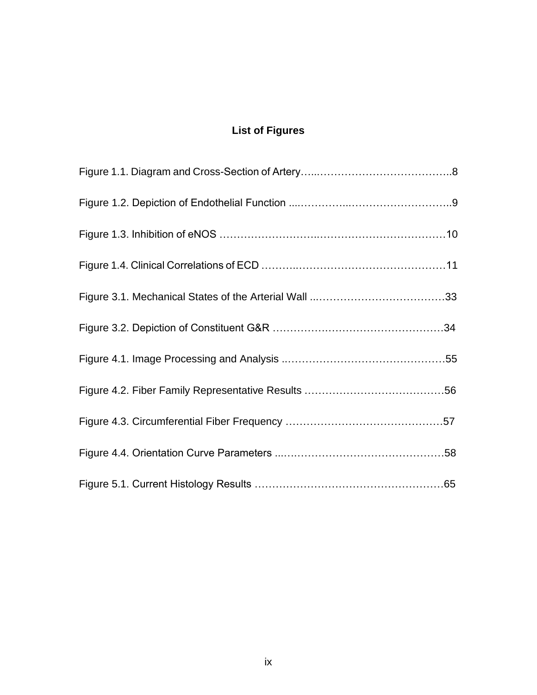## **List of Figures**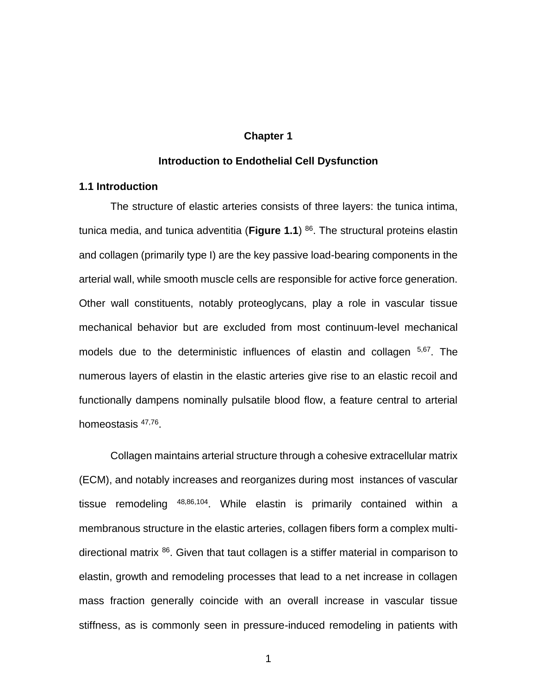#### **Chapter 1**

#### **Introduction to Endothelial Cell Dysfunction**

#### **1.1 Introduction**

The structure of elastic arteries consists of three layers: the tunica intima, tunica media, and tunica adventitia (**Figure 1.1**) <sup>86</sup>. The structural proteins elastin and collagen (primarily type I) are the key passive load-bearing components in the arterial wall, while smooth muscle cells are responsible for active force generation. Other wall constituents, notably proteoglycans, play a role in vascular tissue mechanical behavior but are excluded from most continuum-level mechanical models due to the deterministic influences of elastin and collagen <sup>5,67</sup>. The numerous layers of elastin in the elastic arteries give rise to an elastic recoil and functionally dampens nominally pulsatile blood flow, a feature central to arterial homeostasis <sup>47,76</sup>.

Collagen maintains arterial structure through a cohesive extracellular matrix (ECM), and notably increases and reorganizes during most instances of vascular tissue remodeling 48,86,104. While elastin is primarily contained within a membranous structure in the elastic arteries, collagen fibers form a complex multidirectional matrix <sup>86</sup>. Given that taut collagen is a stiffer material in comparison to elastin, growth and remodeling processes that lead to a net increase in collagen mass fraction generally coincide with an overall increase in vascular tissue stiffness, as is commonly seen in pressure-induced remodeling in patients with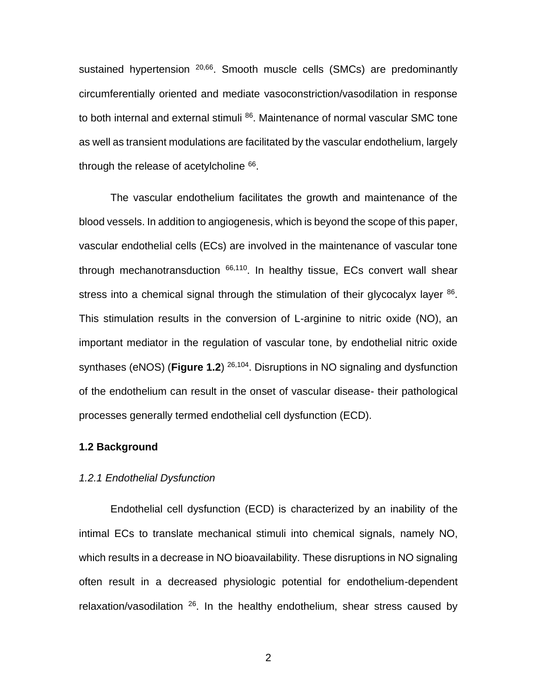sustained hypertension <sup>20,66</sup>. Smooth muscle cells (SMCs) are predominantly circumferentially oriented and mediate vasoconstriction/vasodilation in response to both internal and external stimuli 86. Maintenance of normal vascular SMC tone as well as transient modulations are facilitated by the vascular endothelium, largely through the release of acetylcholine  $66$ .

The vascular endothelium facilitates the growth and maintenance of the blood vessels. In addition to angiogenesis, which is beyond the scope of this paper, vascular endothelial cells (ECs) are involved in the maintenance of vascular tone through mechanotransduction 66,110. In healthy tissue, ECs convert wall shear stress into a chemical signal through the stimulation of their glycocalyx layer <sup>86</sup>. This stimulation results in the conversion of L-arginine to nitric oxide (NO), an important mediator in the regulation of vascular tone, by endothelial nitric oxide synthases (eNOS) (**Figure 1.2**) 26,104. Disruptions in NO signaling and dysfunction of the endothelium can result in the onset of vascular disease- their pathological processes generally termed endothelial cell dysfunction (ECD).

#### **1.2 Background**

#### *1.2.1 Endothelial Dysfunction*

Endothelial cell dysfunction (ECD) is characterized by an inability of the intimal ECs to translate mechanical stimuli into chemical signals, namely NO, which results in a decrease in NO bioavailability. These disruptions in NO signaling often result in a decreased physiologic potential for endothelium-dependent relaxation/vasodilation  $26$ . In the healthy endothelium, shear stress caused by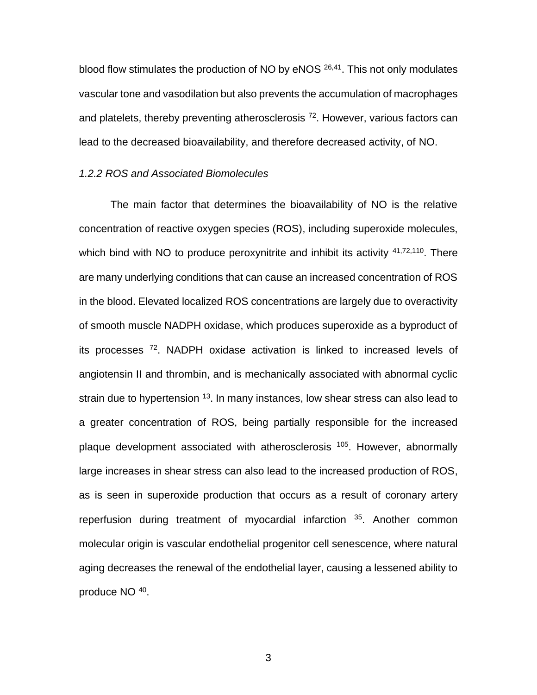blood flow stimulates the production of NO by eNOS <sup>26,41</sup>. This not only modulates vascular tone and vasodilation but also prevents the accumulation of macrophages and platelets, thereby preventing atherosclerosis <sup>72</sup>. However, various factors can lead to the decreased bioavailability, and therefore decreased activity, of NO.

#### *1.2.2 ROS and Associated Biomolecules*

The main factor that determines the bioavailability of NO is the relative concentration of reactive oxygen species (ROS), including superoxide molecules, which bind with NO to produce peroxynitrite and inhibit its activity  $41,72,110$ . There are many underlying conditions that can cause an increased concentration of ROS in the blood. Elevated localized ROS concentrations are largely due to overactivity of smooth muscle NADPH oxidase, which produces superoxide as a byproduct of its processes <sup>72</sup>. NADPH oxidase activation is linked to increased levels of angiotensin II and thrombin, and is mechanically associated with abnormal cyclic strain due to hypertension <sup>13</sup>. In many instances, low shear stress can also lead to a greater concentration of ROS, being partially responsible for the increased plaque development associated with atherosclerosis <sup>105</sup>. However, abnormally large increases in shear stress can also lead to the increased production of ROS, as is seen in superoxide production that occurs as a result of coronary artery reperfusion during treatment of myocardial infarction <sup>35</sup>. Another common molecular origin is vascular endothelial progenitor cell senescence, where natural aging decreases the renewal of the endothelial layer, causing a lessened ability to produce NO<sup>40</sup>.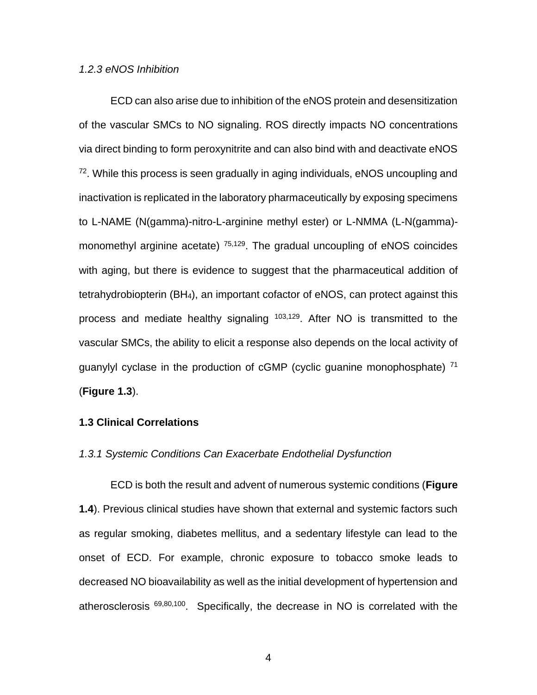#### *1.2.3 eNOS Inhibition*

ECD can also arise due to inhibition of the eNOS protein and desensitization of the vascular SMCs to NO signaling. ROS directly impacts NO concentrations via direct binding to form peroxynitrite and can also bind with and deactivate eNOS  $72$ . While this process is seen gradually in aging individuals, eNOS uncoupling and inactivation is replicated in the laboratory pharmaceutically by exposing specimens to L-NAME (N(gamma)-nitro-L-arginine methyl ester) or L-NMMA (L-N(gamma) monomethyl arginine acetate)  $75,129$ . The gradual uncoupling of eNOS coincides with aging, but there is evidence to suggest that the pharmaceutical addition of tetrahydrobiopterin (BH4), an important cofactor of eNOS, can protect against this process and mediate healthy signaling 103,129. After NO is transmitted to the vascular SMCs, the ability to elicit a response also depends on the local activity of guanylyl cyclase in the production of cGMP (cyclic guanine monophosphate) <sup>71</sup> (**Figure 1.3**).

#### **1.3 Clinical Correlations**

#### *1.3.1 Systemic Conditions Can Exacerbate Endothelial Dysfunction*

ECD is both the result and advent of numerous systemic conditions (**Figure 1.4**). Previous clinical studies have shown that external and systemic factors such as regular smoking, diabetes mellitus, and a sedentary lifestyle can lead to the onset of ECD. For example, chronic exposure to tobacco smoke leads to decreased NO bioavailability as well as the initial development of hypertension and atherosclerosis 69,80,100. Specifically, the decrease in NO is correlated with the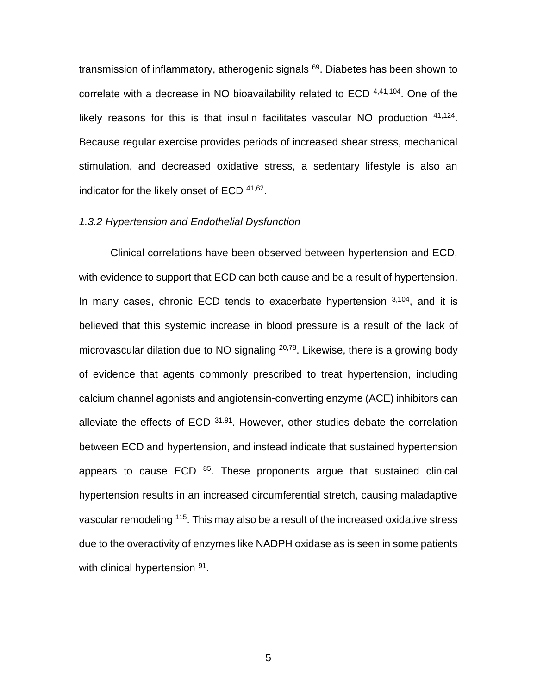transmission of inflammatory, atherogenic signals <sup>69</sup>. Diabetes has been shown to correlate with a decrease in NO bioavailability related to ECD<sup>4,41,104</sup>. One of the likely reasons for this is that insulin facilitates vascular NO production <sup>41,124</sup>. Because regular exercise provides periods of increased shear stress, mechanical stimulation, and decreased oxidative stress, a sedentary lifestyle is also an indicator for the likely onset of ECD 41,62.

#### *1.3.2 Hypertension and Endothelial Dysfunction*

Clinical correlations have been observed between hypertension and ECD, with evidence to support that ECD can both cause and be a result of hypertension. In many cases, chronic ECD tends to exacerbate hypertension  $3,104$ , and it is believed that this systemic increase in blood pressure is a result of the lack of microvascular dilation due to NO signaling  $20,78$ . Likewise, there is a growing body of evidence that agents commonly prescribed to treat hypertension, including calcium channel agonists and angiotensin-converting enzyme (ACE) inhibitors can alleviate the effects of ECD  $31,91$ . However, other studies debate the correlation between ECD and hypertension, and instead indicate that sustained hypertension appears to cause  $ECD$   $85$ . These proponents argue that sustained clinical hypertension results in an increased circumferential stretch, causing maladaptive vascular remodeling <sup>115</sup>. This may also be a result of the increased oxidative stress due to the overactivity of enzymes like NADPH oxidase as is seen in some patients with clinical hypertension <sup>91</sup>.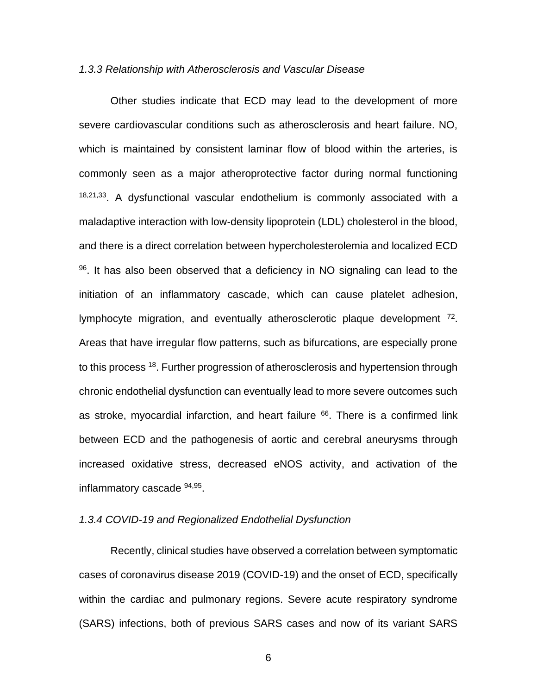#### *1.3.3 Relationship with Atherosclerosis and Vascular Disease*

Other studies indicate that ECD may lead to the development of more severe cardiovascular conditions such as atherosclerosis and heart failure. NO, which is maintained by consistent laminar flow of blood within the arteries, is commonly seen as a major atheroprotective factor during normal functioning 18,21,33. A dysfunctional vascular endothelium is commonly associated with a maladaptive interaction with low-density lipoprotein (LDL) cholesterol in the blood, and there is a direct correlation between hypercholesterolemia and localized ECD 96. It has also been observed that a deficiency in NO signaling can lead to the initiation of an inflammatory cascade, which can cause platelet adhesion, lymphocyte migration, and eventually atherosclerotic plaque development <sup>72</sup>. Areas that have irregular flow patterns, such as bifurcations, are especially prone to this process <sup>18</sup>. Further progression of atherosclerosis and hypertension through chronic endothelial dysfunction can eventually lead to more severe outcomes such as stroke, myocardial infarction, and heart failure  $66$ . There is a confirmed link between ECD and the pathogenesis of aortic and cerebral aneurysms through increased oxidative stress, decreased eNOS activity, and activation of the inflammatory cascade <sup>94,95</sup>.

#### *1.3.4 COVID-19 and Regionalized Endothelial Dysfunction*

Recently, clinical studies have observed a correlation between symptomatic cases of coronavirus disease 2019 (COVID-19) and the onset of ECD, specifically within the cardiac and pulmonary regions. Severe acute respiratory syndrome (SARS) infections, both of previous SARS cases and now of its variant SARS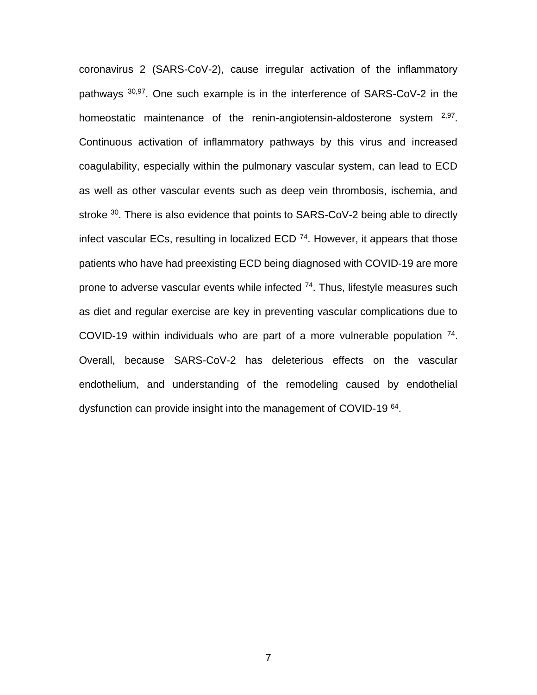coronavirus 2 (SARS-CoV-2), cause irregular activation of the inflammatory pathways <sup>30,97</sup>. One such example is in the interference of SARS-CoV-2 in the homeostatic maintenance of the renin-angiotensin-aldosterone system <sup>2,97</sup>. Continuous activation of inflammatory pathways by this virus and increased coagulability, especially within the pulmonary vascular system, can lead to ECD as well as other vascular events such as deep vein thrombosis, ischemia, and stroke <sup>30</sup>. There is also evidence that points to SARS-CoV-2 being able to directly infect vascular ECs, resulting in localized ECD  $74$ . However, it appears that those patients who have had preexisting ECD being diagnosed with COVID-19 are more prone to adverse vascular events while infected  $74$ . Thus, lifestyle measures such as diet and regular exercise are key in preventing vascular complications due to COVID-19 within individuals who are part of a more vulnerable population  $74$ . Overall, because SARS-CoV-2 has deleterious effects on the vascular endothelium, and understanding of the remodeling caused by endothelial dysfunction can provide insight into the management of COVID-19 <sup>64</sup>.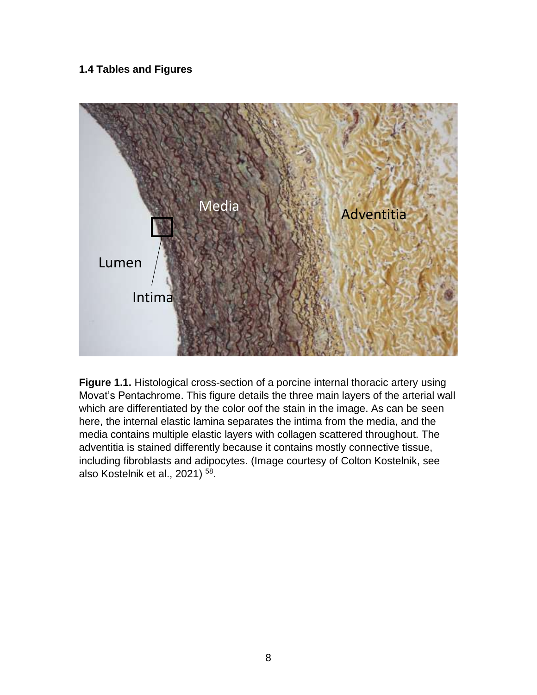### **1.4 Tables and Figures**



**Figure 1.1.** Histological cross-section of a porcine internal thoracic artery using Movat's Pentachrome. This figure details the three main layers of the arterial wall which are differentiated by the color oof the stain in the image. As can be seen here, the internal elastic lamina separates the intima from the media, and the media contains multiple elastic layers with collagen scattered throughout. The adventitia is stained differently because it contains mostly connective tissue, including fibroblasts and adipocytes. (Image courtesy of Colton Kostelnik, see also Kostelnik et al., 2021) <sup>58</sup>.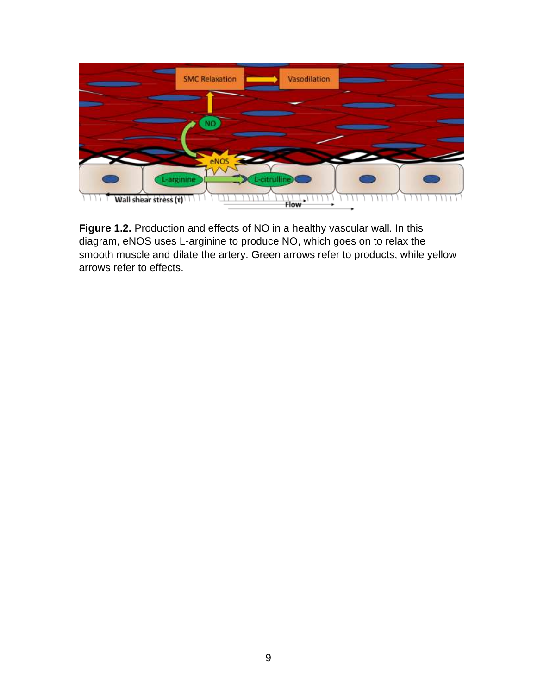|                                          | <b>SMC Relaxation</b> | Vasodilation<br><b>State State State</b> |    |    |
|------------------------------------------|-----------------------|------------------------------------------|----|----|
|                                          |                       |                                          |    |    |
|                                          | NO                    |                                          |    |    |
| L-arginine<br>∍<br>Wall shear stress (t) | eNOS                  | L-citrulline<br>Flow                     | 31 | 82 |

**Figure 1.2.** Production and effects of NO in a healthy vascular wall. In this diagram, eNOS uses L-arginine to produce NO, which goes on to relax the smooth muscle and dilate the artery. Green arrows refer to products, while yellow arrows refer to effects.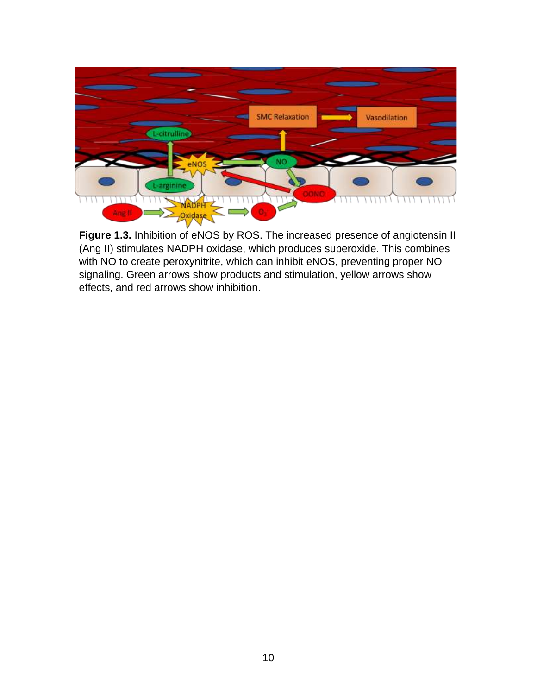

**Figure 1.3.** Inhibition of eNOS by ROS. The increased presence of angiotensin II (Ang II) stimulates NADPH oxidase, which produces superoxide. This combines with NO to create peroxynitrite, which can inhibit eNOS, preventing proper NO signaling. Green arrows show products and stimulation, yellow arrows show effects, and red arrows show inhibition.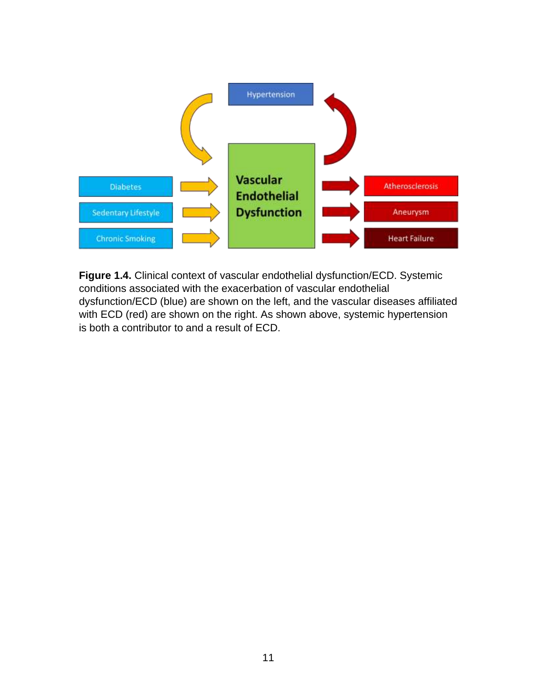

**Figure 1.4.** Clinical context of vascular endothelial dysfunction/ECD. Systemic conditions associated with the exacerbation of vascular endothelial dysfunction/ECD (blue) are shown on the left, and the vascular diseases affiliated with ECD (red) are shown on the right. As shown above, systemic hypertension is both a contributor to and a result of ECD.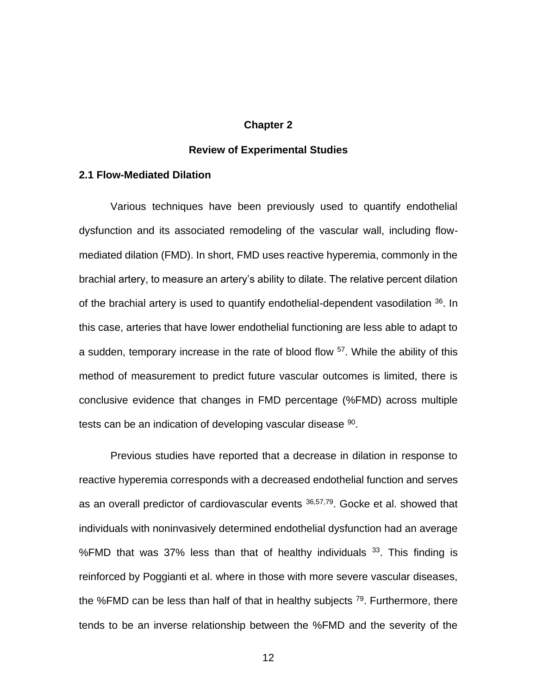#### **Chapter 2**

#### **Review of Experimental Studies**

#### **2.1 Flow-Mediated Dilation**

Various techniques have been previously used to quantify endothelial dysfunction and its associated remodeling of the vascular wall, including flowmediated dilation (FMD). In short, FMD uses reactive hyperemia, commonly in the brachial artery, to measure an artery's ability to dilate. The relative percent dilation of the brachial artery is used to quantify endothelial-dependent vasodilation  $36$ . In this case, arteries that have lower endothelial functioning are less able to adapt to a sudden, temporary increase in the rate of blood flow <sup>57</sup>. While the ability of this method of measurement to predict future vascular outcomes is limited, there is conclusive evidence that changes in FMD percentage (%FMD) across multiple tests can be an indication of developing vascular disease <sup>90</sup>.

Previous studies have reported that a decrease in dilation in response to reactive hyperemia corresponds with a decreased endothelial function and serves as an overall predictor of cardiovascular events 36,57,79. Gocke et al. showed that individuals with noninvasively determined endothelial dysfunction had an average %FMD that was 37% less than that of healthy individuals <sup>33</sup>. This finding is reinforced by Poggianti et al. where in those with more severe vascular diseases, the %FMD can be less than half of that in healthy subjects  $79$ . Furthermore, there tends to be an inverse relationship between the %FMD and the severity of the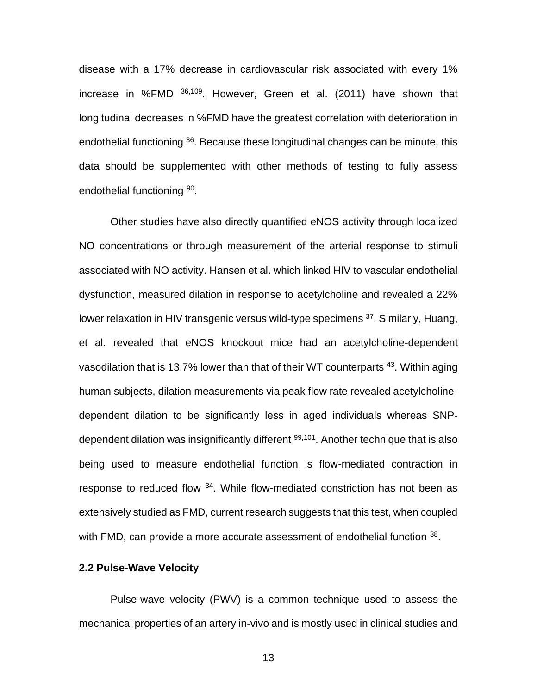disease with a 17% decrease in cardiovascular risk associated with every 1% increase in %FMD 36,109. However, Green et al. (2011) have shown that longitudinal decreases in %FMD have the greatest correlation with deterioration in endothelial functioning <sup>36</sup>. Because these longitudinal changes can be minute, this data should be supplemented with other methods of testing to fully assess endothelial functioning <sup>90</sup>.

Other studies have also directly quantified eNOS activity through localized NO concentrations or through measurement of the arterial response to stimuli associated with NO activity. Hansen et al. which linked HIV to vascular endothelial dysfunction, measured dilation in response to acetylcholine and revealed a 22% lower relaxation in HIV transgenic versus wild-type specimens <sup>37</sup>. Similarly, Huang, et al. revealed that eNOS knockout mice had an acetylcholine-dependent vasodilation that is 13.7% lower than that of their WT counterparts <sup>43</sup>. Within aging human subjects, dilation measurements via peak flow rate revealed acetylcholinedependent dilation to be significantly less in aged individuals whereas SNPdependent dilation was insignificantly different <sup>99,101</sup>. Another technique that is also being used to measure endothelial function is flow-mediated contraction in response to reduced flow <sup>34</sup>. While flow-mediated constriction has not been as extensively studied as FMD, current research suggests that this test, when coupled with FMD, can provide a more accurate assessment of endothelial function 38.

#### **2.2 Pulse-Wave Velocity**

Pulse-wave velocity (PWV) is a common technique used to assess the mechanical properties of an artery in-vivo and is mostly used in clinical studies and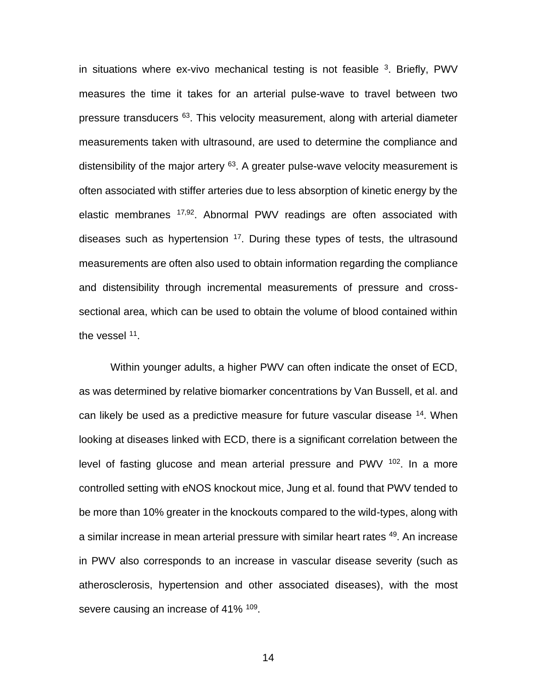in situations where ex-vivo mechanical testing is not feasible  $3$ . Briefly, PWV measures the time it takes for an arterial pulse-wave to travel between two pressure transducers <sup>63</sup>. This velocity measurement, along with arterial diameter measurements taken with ultrasound, are used to determine the compliance and distensibility of the major artery  $63$ . A greater pulse-wave velocity measurement is often associated with stiffer arteries due to less absorption of kinetic energy by the elastic membranes 17,92. Abnormal PWV readings are often associated with diseases such as hypertension  $17$ . During these types of tests, the ultrasound measurements are often also used to obtain information regarding the compliance and distensibility through incremental measurements of pressure and crosssectional area, which can be used to obtain the volume of blood contained within the vessel <sup>11</sup>.

Within younger adults, a higher PWV can often indicate the onset of ECD, as was determined by relative biomarker concentrations by Van Bussell, et al. and can likely be used as a predictive measure for future vascular disease <sup>14</sup>. When looking at diseases linked with ECD, there is a significant correlation between the level of fasting glucose and mean arterial pressure and PWV <sup>102</sup>. In a more controlled setting with eNOS knockout mice, Jung et al. found that PWV tended to be more than 10% greater in the knockouts compared to the wild-types, along with a similar increase in mean arterial pressure with similar heart rates <sup>49</sup>. An increase in PWV also corresponds to an increase in vascular disease severity (such as atherosclerosis, hypertension and other associated diseases), with the most severe causing an increase of 41% <sup>109</sup>.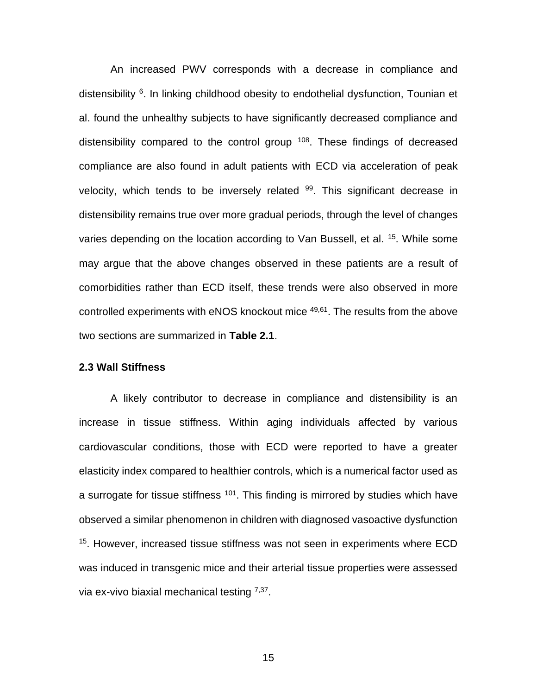An increased PWV corresponds with a decrease in compliance and distensibility <sup>6</sup>. In linking childhood obesity to endothelial dysfunction, Tounian et al. found the unhealthy subjects to have significantly decreased compliance and distensibility compared to the control group  $108$ . These findings of decreased compliance are also found in adult patients with ECD via acceleration of peak velocity, which tends to be inversely related <sup>99</sup>. This significant decrease in distensibility remains true over more gradual periods, through the level of changes varies depending on the location according to Van Bussell, et al. <sup>15</sup>. While some may argue that the above changes observed in these patients are a result of comorbidities rather than ECD itself, these trends were also observed in more controlled experiments with eNOS knockout mice 49,61. The results from the above two sections are summarized in **Table 2.1**.

#### **2.3 Wall Stiffness**

A likely contributor to decrease in compliance and distensibility is an increase in tissue stiffness. Within aging individuals affected by various cardiovascular conditions, those with ECD were reported to have a greater elasticity index compared to healthier controls, which is a numerical factor used as a surrogate for tissue stiffness  $101$ . This finding is mirrored by studies which have observed a similar phenomenon in children with diagnosed vasoactive dysfunction <sup>15</sup>. However, increased tissue stiffness was not seen in experiments where ECD was induced in transgenic mice and their arterial tissue properties were assessed via ex-vivo biaxial mechanical testing 7,37.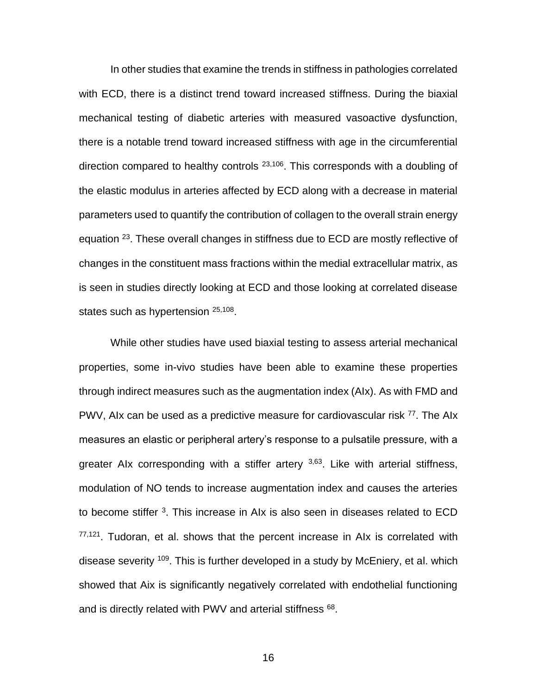In other studies that examine the trends in stiffness in pathologies correlated with ECD, there is a distinct trend toward increased stiffness. During the biaxial mechanical testing of diabetic arteries with measured vasoactive dysfunction, there is a notable trend toward increased stiffness with age in the circumferential direction compared to healthy controls  $23,106$ . This corresponds with a doubling of the elastic modulus in arteries affected by ECD along with a decrease in material parameters used to quantify the contribution of collagen to the overall strain energy equation <sup>23</sup>. These overall changes in stiffness due to ECD are mostly reflective of changes in the constituent mass fractions within the medial extracellular matrix, as is seen in studies directly looking at ECD and those looking at correlated disease states such as hypertension <sup>25,108</sup>.

While other studies have used biaxial testing to assess arterial mechanical properties, some in-vivo studies have been able to examine these properties through indirect measures such as the augmentation index (AIx). As with FMD and PWV, AIx can be used as a predictive measure for cardiovascular risk <sup>77</sup>. The AIx measures an elastic or peripheral artery's response to a pulsatile pressure, with a greater AIx corresponding with a stiffer artery  $3,63$ . Like with arterial stiffness, modulation of NO tends to increase augmentation index and causes the arteries to become stiffer <sup>3</sup>. This increase in Alx is also seen in diseases related to ECD  $77,121$ . Tudoran, et al. shows that the percent increase in AIx is correlated with disease severity <sup>109</sup>. This is further developed in a study by McEniery, et al. which showed that Aix is significantly negatively correlated with endothelial functioning and is directly related with PWV and arterial stiffness  $68$ .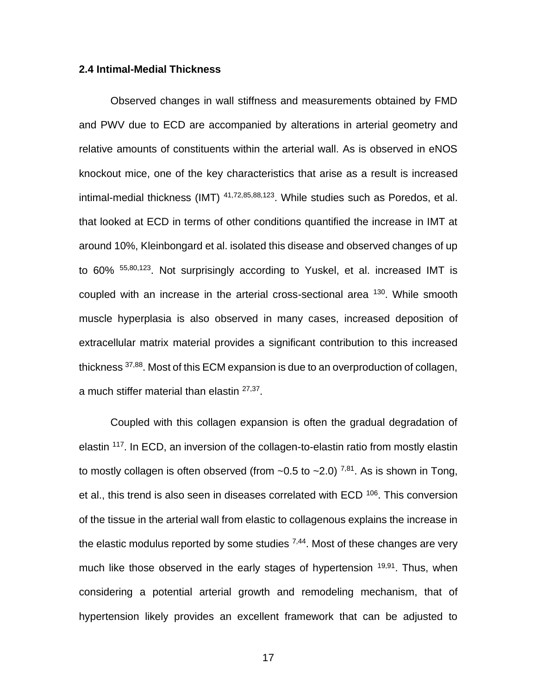#### **2.4 Intimal-Medial Thickness**

Observed changes in wall stiffness and measurements obtained by FMD and PWV due to ECD are accompanied by alterations in arterial geometry and relative amounts of constituents within the arterial wall. As is observed in eNOS knockout mice, one of the key characteristics that arise as a result is increased intimal-medial thickness (IMT) 41,72,85,88,123. While studies such as Poredos, et al. that looked at ECD in terms of other conditions quantified the increase in IMT at around 10%, Kleinbongard et al. isolated this disease and observed changes of up to 60% 55,80,123. Not surprisingly according to Yuskel, et al. increased IMT is coupled with an increase in the arterial cross-sectional area <sup>130</sup>. While smooth muscle hyperplasia is also observed in many cases, increased deposition of extracellular matrix material provides a significant contribution to this increased thickness <sup>37,88</sup>. Most of this ECM expansion is due to an overproduction of collagen, a much stiffer material than elastin <sup>27,37</sup>.

Coupled with this collagen expansion is often the gradual degradation of elastin <sup>117</sup>. In ECD, an inversion of the collagen-to-elastin ratio from mostly elastin to mostly collagen is often observed (from  $\sim$ 0.5 to  $\sim$ 2.0) <sup>7,81</sup>. As is shown in Tong, et al., this trend is also seen in diseases correlated with ECD <sup>106</sup>. This conversion of the tissue in the arterial wall from elastic to collagenous explains the increase in the elastic modulus reported by some studies  $^{7,44}$ . Most of these changes are very much like those observed in the early stages of hypertension  $19,91$ . Thus, when considering a potential arterial growth and remodeling mechanism, that of hypertension likely provides an excellent framework that can be adjusted to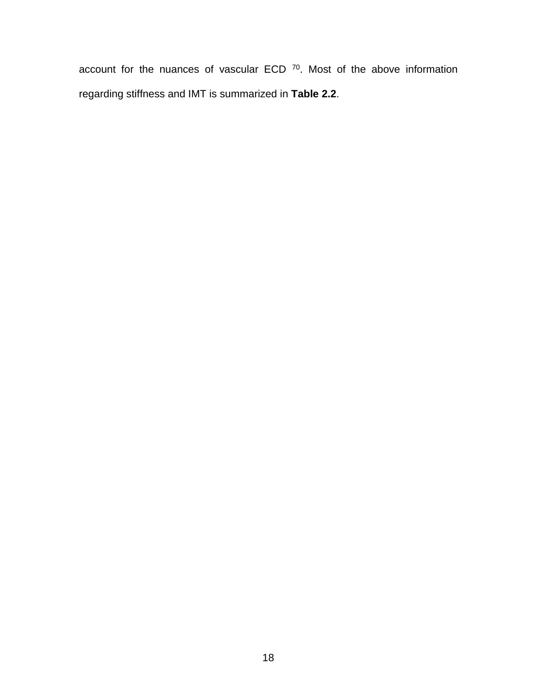account for the nuances of vascular  $ECD$ <sup>70</sup>. Most of the above information regarding stiffness and IMT is summarized in **Table 2.2**.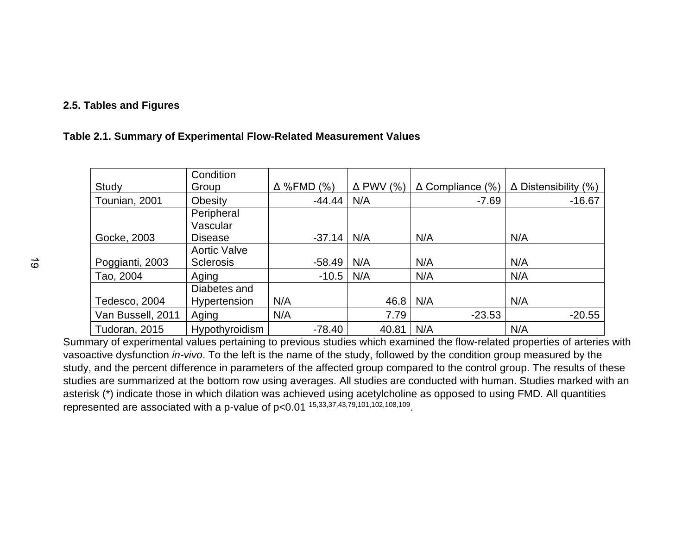#### **2.5. Tables and Figures**

#### **Table 2.1. Summary of Experimental Flow-Related Measurement Values**

|                   | Condition           |                   |                  |                         |                             |
|-------------------|---------------------|-------------------|------------------|-------------------------|-----------------------------|
| Study             | Group               | $\Delta$ %FMD (%) | $\Delta$ PWV (%) | $\Delta$ Compliance (%) | $\Delta$ Distensibility (%) |
| Tounian, 2001     | Obesity             | $-44.44$          | N/A              | $-7.69$                 | $-16.67$                    |
|                   | Peripheral          |                   |                  |                         |                             |
|                   | Vascular            |                   |                  |                         |                             |
| Gocke, 2003       | <b>Disease</b>      | $-37.14$          | N/A              | N/A                     | N/A                         |
|                   | <b>Aortic Valve</b> |                   |                  |                         |                             |
| Poggianti, 2003   | <b>Sclerosis</b>    | $-58.49$          | N/A              | N/A                     | N/A                         |
| Tao, 2004         | Aging               | $-10.5$           | N/A              | N/A                     | N/A                         |
|                   | Diabetes and        |                   |                  |                         |                             |
| Tedesco, 2004     | <b>Hypertension</b> | N/A               | 46.8             | N/A                     | N/A                         |
| Van Bussell, 2011 | Aging               | N/A               | 7.79             | $-23.53$                | $-20.55$                    |
| Tudoran, 2015     | Hypothyroidism      | $-78.40$          | 40.81            | N/A                     | N/A                         |

Summary of experimental values pertaining to previous studies which examined the flow-related properties of arteries with vasoactive dysfunction *in-vivo*. To the left is the name of the study, followed by the condition group measured by the study, and the percent difference in parameters of the affected group compared to the control group. The results of these studies are summarized at the bottom row using averages. All studies are conducted with human. Studies marked with an asterisk (\*) indicate those in which dilation was achieved using acetylcholine as opposed to using FMD. All quantities represented are associated with a p-value of p<0.01 15,33,37,43,79,101,102,108,109 .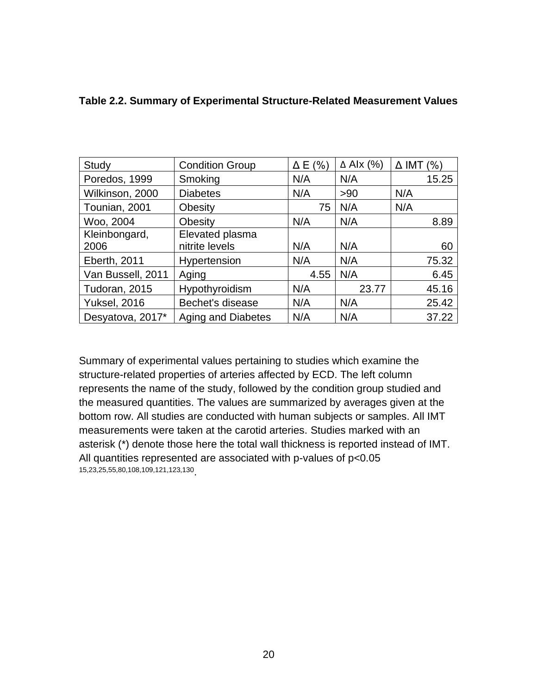| Study               | <b>Condition Group</b>    | $\Delta$ E (%) | $\triangle$ Alx (%) | $\Delta$ IMT (%) |
|---------------------|---------------------------|----------------|---------------------|------------------|
| Poredos, 1999       | Smoking                   | N/A            | N/A                 | 15.25            |
| Wilkinson, 2000     | <b>Diabetes</b>           | N/A            | >90                 | N/A              |
| Tounian, 2001       | Obesity                   | 75             | N/A                 | N/A              |
| Woo, 2004           | Obesity                   | N/A            | N/A                 | 8.89             |
| Kleinbongard,       | Elevated plasma           |                |                     |                  |
| 2006                | nitrite levels            | N/A            | N/A                 | 60               |
| Eberth, 2011        | Hypertension              | N/A            | N/A                 | 75.32            |
| Van Bussell, 2011   | Aging                     |                | N/A                 | 6.45             |
| Tudoran, 2015       | Hypothyroidism            |                | 23.77               | 45.16            |
| <b>Yuksel, 2016</b> | Bechet's disease          | N/A            | N/A                 | 25.42            |
| Desyatova, 2017*    | <b>Aging and Diabetes</b> |                | N/A                 | 37.22            |

#### **Table 2.2. Summary of Experimental Structure-Related Measurement Values**

Summary of experimental values pertaining to studies which examine the structure-related properties of arteries affected by ECD. The left column represents the name of the study, followed by the condition group studied and the measured quantities. The values are summarized by averages given at the bottom row. All studies are conducted with human subjects or samples. All IMT measurements were taken at the carotid arteries. Studies marked with an asterisk (\*) denote those here the total wall thickness is reported instead of IMT. All quantities represented are associated with p-values of p<0.05 15,23,25,55,80,108,109,121,123,130 .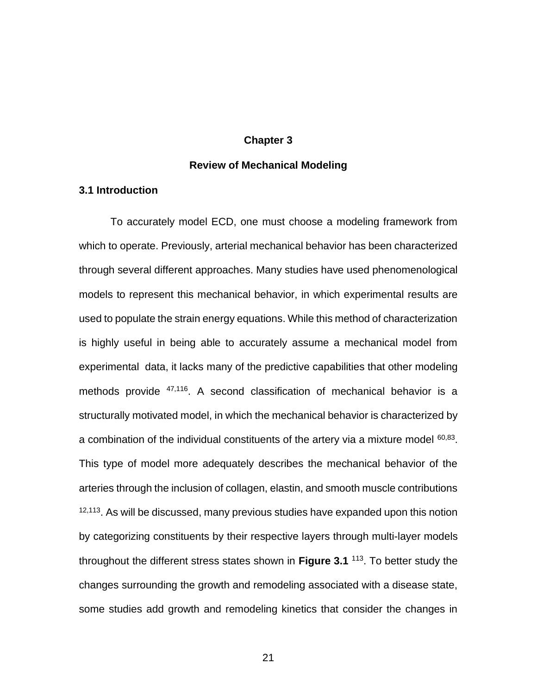#### **Chapter 3**

#### **Review of Mechanical Modeling**

#### **3.1 Introduction**

To accurately model ECD, one must choose a modeling framework from which to operate. Previously, arterial mechanical behavior has been characterized through several different approaches. Many studies have used phenomenological models to represent this mechanical behavior, in which experimental results are used to populate the strain energy equations. While this method of characterization is highly useful in being able to accurately assume a mechanical model from experimental data, it lacks many of the predictive capabilities that other modeling methods provide <sup>47,116</sup>. A second classification of mechanical behavior is a structurally motivated model, in which the mechanical behavior is characterized by a combination of the individual constituents of the artery via a mixture model  $60,83$ . This type of model more adequately describes the mechanical behavior of the arteries through the inclusion of collagen, elastin, and smooth muscle contributions  $12,113$ . As will be discussed, many previous studies have expanded upon this notion by categorizing constituents by their respective layers through multi-layer models throughout the different stress states shown in **Figure 3.1** <sup>113</sup> . To better study the changes surrounding the growth and remodeling associated with a disease state, some studies add growth and remodeling kinetics that consider the changes in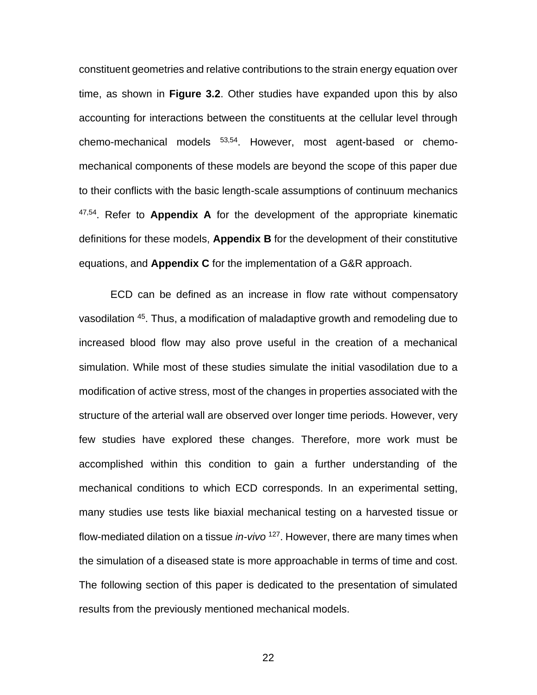constituent geometries and relative contributions to the strain energy equation over time, as shown in **Figure 3.2**. Other studies have expanded upon this by also accounting for interactions between the constituents at the cellular level through chemo-mechanical models 53,54. However, most agent-based or chemomechanical components of these models are beyond the scope of this paper due to their conflicts with the basic length-scale assumptions of continuum mechanics 47,54 . Refer to **Appendix A** for the development of the appropriate kinematic definitions for these models, **Appendix B** for the development of their constitutive equations, and **Appendix C** for the implementation of a G&R approach.

ECD can be defined as an increase in flow rate without compensatory vasodilation <sup>45</sup>. Thus, a modification of maladaptive growth and remodeling due to increased blood flow may also prove useful in the creation of a mechanical simulation. While most of these studies simulate the initial vasodilation due to a modification of active stress, most of the changes in properties associated with the structure of the arterial wall are observed over longer time periods. However, very few studies have explored these changes. Therefore, more work must be accomplished within this condition to gain a further understanding of the mechanical conditions to which ECD corresponds. In an experimental setting, many studies use tests like biaxial mechanical testing on a harvested tissue or flow-mediated dilation on a tissue *in-vivo* <sup>127</sup>. However, there are many times when the simulation of a diseased state is more approachable in terms of time and cost. The following section of this paper is dedicated to the presentation of simulated results from the previously mentioned mechanical models.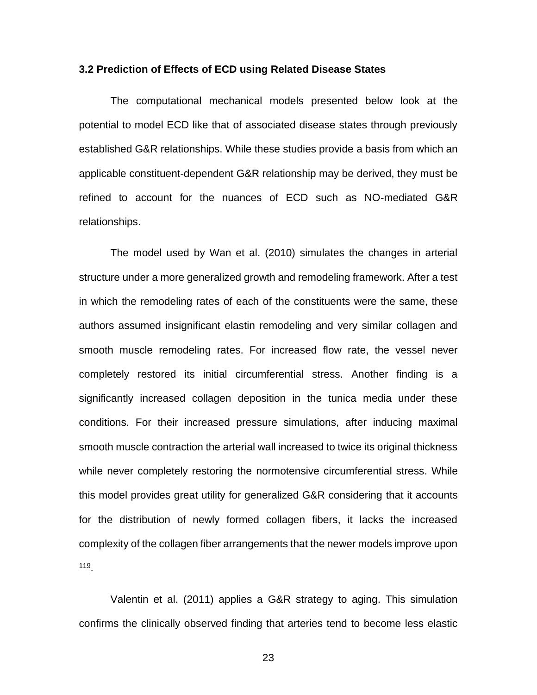#### **3.2 Prediction of Effects of ECD using Related Disease States**

The computational mechanical models presented below look at the potential to model ECD like that of associated disease states through previously established G&R relationships. While these studies provide a basis from which an applicable constituent-dependent G&R relationship may be derived, they must be refined to account for the nuances of ECD such as NO-mediated G&R relationships.

The model used by Wan et al. (2010) simulates the changes in arterial structure under a more generalized growth and remodeling framework. After a test in which the remodeling rates of each of the constituents were the same, these authors assumed insignificant elastin remodeling and very similar collagen and smooth muscle remodeling rates. For increased flow rate, the vessel never completely restored its initial circumferential stress. Another finding is a significantly increased collagen deposition in the tunica media under these conditions. For their increased pressure simulations, after inducing maximal smooth muscle contraction the arterial wall increased to twice its original thickness while never completely restoring the normotensive circumferential stress. While this model provides great utility for generalized G&R considering that it accounts for the distribution of newly formed collagen fibers, it lacks the increased complexity of the collagen fiber arrangements that the newer models improve upon 119 .

Valentin et al. (2011) applies a G&R strategy to aging. This simulation confirms the clinically observed finding that arteries tend to become less elastic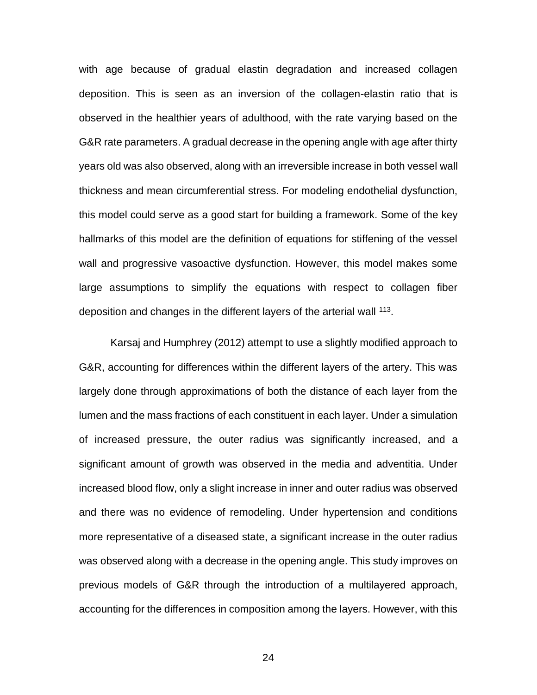with age because of gradual elastin degradation and increased collagen deposition. This is seen as an inversion of the collagen-elastin ratio that is observed in the healthier years of adulthood, with the rate varying based on the G&R rate parameters. A gradual decrease in the opening angle with age after thirty years old was also observed, along with an irreversible increase in both vessel wall thickness and mean circumferential stress. For modeling endothelial dysfunction, this model could serve as a good start for building a framework. Some of the key hallmarks of this model are the definition of equations for stiffening of the vessel wall and progressive vasoactive dysfunction. However, this model makes some large assumptions to simplify the equations with respect to collagen fiber deposition and changes in the different layers of the arterial wall <sup>113</sup>.

Karsaj and Humphrey (2012) attempt to use a slightly modified approach to G&R, accounting for differences within the different layers of the artery. This was largely done through approximations of both the distance of each layer from the lumen and the mass fractions of each constituent in each layer. Under a simulation of increased pressure, the outer radius was significantly increased, and a significant amount of growth was observed in the media and adventitia. Under increased blood flow, only a slight increase in inner and outer radius was observed and there was no evidence of remodeling. Under hypertension and conditions more representative of a diseased state, a significant increase in the outer radius was observed along with a decrease in the opening angle. This study improves on previous models of G&R through the introduction of a multilayered approach, accounting for the differences in composition among the layers. However, with this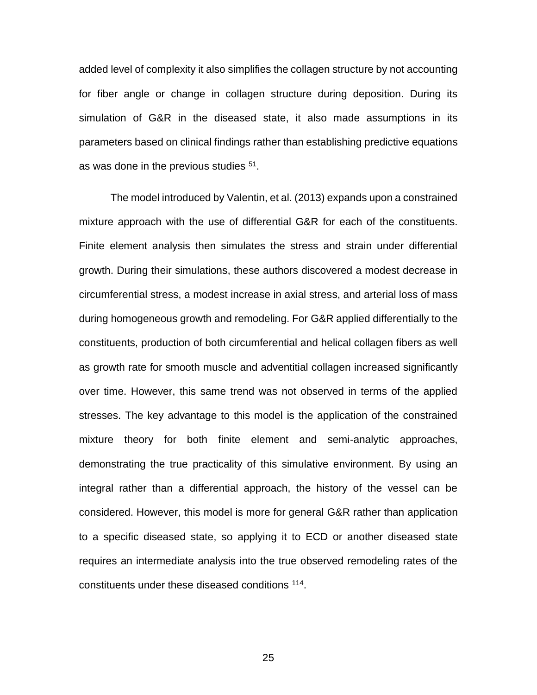added level of complexity it also simplifies the collagen structure by not accounting for fiber angle or change in collagen structure during deposition. During its simulation of G&R in the diseased state, it also made assumptions in its parameters based on clinical findings rather than establishing predictive equations as was done in the previous studies  $51$ .

The model introduced by Valentin, et al. (2013) expands upon a constrained mixture approach with the use of differential G&R for each of the constituents. Finite element analysis then simulates the stress and strain under differential growth. During their simulations, these authors discovered a modest decrease in circumferential stress, a modest increase in axial stress, and arterial loss of mass during homogeneous growth and remodeling. For G&R applied differentially to the constituents, production of both circumferential and helical collagen fibers as well as growth rate for smooth muscle and adventitial collagen increased significantly over time. However, this same trend was not observed in terms of the applied stresses. The key advantage to this model is the application of the constrained mixture theory for both finite element and semi-analytic approaches, demonstrating the true practicality of this simulative environment. By using an integral rather than a differential approach, the history of the vessel can be considered. However, this model is more for general G&R rather than application to a specific diseased state, so applying it to ECD or another diseased state requires an intermediate analysis into the true observed remodeling rates of the constituents under these diseased conditions <sup>114</sup>.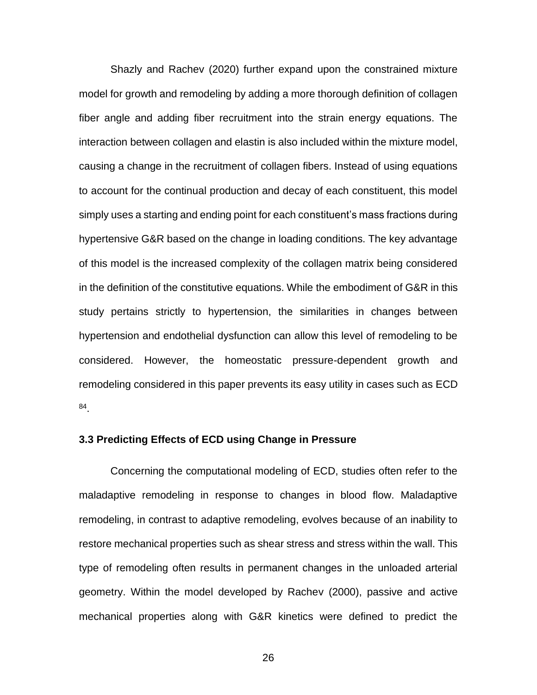Shazly and Rachev (2020) further expand upon the constrained mixture model for growth and remodeling by adding a more thorough definition of collagen fiber angle and adding fiber recruitment into the strain energy equations. The interaction between collagen and elastin is also included within the mixture model, causing a change in the recruitment of collagen fibers. Instead of using equations to account for the continual production and decay of each constituent, this model simply uses a starting and ending point for each constituent's mass fractions during hypertensive G&R based on the change in loading conditions. The key advantage of this model is the increased complexity of the collagen matrix being considered in the definition of the constitutive equations. While the embodiment of G&R in this study pertains strictly to hypertension, the similarities in changes between hypertension and endothelial dysfunction can allow this level of remodeling to be considered. However, the homeostatic pressure-dependent growth and remodeling considered in this paper prevents its easy utility in cases such as ECD 84 .

#### **3.3 Predicting Effects of ECD using Change in Pressure**

Concerning the computational modeling of ECD, studies often refer to the maladaptive remodeling in response to changes in blood flow. Maladaptive remodeling, in contrast to adaptive remodeling, evolves because of an inability to restore mechanical properties such as shear stress and stress within the wall. This type of remodeling often results in permanent changes in the unloaded arterial geometry. Within the model developed by Rachev (2000), passive and active mechanical properties along with G&R kinetics were defined to predict the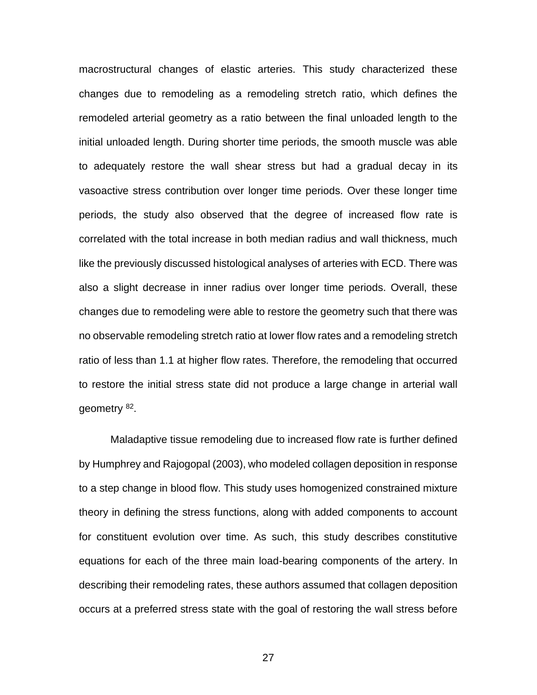macrostructural changes of elastic arteries. This study characterized these changes due to remodeling as a remodeling stretch ratio, which defines the remodeled arterial geometry as a ratio between the final unloaded length to the initial unloaded length. During shorter time periods, the smooth muscle was able to adequately restore the wall shear stress but had a gradual decay in its vasoactive stress contribution over longer time periods. Over these longer time periods, the study also observed that the degree of increased flow rate is correlated with the total increase in both median radius and wall thickness, much like the previously discussed histological analyses of arteries with ECD. There was also a slight decrease in inner radius over longer time periods. Overall, these changes due to remodeling were able to restore the geometry such that there was no observable remodeling stretch ratio at lower flow rates and a remodeling stretch ratio of less than 1.1 at higher flow rates. Therefore, the remodeling that occurred to restore the initial stress state did not produce a large change in arterial wall geometry <sup>82</sup>.

Maladaptive tissue remodeling due to increased flow rate is further defined by Humphrey and Rajogopal (2003), who modeled collagen deposition in response to a step change in blood flow. This study uses homogenized constrained mixture theory in defining the stress functions, along with added components to account for constituent evolution over time. As such, this study describes constitutive equations for each of the three main load-bearing components of the artery. In describing their remodeling rates, these authors assumed that collagen deposition occurs at a preferred stress state with the goal of restoring the wall stress before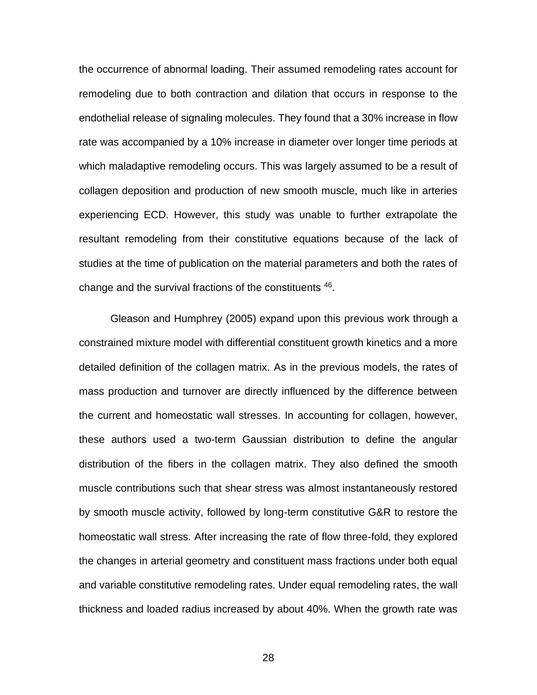the occurrence of abnormal loading. Their assumed remodeling rates account for remodeling due to both contraction and dilation that occurs in response to the endothelial release of signaling molecules. They found that a 30% increase in flow rate was accompanied by a 10% increase in diameter over longer time periods at which maladaptive remodeling occurs. This was largely assumed to be a result of collagen deposition and production of new smooth muscle, much like in arteries experiencing ECD. However, this study was unable to further extrapolate the resultant remodeling from their constitutive equations because of the lack of studies at the time of publication on the material parameters and both the rates of change and the survival fractions of the constituents <sup>46</sup>.

Gleason and Humphrey (2005) expand upon this previous work through a constrained mixture model with differential constituent growth kinetics and a more detailed definition of the collagen matrix. As in the previous models, the rates of mass production and turnover are directly influenced by the difference between the current and homeostatic wall stresses. In accounting for collagen, however, these authors used a two-term Gaussian distribution to define the angular distribution of the fibers in the collagen matrix. They also defined the smooth muscle contributions such that shear stress was almost instantaneously restored by smooth muscle activity, followed by long-term constitutive G&R to restore the homeostatic wall stress. After increasing the rate of flow three-fold, they explored the changes in arterial geometry and constituent mass fractions under both equal and variable constitutive remodeling rates. Under equal remodeling rates, the wall thickness and loaded radius increased by about 40%. When the growth rate was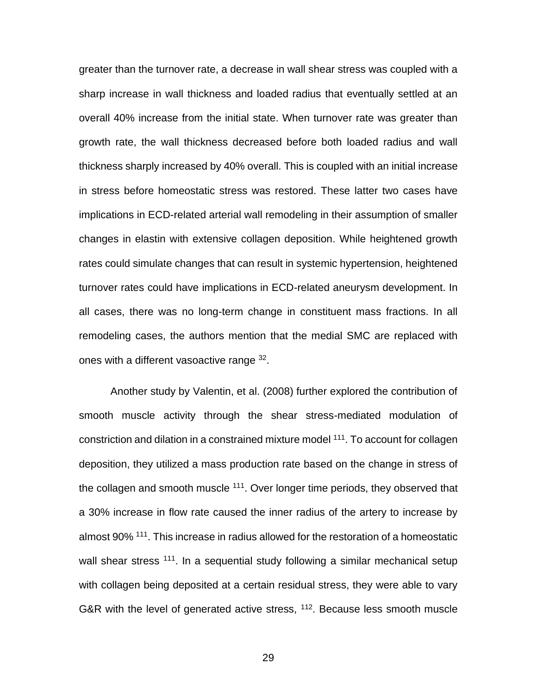greater than the turnover rate, a decrease in wall shear stress was coupled with a sharp increase in wall thickness and loaded radius that eventually settled at an overall 40% increase from the initial state. When turnover rate was greater than growth rate, the wall thickness decreased before both loaded radius and wall thickness sharply increased by 40% overall. This is coupled with an initial increase in stress before homeostatic stress was restored. These latter two cases have implications in ECD-related arterial wall remodeling in their assumption of smaller changes in elastin with extensive collagen deposition. While heightened growth rates could simulate changes that can result in systemic hypertension, heightened turnover rates could have implications in ECD-related aneurysm development. In all cases, there was no long-term change in constituent mass fractions. In all remodeling cases, the authors mention that the medial SMC are replaced with ones with a different vasoactive range <sup>32</sup>.

Another study by Valentin, et al. (2008) further explored the contribution of smooth muscle activity through the shear stress-mediated modulation of constriction and dilation in a constrained mixture model <sup>111</sup>. To account for collagen deposition, they utilized a mass production rate based on the change in stress of the collagen and smooth muscle <sup>111</sup>. Over longer time periods, they observed that a 30% increase in flow rate caused the inner radius of the artery to increase by almost 90% <sup>111</sup>. This increase in radius allowed for the restoration of a homeostatic wall shear stress <sup>111</sup>. In a sequential study following a similar mechanical setup with collagen being deposited at a certain residual stress, they were able to vary G&R with the level of generated active stress, <sup>112</sup>. Because less smooth muscle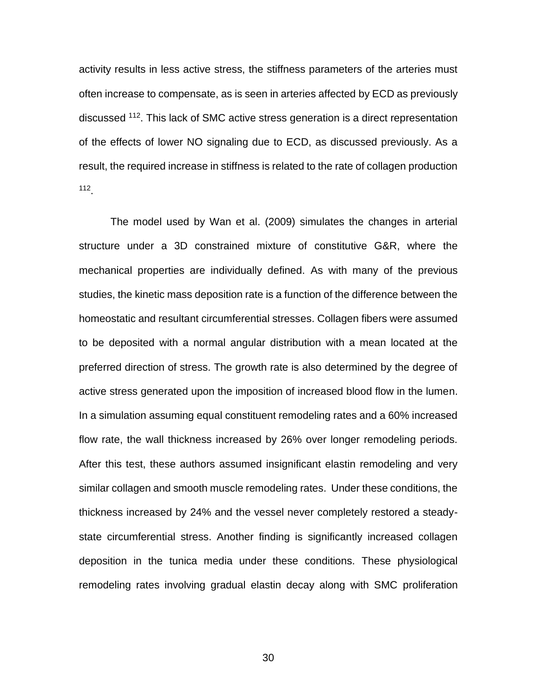activity results in less active stress, the stiffness parameters of the arteries must often increase to compensate, as is seen in arteries affected by ECD as previously discussed <sup>112</sup>. This lack of SMC active stress generation is a direct representation of the effects of lower NO signaling due to ECD, as discussed previously. As a result, the required increase in stiffness is related to the rate of collagen production 112 .

The model used by Wan et al. (2009) simulates the changes in arterial structure under a 3D constrained mixture of constitutive G&R, where the mechanical properties are individually defined. As with many of the previous studies, the kinetic mass deposition rate is a function of the difference between the homeostatic and resultant circumferential stresses. Collagen fibers were assumed to be deposited with a normal angular distribution with a mean located at the preferred direction of stress. The growth rate is also determined by the degree of active stress generated upon the imposition of increased blood flow in the lumen. In a simulation assuming equal constituent remodeling rates and a 60% increased flow rate, the wall thickness increased by 26% over longer remodeling periods. After this test, these authors assumed insignificant elastin remodeling and very similar collagen and smooth muscle remodeling rates. Under these conditions, the thickness increased by 24% and the vessel never completely restored a steadystate circumferential stress. Another finding is significantly increased collagen deposition in the tunica media under these conditions. These physiological remodeling rates involving gradual elastin decay along with SMC proliferation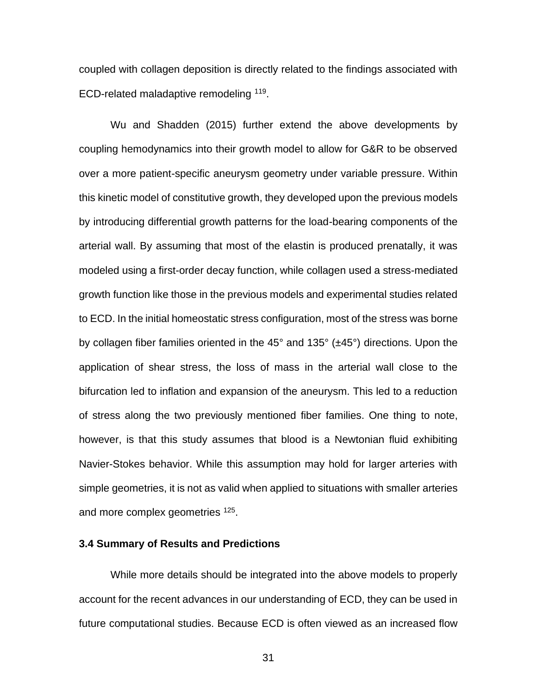coupled with collagen deposition is directly related to the findings associated with ECD-related maladaptive remodeling <sup>119</sup>.

Wu and Shadden (2015) further extend the above developments by coupling hemodynamics into their growth model to allow for G&R to be observed over a more patient-specific aneurysm geometry under variable pressure. Within this kinetic model of constitutive growth, they developed upon the previous models by introducing differential growth patterns for the load-bearing components of the arterial wall. By assuming that most of the elastin is produced prenatally, it was modeled using a first-order decay function, while collagen used a stress-mediated growth function like those in the previous models and experimental studies related to ECD. In the initial homeostatic stress configuration, most of the stress was borne by collagen fiber families oriented in the 45° and 135° (±45°) directions. Upon the application of shear stress, the loss of mass in the arterial wall close to the bifurcation led to inflation and expansion of the aneurysm. This led to a reduction of stress along the two previously mentioned fiber families. One thing to note, however, is that this study assumes that blood is a Newtonian fluid exhibiting Navier-Stokes behavior. While this assumption may hold for larger arteries with simple geometries, it is not as valid when applied to situations with smaller arteries and more complex geometries <sup>125</sup>.

#### **3.4 Summary of Results and Predictions**

While more details should be integrated into the above models to properly account for the recent advances in our understanding of ECD, they can be used in future computational studies. Because ECD is often viewed as an increased flow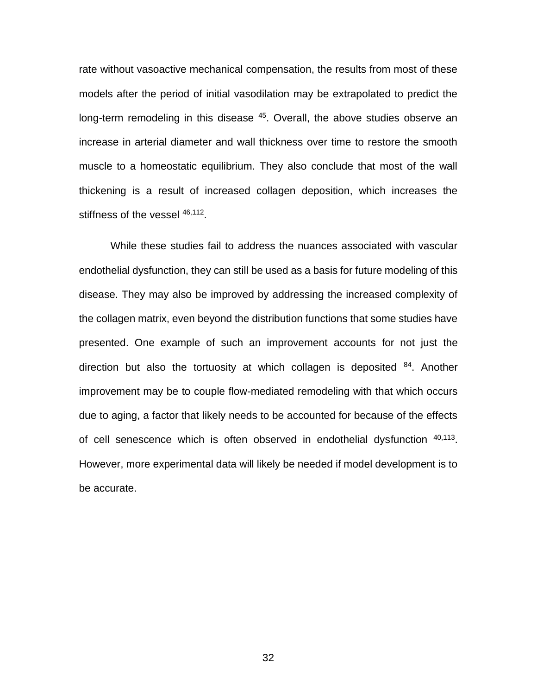rate without vasoactive mechanical compensation, the results from most of these models after the period of initial vasodilation may be extrapolated to predict the long-term remodeling in this disease <sup>45</sup>. Overall, the above studies observe an increase in arterial diameter and wall thickness over time to restore the smooth muscle to a homeostatic equilibrium. They also conclude that most of the wall thickening is a result of increased collagen deposition, which increases the stiffness of the vessel <sup>46,112</sup>.

While these studies fail to address the nuances associated with vascular endothelial dysfunction, they can still be used as a basis for future modeling of this disease. They may also be improved by addressing the increased complexity of the collagen matrix, even beyond the distribution functions that some studies have presented. One example of such an improvement accounts for not just the direction but also the tortuosity at which collagen is deposited  $84$ . Another improvement may be to couple flow-mediated remodeling with that which occurs due to aging, a factor that likely needs to be accounted for because of the effects of cell senescence which is often observed in endothelial dysfunction <sup>40,113</sup>. However, more experimental data will likely be needed if model development is to be accurate.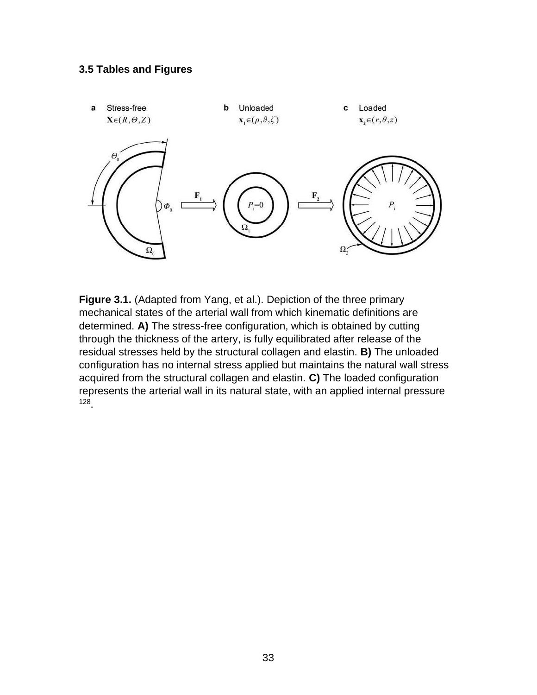# **3.5 Tables and Figures**



**Figure 3.1.** (Adapted from Yang, et al.). Depiction of the three primary mechanical states of the arterial wall from which kinematic definitions are determined. **A)** The stress-free configuration, which is obtained by cutting through the thickness of the artery, is fully equilibrated after release of the residual stresses held by the structural collagen and elastin. **B)** The unloaded configuration has no internal stress applied but maintains the natural wall stress acquired from the structural collagen and elastin. **C)** The loaded configuration represents the arterial wall in its natural state, with an applied internal pressure 128 .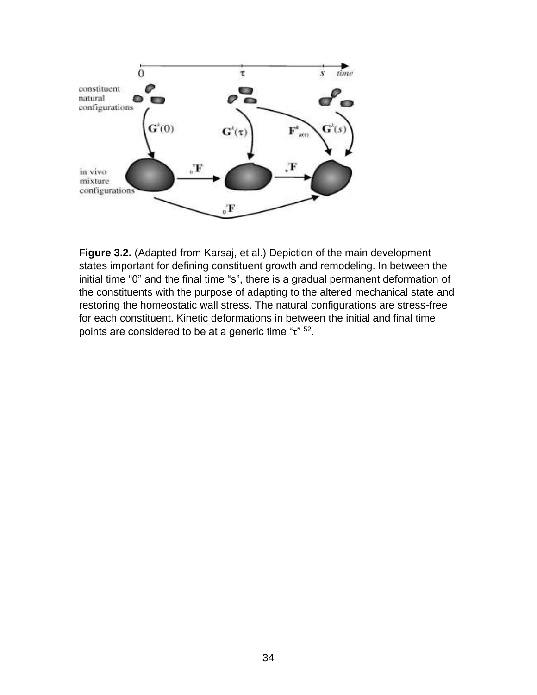

**Figure 3.2.** (Adapted from Karsaj, et al.) Depiction of the main development states important for defining constituent growth and remodeling. In between the initial time "0" and the final time "s", there is a gradual permanent deformation of the constituents with the purpose of adapting to the altered mechanical state and restoring the homeostatic wall stress. The natural configurations are stress-free for each constituent. Kinetic deformations in between the initial and final time points are considered to be at a generic time "τ" <sup>52</sup>.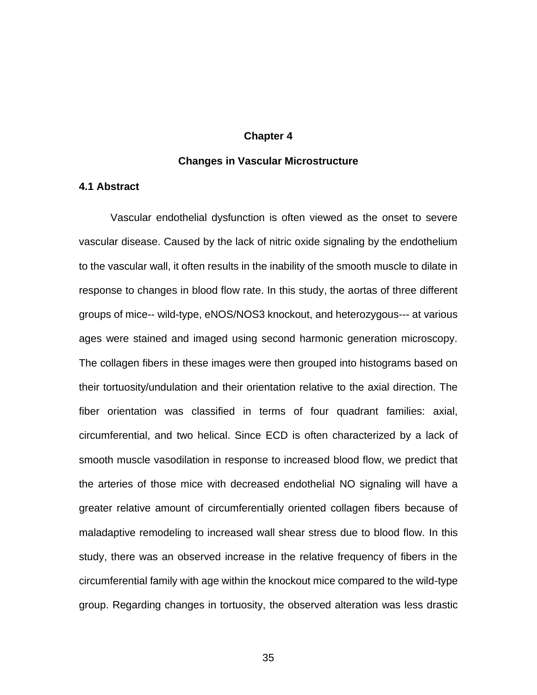#### **Chapter 4**

## **Changes in Vascular Microstructure**

#### **4.1 Abstract**

Vascular endothelial dysfunction is often viewed as the onset to severe vascular disease. Caused by the lack of nitric oxide signaling by the endothelium to the vascular wall, it often results in the inability of the smooth muscle to dilate in response to changes in blood flow rate. In this study, the aortas of three different groups of mice-- wild-type, eNOS/NOS3 knockout, and heterozygous--- at various ages were stained and imaged using second harmonic generation microscopy. The collagen fibers in these images were then grouped into histograms based on their tortuosity/undulation and their orientation relative to the axial direction. The fiber orientation was classified in terms of four quadrant families: axial, circumferential, and two helical. Since ECD is often characterized by a lack of smooth muscle vasodilation in response to increased blood flow, we predict that the arteries of those mice with decreased endothelial NO signaling will have a greater relative amount of circumferentially oriented collagen fibers because of maladaptive remodeling to increased wall shear stress due to blood flow. In this study, there was an observed increase in the relative frequency of fibers in the circumferential family with age within the knockout mice compared to the wild-type group. Regarding changes in tortuosity, the observed alteration was less drastic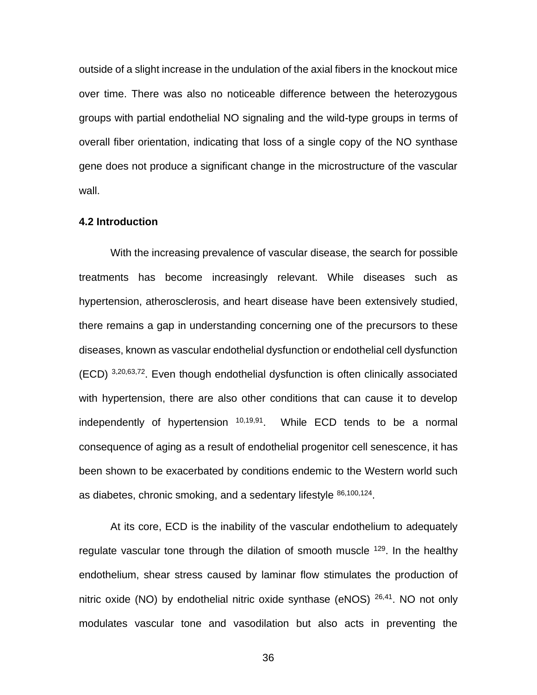outside of a slight increase in the undulation of the axial fibers in the knockout mice over time. There was also no noticeable difference between the heterozygous groups with partial endothelial NO signaling and the wild-type groups in terms of overall fiber orientation, indicating that loss of a single copy of the NO synthase gene does not produce a significant change in the microstructure of the vascular wall.

# **4.2 Introduction**

With the increasing prevalence of vascular disease, the search for possible treatments has become increasingly relevant. While diseases such as hypertension, atherosclerosis, and heart disease have been extensively studied, there remains a gap in understanding concerning one of the precursors to these diseases, known as vascular endothelial dysfunction or endothelial cell dysfunction (ECD) <sup>3,20,63,72</sup>. Even though endothelial dysfunction is often clinically associated with hypertension, there are also other conditions that can cause it to develop independently of hypertension <sup>10,19,91</sup>. While ECD tends to be a normal consequence of aging as a result of endothelial progenitor cell senescence, it has been shown to be exacerbated by conditions endemic to the Western world such as diabetes, chronic smoking, and a sedentary lifestyle <sup>86,100,124</sup>.

At its core, ECD is the inability of the vascular endothelium to adequately regulate vascular tone through the dilation of smooth muscle <sup>129</sup>. In the healthy endothelium, shear stress caused by laminar flow stimulates the production of nitric oxide (NO) by endothelial nitric oxide synthase (eNOS)  $26,41$ . NO not only modulates vascular tone and vasodilation but also acts in preventing the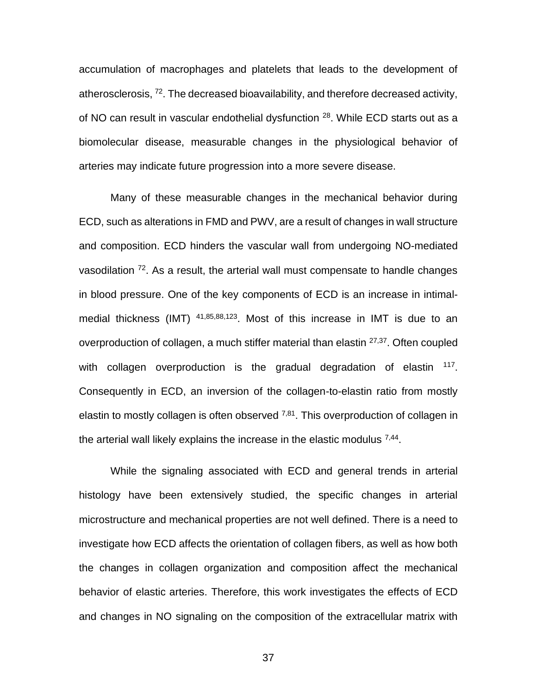accumulation of macrophages and platelets that leads to the development of atherosclerosis, <sup>72</sup>. The decreased bioavailability, and therefore decreased activity, of NO can result in vascular endothelial dysfunction <sup>28</sup>. While ECD starts out as a biomolecular disease, measurable changes in the physiological behavior of arteries may indicate future progression into a more severe disease.

Many of these measurable changes in the mechanical behavior during ECD, such as alterations in FMD and PWV, are a result of changes in wall structure and composition. ECD hinders the vascular wall from undergoing NO-mediated vasodilation <sup>72</sup>. As a result, the arterial wall must compensate to handle changes in blood pressure. One of the key components of ECD is an increase in intimalmedial thickness (IMT)  $41,85,88,123$ . Most of this increase in IMT is due to an overproduction of collagen, a much stiffer material than elastin <sup>27,37</sup>. Often coupled with collagen overproduction is the gradual degradation of elastin <sup>117</sup>. Consequently in ECD, an inversion of the collagen-to-elastin ratio from mostly elastin to mostly collagen is often observed  $^{7,81}$ . This overproduction of collagen in the arterial wall likely explains the increase in the elastic modulus  $7,44$ .

While the signaling associated with ECD and general trends in arterial histology have been extensively studied, the specific changes in arterial microstructure and mechanical properties are not well defined. There is a need to investigate how ECD affects the orientation of collagen fibers, as well as how both the changes in collagen organization and composition affect the mechanical behavior of elastic arteries. Therefore, this work investigates the effects of ECD and changes in NO signaling on the composition of the extracellular matrix with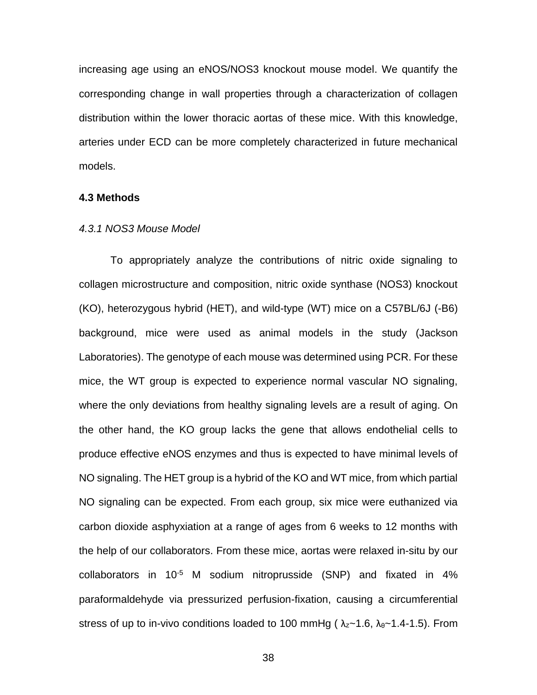increasing age using an eNOS/NOS3 knockout mouse model. We quantify the corresponding change in wall properties through a characterization of collagen distribution within the lower thoracic aortas of these mice. With this knowledge, arteries under ECD can be more completely characterized in future mechanical models.

### **4.3 Methods**

## *4.3.1 NOS3 Mouse Model*

To appropriately analyze the contributions of nitric oxide signaling to collagen microstructure and composition, nitric oxide synthase (NOS3) knockout (KO), heterozygous hybrid (HET), and wild-type (WT) mice on a C57BL/6J (-B6) background, mice were used as animal models in the study (Jackson Laboratories). The genotype of each mouse was determined using PCR. For these mice, the WT group is expected to experience normal vascular NO signaling, where the only deviations from healthy signaling levels are a result of aging. On the other hand, the KO group lacks the gene that allows endothelial cells to produce effective eNOS enzymes and thus is expected to have minimal levels of NO signaling. The HET group is a hybrid of the KO and WT mice, from which partial NO signaling can be expected. From each group, six mice were euthanized via carbon dioxide asphyxiation at a range of ages from 6 weeks to 12 months with the help of our collaborators. From these mice, aortas were relaxed in-situ by our collaborators in 10<sup>-5</sup> M sodium nitroprusside (SNP) and fixated in 4% paraformaldehyde via pressurized perfusion-fixation, causing a circumferential stress of up to in-vivo conditions loaded to 100 mmHg ( $\lambda$ <sub>z</sub> $\sim$ 1.6,  $\lambda$ <sub>e</sub> $\sim$ 1.4-1.5). From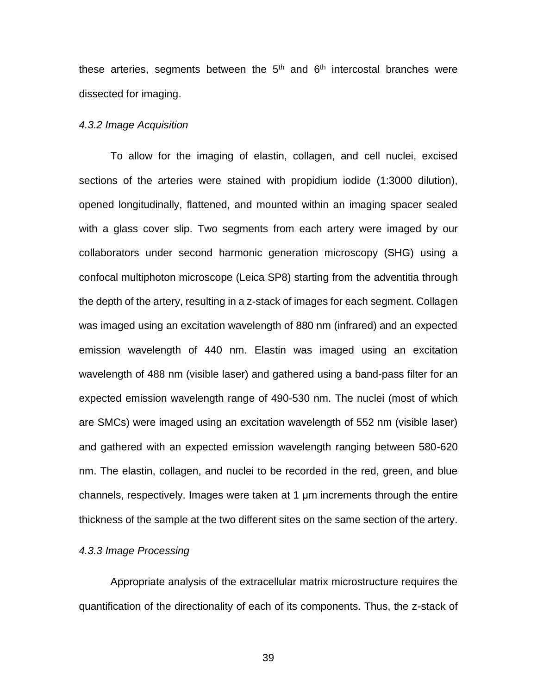these arteries, segments between the  $5<sup>th</sup>$  and  $6<sup>th</sup>$  intercostal branches were dissected for imaging.

#### *4.3.2 Image Acquisition*

To allow for the imaging of elastin, collagen, and cell nuclei, excised sections of the arteries were stained with propidium iodide (1:3000 dilution), opened longitudinally, flattened, and mounted within an imaging spacer sealed with a glass cover slip. Two segments from each artery were imaged by our collaborators under second harmonic generation microscopy (SHG) using a confocal multiphoton microscope (Leica SP8) starting from the adventitia through the depth of the artery, resulting in a z-stack of images for each segment. Collagen was imaged using an excitation wavelength of 880 nm (infrared) and an expected emission wavelength of 440 nm. Elastin was imaged using an excitation wavelength of 488 nm (visible laser) and gathered using a band-pass filter for an expected emission wavelength range of 490-530 nm. The nuclei (most of which are SMCs) were imaged using an excitation wavelength of 552 nm (visible laser) and gathered with an expected emission wavelength ranging between 580-620 nm. The elastin, collagen, and nuclei to be recorded in the red, green, and blue channels, respectively. Images were taken at 1 μm increments through the entire thickness of the sample at the two different sites on the same section of the artery.

# *4.3.3 Image Processing*

Appropriate analysis of the extracellular matrix microstructure requires the quantification of the directionality of each of its components. Thus, the z-stack of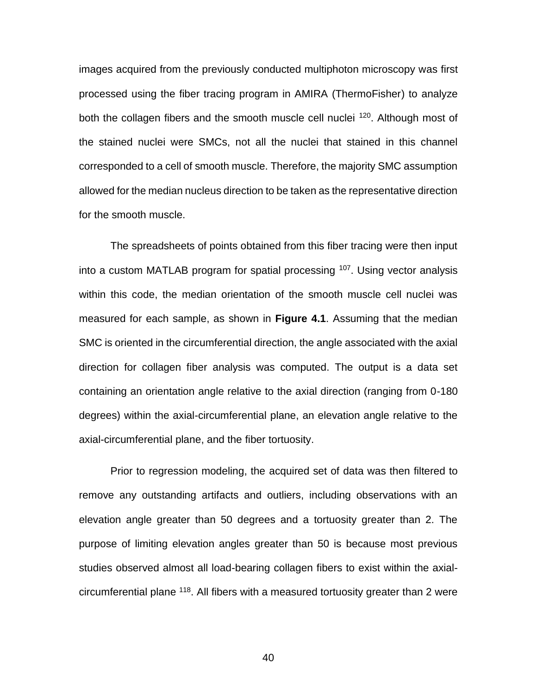images acquired from the previously conducted multiphoton microscopy was first processed using the fiber tracing program in AMIRA (ThermoFisher) to analyze both the collagen fibers and the smooth muscle cell nuclei <sup>120</sup>. Although most of the stained nuclei were SMCs, not all the nuclei that stained in this channel corresponded to a cell of smooth muscle. Therefore, the majority SMC assumption allowed for the median nucleus direction to be taken as the representative direction for the smooth muscle.

The spreadsheets of points obtained from this fiber tracing were then input into a custom MATLAB program for spatial processing <sup>107</sup>. Using vector analysis within this code, the median orientation of the smooth muscle cell nuclei was measured for each sample, as shown in **Figure 4.1**. Assuming that the median SMC is oriented in the circumferential direction, the angle associated with the axial direction for collagen fiber analysis was computed. The output is a data set containing an orientation angle relative to the axial direction (ranging from 0-180 degrees) within the axial-circumferential plane, an elevation angle relative to the axial-circumferential plane, and the fiber tortuosity.

Prior to regression modeling, the acquired set of data was then filtered to remove any outstanding artifacts and outliers, including observations with an elevation angle greater than 50 degrees and a tortuosity greater than 2. The purpose of limiting elevation angles greater than 50 is because most previous studies observed almost all load-bearing collagen fibers to exist within the axialcircumferential plane <sup>118</sup>. All fibers with a measured tortuosity greater than 2 were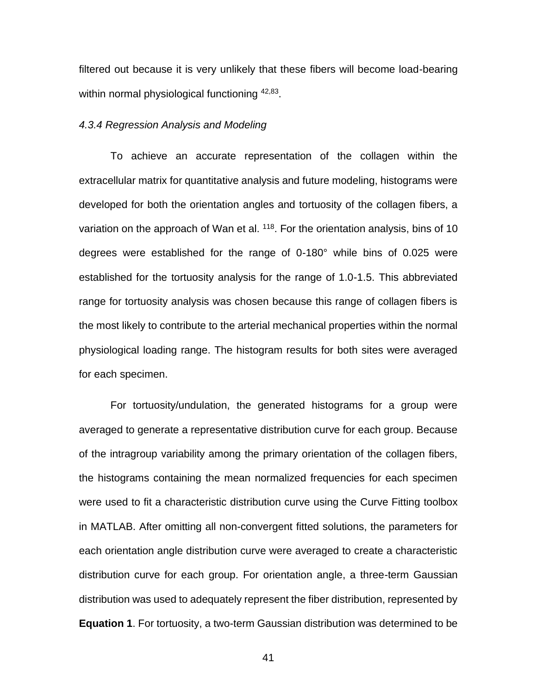filtered out because it is very unlikely that these fibers will become load-bearing within normal physiological functioning <sup>42,83</sup>.

#### *4.3.4 Regression Analysis and Modeling*

To achieve an accurate representation of the collagen within the extracellular matrix for quantitative analysis and future modeling, histograms were developed for both the orientation angles and tortuosity of the collagen fibers, a variation on the approach of Wan et al. <sup>118</sup>. For the orientation analysis, bins of 10 degrees were established for the range of 0-180° while bins of 0.025 were established for the tortuosity analysis for the range of 1.0-1.5. This abbreviated range for tortuosity analysis was chosen because this range of collagen fibers is the most likely to contribute to the arterial mechanical properties within the normal physiological loading range. The histogram results for both sites were averaged for each specimen.

For tortuosity/undulation, the generated histograms for a group were averaged to generate a representative distribution curve for each group. Because of the intragroup variability among the primary orientation of the collagen fibers, the histograms containing the mean normalized frequencies for each specimen were used to fit a characteristic distribution curve using the Curve Fitting toolbox in MATLAB. After omitting all non-convergent fitted solutions, the parameters for each orientation angle distribution curve were averaged to create a characteristic distribution curve for each group. For orientation angle, a three-term Gaussian distribution was used to adequately represent the fiber distribution, represented by **Equation 1**. For tortuosity, a two-term Gaussian distribution was determined to be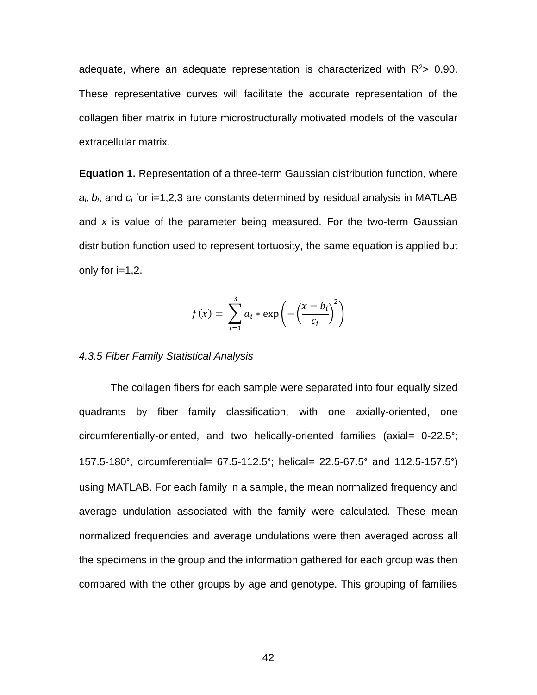adequate, where an adequate representation is characterized with  $R<sup>2</sup>$  0.90. These representative curves will facilitate the accurate representation of the collagen fiber matrix in future microstructurally motivated models of the vascular extracellular matrix.

**Equation 1.** Representation of a three-term Gaussian distribution function, where *ai*, *bi*, and *c<sup>i</sup>* for i=1,2,3 are constants determined by residual analysis in MATLAB and *x* is value of the parameter being measured. For the two-term Gaussian distribution function used to represent tortuosity, the same equation is applied but only for  $i=1,2$ .

$$
f(x) = \sum_{i=1}^{3} a_i * \exp\left(-\left(\frac{x-b_i}{c_i}\right)^2\right)
$$

#### *4.3.5 Fiber Family Statistical Analysis*

The collagen fibers for each sample were separated into four equally sized quadrants by fiber family classification, with one axially-oriented, one circumferentially-oriented, and two helically-oriented families (axial= 0-22.5°; 157.5-180°, circumferential= 67.5-112.5°; helical= 22.5-67.5° and 112.5-157.5°) using MATLAB. For each family in a sample, the mean normalized frequency and average undulation associated with the family were calculated. These mean normalized frequencies and average undulations were then averaged across all the specimens in the group and the information gathered for each group was then compared with the other groups by age and genotype. This grouping of families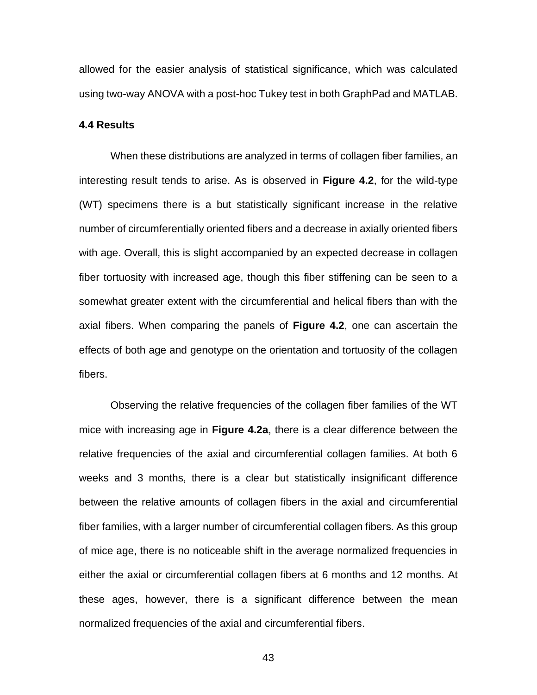allowed for the easier analysis of statistical significance, which was calculated using two-way ANOVA with a post-hoc Tukey test in both GraphPad and MATLAB.

# **4.4 Results**

When these distributions are analyzed in terms of collagen fiber families, an interesting result tends to arise. As is observed in **Figure 4.2**, for the wild-type (WT) specimens there is a but statistically significant increase in the relative number of circumferentially oriented fibers and a decrease in axially oriented fibers with age. Overall, this is slight accompanied by an expected decrease in collagen fiber tortuosity with increased age, though this fiber stiffening can be seen to a somewhat greater extent with the circumferential and helical fibers than with the axial fibers. When comparing the panels of **Figure 4.2**, one can ascertain the effects of both age and genotype on the orientation and tortuosity of the collagen fibers.

Observing the relative frequencies of the collagen fiber families of the WT mice with increasing age in **Figure 4.2a**, there is a clear difference between the relative frequencies of the axial and circumferential collagen families. At both 6 weeks and 3 months, there is a clear but statistically insignificant difference between the relative amounts of collagen fibers in the axial and circumferential fiber families, with a larger number of circumferential collagen fibers. As this group of mice age, there is no noticeable shift in the average normalized frequencies in either the axial or circumferential collagen fibers at 6 months and 12 months. At these ages, however, there is a significant difference between the mean normalized frequencies of the axial and circumferential fibers.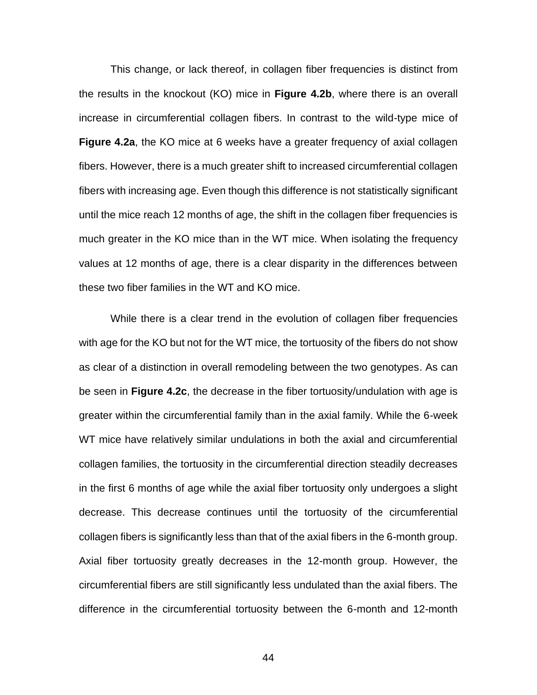This change, or lack thereof, in collagen fiber frequencies is distinct from the results in the knockout (KO) mice in **Figure 4.2b**, where there is an overall increase in circumferential collagen fibers. In contrast to the wild-type mice of **Figure 4.2a**, the KO mice at 6 weeks have a greater frequency of axial collagen fibers. However, there is a much greater shift to increased circumferential collagen fibers with increasing age. Even though this difference is not statistically significant until the mice reach 12 months of age, the shift in the collagen fiber frequencies is much greater in the KO mice than in the WT mice. When isolating the frequency values at 12 months of age, there is a clear disparity in the differences between these two fiber families in the WT and KO mice.

While there is a clear trend in the evolution of collagen fiber frequencies with age for the KO but not for the WT mice, the tortuosity of the fibers do not show as clear of a distinction in overall remodeling between the two genotypes. As can be seen in **Figure 4.2c**, the decrease in the fiber tortuosity/undulation with age is greater within the circumferential family than in the axial family. While the 6-week WT mice have relatively similar undulations in both the axial and circumferential collagen families, the tortuosity in the circumferential direction steadily decreases in the first 6 months of age while the axial fiber tortuosity only undergoes a slight decrease. This decrease continues until the tortuosity of the circumferential collagen fibers is significantly less than that of the axial fibers in the 6-month group. Axial fiber tortuosity greatly decreases in the 12-month group. However, the circumferential fibers are still significantly less undulated than the axial fibers. The difference in the circumferential tortuosity between the 6-month and 12-month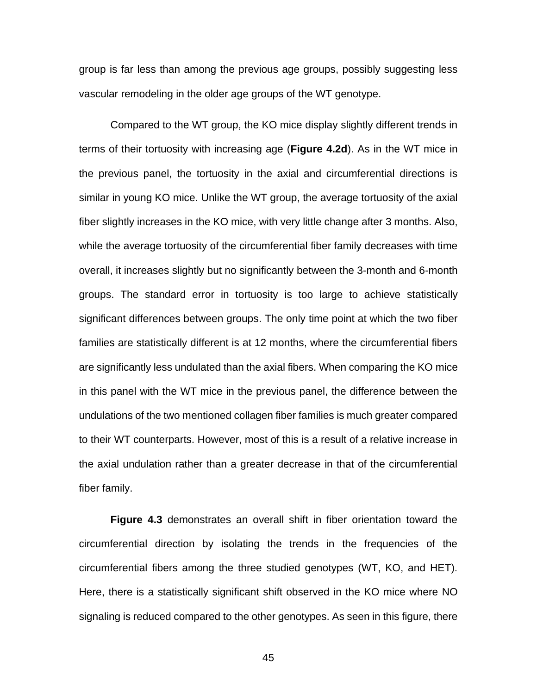group is far less than among the previous age groups, possibly suggesting less vascular remodeling in the older age groups of the WT genotype.

Compared to the WT group, the KO mice display slightly different trends in terms of their tortuosity with increasing age (**Figure 4.2d**). As in the WT mice in the previous panel, the tortuosity in the axial and circumferential directions is similar in young KO mice. Unlike the WT group, the average tortuosity of the axial fiber slightly increases in the KO mice, with very little change after 3 months. Also, while the average tortuosity of the circumferential fiber family decreases with time overall, it increases slightly but no significantly between the 3-month and 6-month groups. The standard error in tortuosity is too large to achieve statistically significant differences between groups. The only time point at which the two fiber families are statistically different is at 12 months, where the circumferential fibers are significantly less undulated than the axial fibers. When comparing the KO mice in this panel with the WT mice in the previous panel, the difference between the undulations of the two mentioned collagen fiber families is much greater compared to their WT counterparts. However, most of this is a result of a relative increase in the axial undulation rather than a greater decrease in that of the circumferential fiber family.

**Figure 4.3** demonstrates an overall shift in fiber orientation toward the circumferential direction by isolating the trends in the frequencies of the circumferential fibers among the three studied genotypes (WT, KO, and HET). Here, there is a statistically significant shift observed in the KO mice where NO signaling is reduced compared to the other genotypes. As seen in this figure, there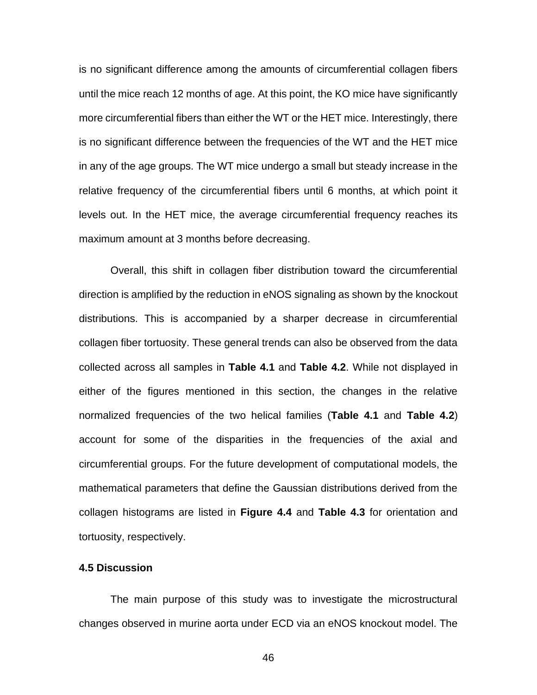is no significant difference among the amounts of circumferential collagen fibers until the mice reach 12 months of age. At this point, the KO mice have significantly more circumferential fibers than either the WT or the HET mice. Interestingly, there is no significant difference between the frequencies of the WT and the HET mice in any of the age groups. The WT mice undergo a small but steady increase in the relative frequency of the circumferential fibers until 6 months, at which point it levels out. In the HET mice, the average circumferential frequency reaches its maximum amount at 3 months before decreasing.

Overall, this shift in collagen fiber distribution toward the circumferential direction is amplified by the reduction in eNOS signaling as shown by the knockout distributions. This is accompanied by a sharper decrease in circumferential collagen fiber tortuosity. These general trends can also be observed from the data collected across all samples in **Table 4.1** and **Table 4.2**. While not displayed in either of the figures mentioned in this section, the changes in the relative normalized frequencies of the two helical families (**Table 4.1** and **Table 4.2**) account for some of the disparities in the frequencies of the axial and circumferential groups. For the future development of computational models, the mathematical parameters that define the Gaussian distributions derived from the collagen histograms are listed in **Figure 4.4** and **Table 4.3** for orientation and tortuosity, respectively.

# **4.5 Discussion**

The main purpose of this study was to investigate the microstructural changes observed in murine aorta under ECD via an eNOS knockout model. The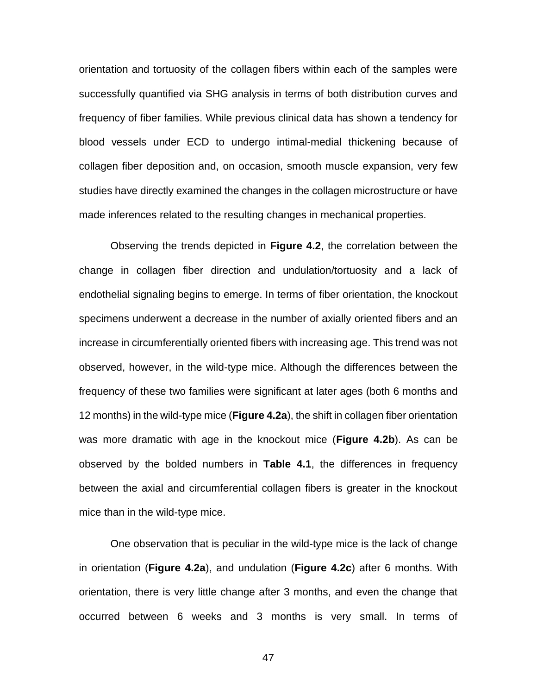orientation and tortuosity of the collagen fibers within each of the samples were successfully quantified via SHG analysis in terms of both distribution curves and frequency of fiber families. While previous clinical data has shown a tendency for blood vessels under ECD to undergo intimal-medial thickening because of collagen fiber deposition and, on occasion, smooth muscle expansion, very few studies have directly examined the changes in the collagen microstructure or have made inferences related to the resulting changes in mechanical properties.

Observing the trends depicted in **Figure 4.2**, the correlation between the change in collagen fiber direction and undulation/tortuosity and a lack of endothelial signaling begins to emerge. In terms of fiber orientation, the knockout specimens underwent a decrease in the number of axially oriented fibers and an increase in circumferentially oriented fibers with increasing age. This trend was not observed, however, in the wild-type mice. Although the differences between the frequency of these two families were significant at later ages (both 6 months and 12 months) in the wild-type mice (**Figure 4.2a**), the shift in collagen fiber orientation was more dramatic with age in the knockout mice (**Figure 4.2b**). As can be observed by the bolded numbers in **Table 4.1**, the differences in frequency between the axial and circumferential collagen fibers is greater in the knockout mice than in the wild-type mice.

One observation that is peculiar in the wild-type mice is the lack of change in orientation (**Figure 4.2a**), and undulation (**Figure 4.2c**) after 6 months. With orientation, there is very little change after 3 months, and even the change that occurred between 6 weeks and 3 months is very small. In terms of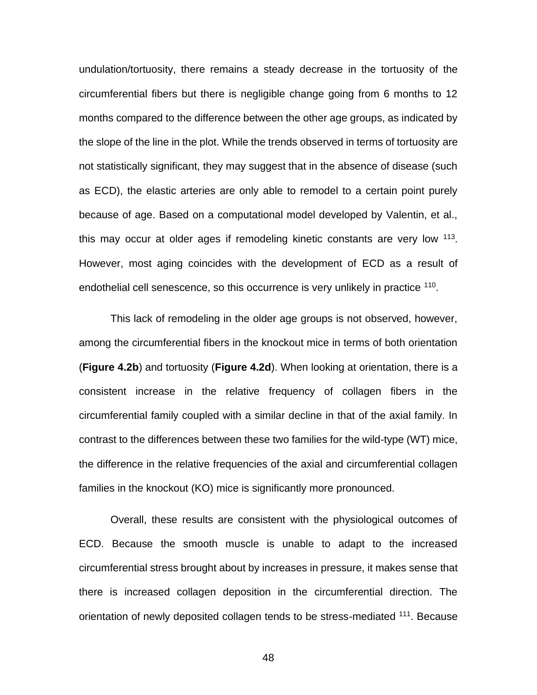undulation/tortuosity, there remains a steady decrease in the tortuosity of the circumferential fibers but there is negligible change going from 6 months to 12 months compared to the difference between the other age groups, as indicated by the slope of the line in the plot. While the trends observed in terms of tortuosity are not statistically significant, they may suggest that in the absence of disease (such as ECD), the elastic arteries are only able to remodel to a certain point purely because of age. Based on a computational model developed by Valentin, et al., this may occur at older ages if remodeling kinetic constants are very low <sup>113</sup>. However, most aging coincides with the development of ECD as a result of endothelial cell senescence, so this occurrence is very unlikely in practice <sup>110</sup>.

This lack of remodeling in the older age groups is not observed, however, among the circumferential fibers in the knockout mice in terms of both orientation (**Figure 4.2b**) and tortuosity (**Figure 4.2d**). When looking at orientation, there is a consistent increase in the relative frequency of collagen fibers in the circumferential family coupled with a similar decline in that of the axial family. In contrast to the differences between these two families for the wild-type (WT) mice, the difference in the relative frequencies of the axial and circumferential collagen families in the knockout (KO) mice is significantly more pronounced.

Overall, these results are consistent with the physiological outcomes of ECD. Because the smooth muscle is unable to adapt to the increased circumferential stress brought about by increases in pressure, it makes sense that there is increased collagen deposition in the circumferential direction. The orientation of newly deposited collagen tends to be stress-mediated <sup>111</sup>. Because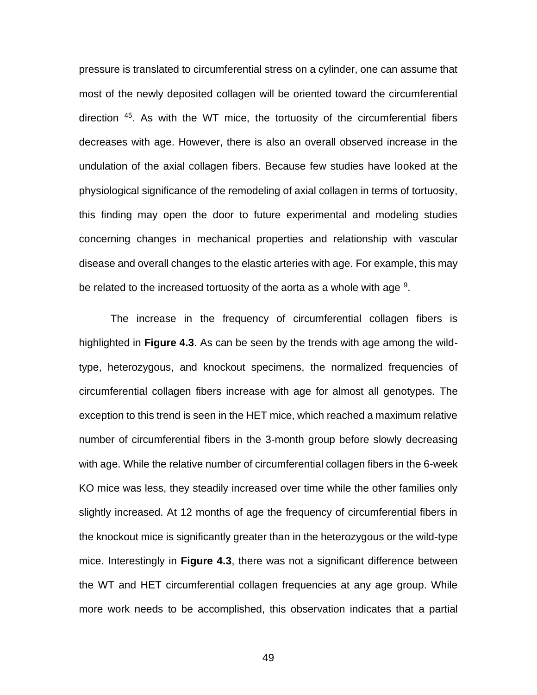pressure is translated to circumferential stress on a cylinder, one can assume that most of the newly deposited collagen will be oriented toward the circumferential direction <sup>45</sup> . As with the WT mice, the tortuosity of the circumferential fibers decreases with age. However, there is also an overall observed increase in the undulation of the axial collagen fibers. Because few studies have looked at the physiological significance of the remodeling of axial collagen in terms of tortuosity, this finding may open the door to future experimental and modeling studies concerning changes in mechanical properties and relationship with vascular disease and overall changes to the elastic arteries with age. For example, this may be related to the increased tortuosity of the aorta as a whole with age  $9$ .

The increase in the frequency of circumferential collagen fibers is highlighted in **Figure 4.3**. As can be seen by the trends with age among the wildtype, heterozygous, and knockout specimens, the normalized frequencies of circumferential collagen fibers increase with age for almost all genotypes. The exception to this trend is seen in the HET mice, which reached a maximum relative number of circumferential fibers in the 3-month group before slowly decreasing with age. While the relative number of circumferential collagen fibers in the 6-week KO mice was less, they steadily increased over time while the other families only slightly increased. At 12 months of age the frequency of circumferential fibers in the knockout mice is significantly greater than in the heterozygous or the wild-type mice. Interestingly in **Figure 4.3**, there was not a significant difference between the WT and HET circumferential collagen frequencies at any age group. While more work needs to be accomplished, this observation indicates that a partial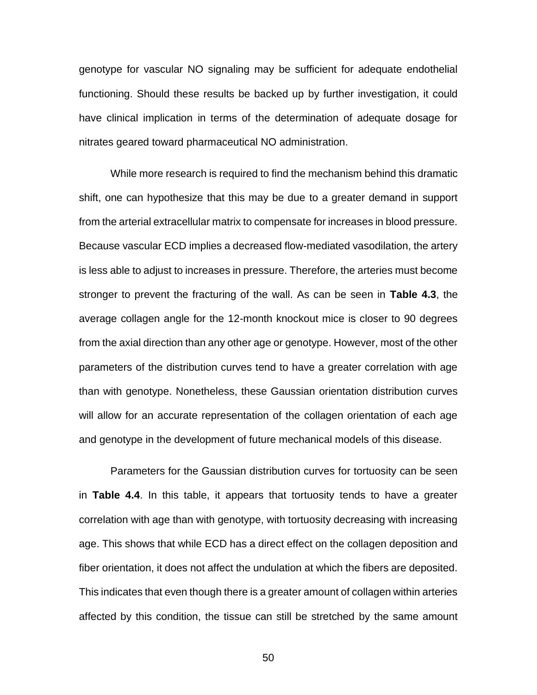genotype for vascular NO signaling may be sufficient for adequate endothelial functioning. Should these results be backed up by further investigation, it could have clinical implication in terms of the determination of adequate dosage for nitrates geared toward pharmaceutical NO administration.

While more research is required to find the mechanism behind this dramatic shift, one can hypothesize that this may be due to a greater demand in support from the arterial extracellular matrix to compensate for increases in blood pressure. Because vascular ECD implies a decreased flow-mediated vasodilation, the artery is less able to adjust to increases in pressure. Therefore, the arteries must become stronger to prevent the fracturing of the wall. As can be seen in **Table 4.3**, the average collagen angle for the 12-month knockout mice is closer to 90 degrees from the axial direction than any other age or genotype. However, most of the other parameters of the distribution curves tend to have a greater correlation with age than with genotype. Nonetheless, these Gaussian orientation distribution curves will allow for an accurate representation of the collagen orientation of each age and genotype in the development of future mechanical models of this disease.

Parameters for the Gaussian distribution curves for tortuosity can be seen in **Table 4.4**. In this table, it appears that tortuosity tends to have a greater correlation with age than with genotype, with tortuosity decreasing with increasing age. This shows that while ECD has a direct effect on the collagen deposition and fiber orientation, it does not affect the undulation at which the fibers are deposited. This indicates that even though there is a greater amount of collagen within arteries affected by this condition, the tissue can still be stretched by the same amount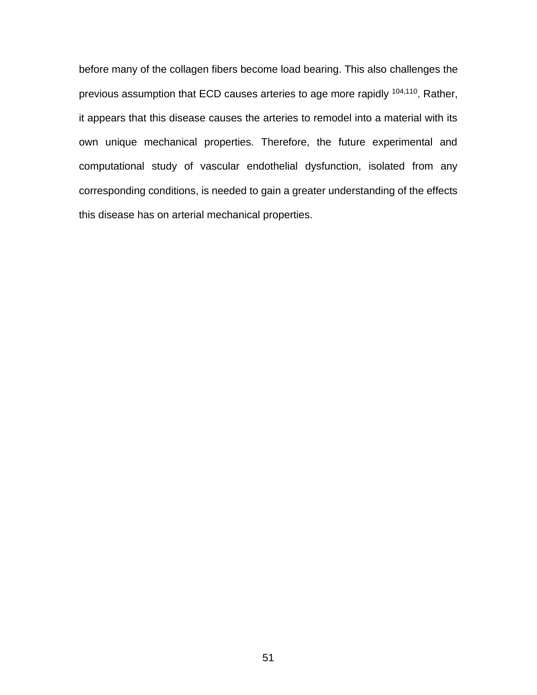before many of the collagen fibers become load bearing. This also challenges the previous assumption that ECD causes arteries to age more rapidly <sup>104,110</sup>. Rather, it appears that this disease causes the arteries to remodel into a material with its own unique mechanical properties. Therefore, the future experimental and computational study of vascular endothelial dysfunction, isolated from any corresponding conditions, is needed to gain a greater understanding of the effects this disease has on arterial mechanical properties.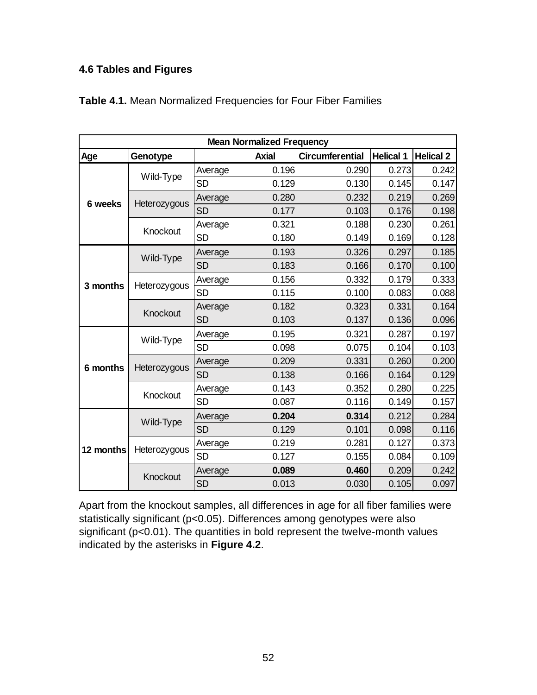# **4.6 Tables and Figures**

| <b>Mean Normalized Frequency</b> |              |           |              |                        |                  |                  |  |  |  |  |
|----------------------------------|--------------|-----------|--------------|------------------------|------------------|------------------|--|--|--|--|
| Age                              | Genotype     |           | <b>Axial</b> | <b>Circumferential</b> | <b>Helical 1</b> | <b>Helical 2</b> |  |  |  |  |
| <b>6 weeks</b>                   | Wild-Type    | Average   | 0.196        | 0.290                  | 0.273            | 0.242            |  |  |  |  |
|                                  |              | <b>SD</b> | 0.129        | 0.130                  | 0.145            | 0.147            |  |  |  |  |
|                                  | Heterozygous | Average   | 0.280        | 0.232                  | 0.219            | 0.269            |  |  |  |  |
|                                  |              | <b>SD</b> | 0.177        | 0.103                  | 0.176            | 0.198            |  |  |  |  |
|                                  | Knockout     | Average   | 0.321        | 0.188                  | 0.230            | 0.261            |  |  |  |  |
|                                  |              | <b>SD</b> | 0.180        | 0.149                  | 0.169            | 0.128            |  |  |  |  |
|                                  | Wild-Type    | Average   | 0.193        | 0.326                  | 0.297            | 0.185            |  |  |  |  |
|                                  |              | <b>SD</b> | 0.183        | 0.166                  | 0.170            | 0.100            |  |  |  |  |
| 3 months                         |              | Average   | 0.156        | 0.332                  | 0.179            | 0.333            |  |  |  |  |
|                                  | Heterozygous | <b>SD</b> | 0.115        | 0.100                  | 0.083            | 0.088            |  |  |  |  |
|                                  | Knockout     | Average   | 0.182        | 0.323                  | 0.331            | 0.164            |  |  |  |  |
|                                  |              | <b>SD</b> | 0.103        | 0.137                  | 0.136            | 0.096            |  |  |  |  |
|                                  | Wild-Type    | Average   | 0.195        | 0.321                  | 0.287            | 0.197            |  |  |  |  |
|                                  |              | <b>SD</b> | 0.098        | 0.075                  | 0.104            | 0.103            |  |  |  |  |
| 6 months                         |              | Average   | 0.209        | 0.331                  | 0.260            | 0.200            |  |  |  |  |
|                                  | Heterozygous | <b>SD</b> | 0.138        | 0.166                  | 0.164            | 0.129            |  |  |  |  |
|                                  | Knockout     | Average   | 0.143        | 0.352                  | 0.280            | 0.225            |  |  |  |  |
|                                  |              | <b>SD</b> | 0.087        | 0.116                  | 0.149            | 0.157            |  |  |  |  |
|                                  | Wild-Type    | Average   | 0.204        | 0.314                  | 0.212            | 0.284            |  |  |  |  |
|                                  |              | <b>SD</b> | 0.129        | 0.101                  | 0.098            | 0.116            |  |  |  |  |
| 12 months                        |              | Average   | 0.219        | 0.281                  | 0.127            | 0.373            |  |  |  |  |
|                                  | Heterozygous | <b>SD</b> | 0.127        | 0.155                  | 0.084            | 0.109            |  |  |  |  |
|                                  |              | Average   | 0.089        | 0.460                  | 0.209            | 0.242            |  |  |  |  |
|                                  | Knockout     | <b>SD</b> | 0.013        | 0.030                  | 0.105            | 0.097            |  |  |  |  |

**Table 4.1.** Mean Normalized Frequencies for Four Fiber Families

Apart from the knockout samples, all differences in age for all fiber families were statistically significant (p<0.05). Differences among genotypes were also significant (p<0.01). The quantities in bold represent the twelve-month values indicated by the asterisks in **Figure 4.2**.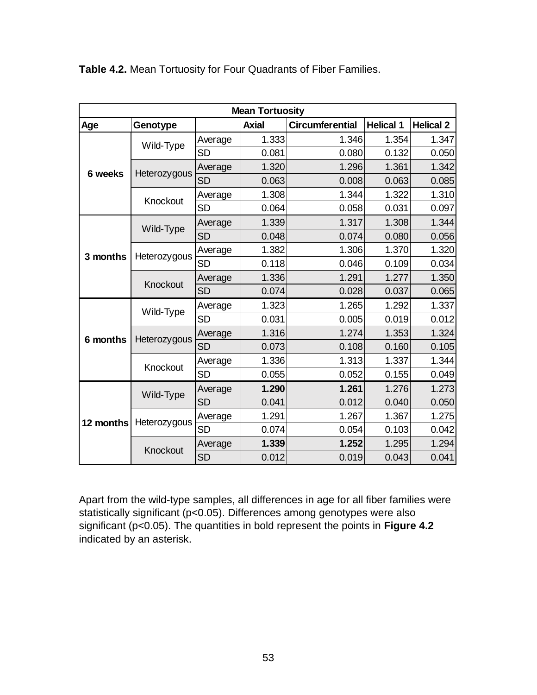| <b>Mean Tortuosity</b> |              |           |              |                        |                  |                  |  |  |  |  |
|------------------------|--------------|-----------|--------------|------------------------|------------------|------------------|--|--|--|--|
| Age                    | Genotype     |           | <b>Axial</b> | <b>Circumferential</b> | <b>Helical 1</b> | <b>Helical 2</b> |  |  |  |  |
|                        | Wild-Type    | Average   | 1.333        | 1.346                  | 1.354            | 1.347            |  |  |  |  |
|                        |              | <b>SD</b> | 0.081        | 0.080                  | 0.132            | 0.050            |  |  |  |  |
| 6 weeks                | Heterozygous | Average   | 1.320        | 1.296                  | 1.361            | 1.342            |  |  |  |  |
|                        |              | <b>SD</b> | 0.063        | 0.008                  | 0.063            | 0.085            |  |  |  |  |
|                        | Knockout     | Average   | 1.308        | 1.344                  | 1.322            | 1.310            |  |  |  |  |
|                        |              | <b>SD</b> | 0.064        | 0.058                  | 0.031            | 0.097            |  |  |  |  |
|                        | Wild-Type    | Average   | 1.339        | 1.317                  | 1.308            | 1.344            |  |  |  |  |
|                        |              | <b>SD</b> | 0.048        | 0.074                  | 0.080            | 0.056            |  |  |  |  |
| 3 months               | Heterozygous | Average   | 1.382        | 1.306                  | 1.370            | 1.320            |  |  |  |  |
|                        |              | <b>SD</b> | 0.118        | 0.046                  | 0.109            | 0.034            |  |  |  |  |
|                        | Knockout     | Average   | 1.336        | 1.291                  | 1.277            | 1.350            |  |  |  |  |
|                        |              | <b>SD</b> | 0.074        | 0.028                  | 0.037            | 0.065            |  |  |  |  |
|                        | Wild-Type    | Average   | 1.323        | 1.265                  | 1.292            | 1.337            |  |  |  |  |
|                        |              | <b>SD</b> | 0.031        | 0.005                  | 0.019            | 0.012            |  |  |  |  |
| 6 months               | Heterozygous | Average   | 1.316        | 1.274                  | 1.353            | 1.324            |  |  |  |  |
|                        |              | <b>SD</b> | 0.073        | 0.108                  | 0.160            | 0.105            |  |  |  |  |
|                        | Knockout     | Average   | 1.336        | 1.313                  | 1.337            | 1.344            |  |  |  |  |
|                        |              | <b>SD</b> | 0.055        | 0.052                  | 0.155            | 0.049            |  |  |  |  |
|                        | Wild-Type    | Average   | 1.290        | 1.261                  | 1.276            | 1.273            |  |  |  |  |
| 12 months              |              | <b>SD</b> | 0.041        | 0.012                  | 0.040            | 0.050            |  |  |  |  |
|                        | Heterozygous | Average   | 1.291        | 1.267                  | 1.367            | 1.275            |  |  |  |  |
|                        |              | <b>SD</b> | 0.074        | 0.054                  | 0.103            | 0.042            |  |  |  |  |
|                        | Knockout     | Average   | 1.339        | 1.252                  | 1.295            | 1.294            |  |  |  |  |
|                        |              | <b>SD</b> | 0.012        | 0.019                  | 0.043            | 0.041            |  |  |  |  |

**Table 4.2.** Mean Tortuosity for Four Quadrants of Fiber Families.

Apart from the wild-type samples, all differences in age for all fiber families were statistically significant (p<0.05). Differences among genotypes were also significant (p<0.05). The quantities in bold represent the points in **Figure 4.2** indicated by an asterisk.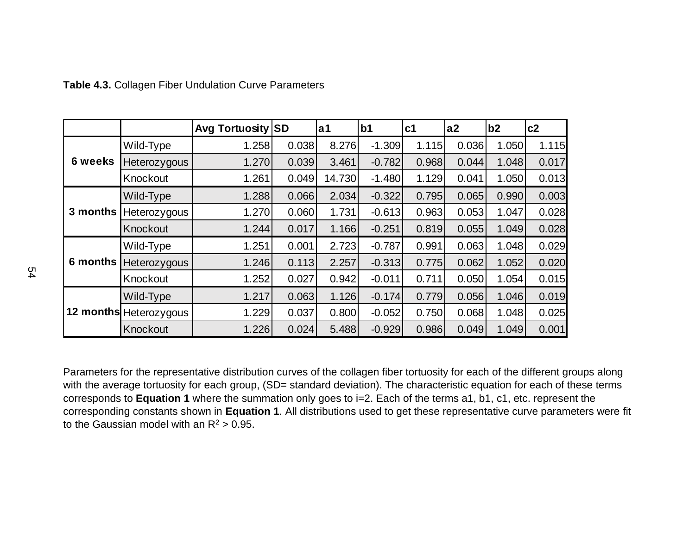| Table 4.3. Collagen Fiber Undulation Curve Parameters |                        |                          |       |                |                |                |       |       |       |  |
|-------------------------------------------------------|------------------------|--------------------------|-------|----------------|----------------|----------------|-------|-------|-------|--|
|                                                       |                        | <b>Avg Tortuosity SD</b> |       | a <sub>1</sub> | b <sub>1</sub> | c <sub>1</sub> | a2    | b2    | c2    |  |
| <b>6 weeks</b>                                        | Wild-Type              | 1.258                    | 0.038 | 8.276          | $-1.309$       | 1.115          | 0.036 | 1.050 | 1.115 |  |
|                                                       | Heterozygous           | 1.270                    | 0.039 | 3.461          | $-0.782$       | 0.968          | 0.044 | 1.048 | 0.017 |  |
|                                                       | Knockout               | 1.261                    | 0.049 | 14.730         | $-1.480$       | 1.129          | 0.041 | 1.050 | 0.013 |  |
| 3 months                                              | Wild-Type              | 1.288                    | 0.066 | 2.034          | $-0.322$       | 0.795          | 0.065 | 0.990 | 0.003 |  |
|                                                       | Heterozygous           | 1.270                    | 0.060 | 1.731          | $-0.613$       | 0.963          | 0.053 | 1.047 | 0.028 |  |
|                                                       | Knockout               | 1.244                    | 0.017 | 1.166          | $-0.251$       | 0.819          | 0.055 | 1.049 | 0.028 |  |
| 6 months                                              | Wild-Type              | 1.251                    | 0.001 | 2.723          | $-0.787$       | 0.991          | 0.063 | 1.048 | 0.029 |  |
|                                                       | Heterozygous           | 1.246                    | 0.113 | 2.257          | $-0.313$       | 0.775          | 0.062 | 1.052 | 0.020 |  |
|                                                       | Knockout               | 1.252                    | 0.027 | 0.942          | $-0.011$       | 0.711          | 0.050 | 1.054 | 0.015 |  |
|                                                       | Wild-Type              | 1.217                    | 0.063 | 1.126          | $-0.174$       | 0.779          | 0.056 | 1.046 | 0.019 |  |
|                                                       | 12 months Heterozygous | 1.229                    | 0.037 | 0.800          | $-0.052$       | 0.750          | 0.068 | 1.048 | 0.025 |  |
|                                                       | Knockout               | 1.226                    | 0.024 | 5.488          | $-0.929$       | 0.986          | 0.049 | 1.049 | 0.001 |  |

Parameters for the representative distribution curves of the collagen fiber tortuosity for each of the different groups along with the average tortuosity for each group, (SD= standard deviation). The characteristic equation for each of these terms corresponds to **Equation 1** where the summation only goes to i=2. Each of the terms a1, b1, c1, etc. represent the corresponding constants shown in **Equation 1**. All distributions used to get these representative curve parameters were fit to the Gaussian model with an  $R^2 > 0.95$ .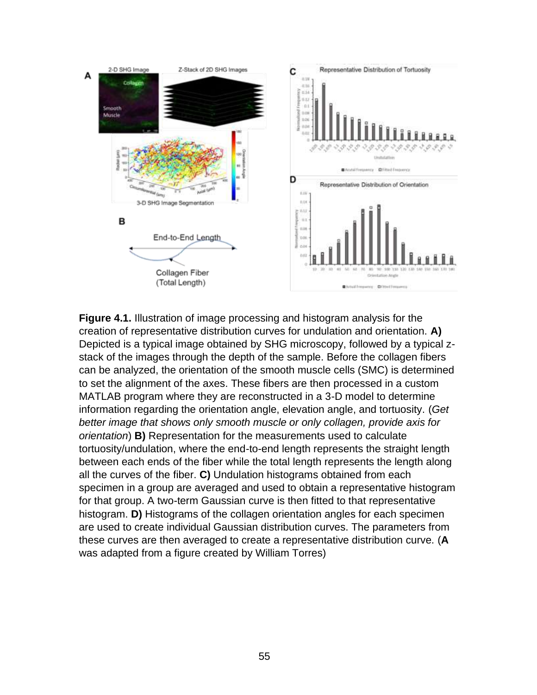

**Figure 4.1.** Illustration of image processing and histogram analysis for the creation of representative distribution curves for undulation and orientation. **A)** Depicted is a typical image obtained by SHG microscopy, followed by a typical zstack of the images through the depth of the sample. Before the collagen fibers can be analyzed, the orientation of the smooth muscle cells (SMC) is determined to set the alignment of the axes. These fibers are then processed in a custom MATLAB program where they are reconstructed in a 3-D model to determine information regarding the orientation angle, elevation angle, and tortuosity. (*Get better image that shows only smooth muscle or only collagen, provide axis for orientation*) **B)** Representation for the measurements used to calculate tortuosity/undulation, where the end-to-end length represents the straight length between each ends of the fiber while the total length represents the length along all the curves of the fiber. **C)** Undulation histograms obtained from each specimen in a group are averaged and used to obtain a representative histogram for that group. A two-term Gaussian curve is then fitted to that representative histogram. **D)** Histograms of the collagen orientation angles for each specimen are used to create individual Gaussian distribution curves. The parameters from these curves are then averaged to create a representative distribution curve. (**A**  was adapted from a figure created by William Torres)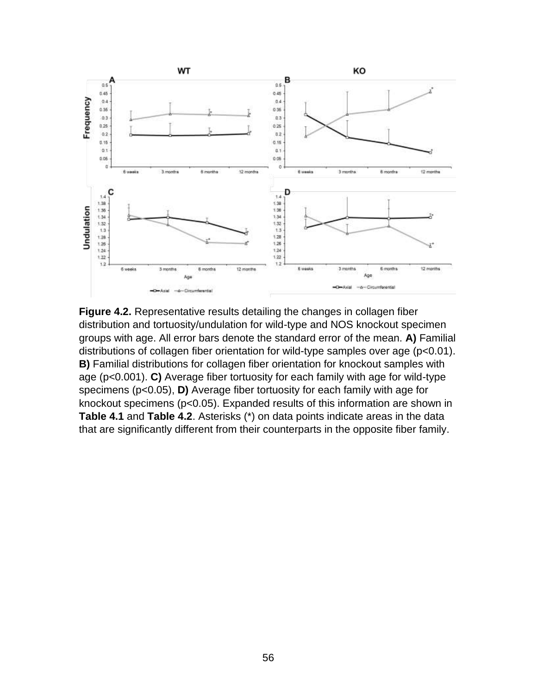

**Figure 4.2.** Representative results detailing the changes in collagen fiber distribution and tortuosity/undulation for wild-type and NOS knockout specimen groups with age. All error bars denote the standard error of the mean. **A)** Familial distributions of collagen fiber orientation for wild-type samples over age (p<0.01). **B)** Familial distributions for collagen fiber orientation for knockout samples with age (p<0.001). **C)** Average fiber tortuosity for each family with age for wild-type specimens (p<0.05), **D)** Average fiber tortuosity for each family with age for knockout specimens (p<0.05). Expanded results of this information are shown in **Table 4.1** and **Table 4.2**. Asterisks (\*) on data points indicate areas in the data that are significantly different from their counterparts in the opposite fiber family.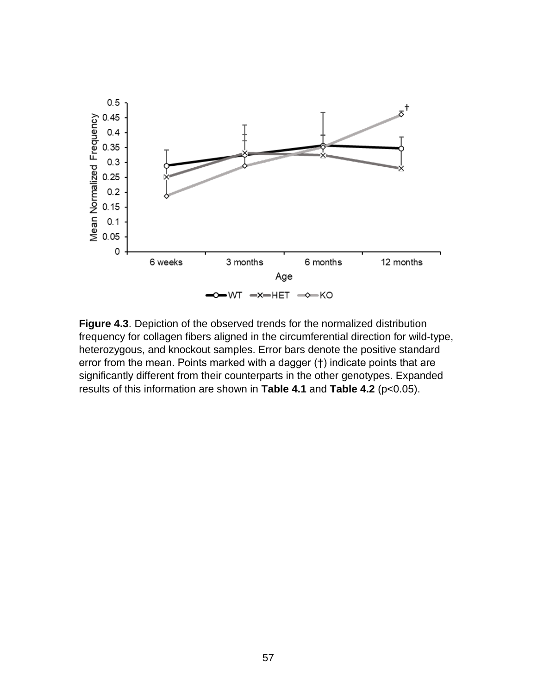

**Figure 4.3**. Depiction of the observed trends for the normalized distribution frequency for collagen fibers aligned in the circumferential direction for wild-type, heterozygous, and knockout samples. Error bars denote the positive standard error from the mean. Points marked with a dagger (†) indicate points that are significantly different from their counterparts in the other genotypes. Expanded results of this information are shown in **Table 4.1** and **Table 4.2** (p<0.05).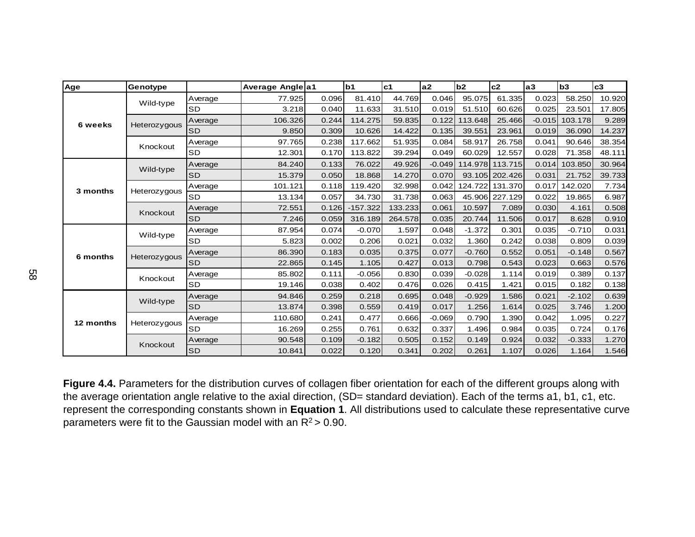| Age       | Genotype                  |           | Average Anglea1 |       | lb1        | c <sub>1</sub> | a2       | b <sub>2</sub> | c2             | la3      | b <sub>3</sub> | c <sub>3</sub> |
|-----------|---------------------------|-----------|-----------------|-------|------------|----------------|----------|----------------|----------------|----------|----------------|----------------|
|           | Wild-type                 | Average   | 77.925          | 0.096 | 81.410     | 44.769         | 0.046    | 95.075         | 61.335         | 0.023    | 58.250         | 10.920         |
|           |                           | <b>SD</b> | 3.218           | 0.040 | 11.633     | 31.510         | 0.019    | 51.510         | 60.626         | 0.025    | 23.501         | 17.805         |
| 6 weeks   | Heterozygous              | Average   | 106.326         | 0.244 | 114.275    | 59.835         | 0.122    | 113.648        | 25.466         | $-0.015$ | 103.178        | 9.289          |
|           |                           | <b>SD</b> | 9.850           | 0.309 | 10.626     | 14.422         | 0.135    | 39.551         | 23.961         | 0.019    | 36.090         | 14.237         |
|           | Knockout                  | Average   | 97.765          | 0.238 | 117.662    | 51.935         | 0.084    | 58.917         | 26.758         | 0.041    | 90.646         | 38.354         |
|           |                           | <b>SD</b> | 12.301          | 0.170 | 113.822    | 39.294         | 0.049    | 60.029         | 12.557         | 0.028    | 71.358         | 48.111         |
| 3 months  | Wild-type                 | Average   | 84.240          | 0.133 | 76.022     | 49.926         | $-0.049$ | 114.978        | 113.715        | 0.014    | 103.850        | 30.964         |
|           |                           | <b>SD</b> | 15.379          | 0.050 | 18.868     | 14.270         | 0.070    |                | 93.105 202.426 | 0.031    | 21.752         | 39.733         |
|           | Heterozygous              | Average   | 101.121         | 0.118 | 119.420    | 32.998         | 0.042    | 124.722        | 131.370        | 0.017    | 142.020        | 7.734          |
|           |                           | <b>SD</b> | 13.134          | 0.057 | 34.730     | 31.738         | 0.063    | 45.906         | 227.129        | 0.022    | 19.865         | 6.987          |
|           | Knockout                  | Average   | 72.551          | 0.126 | $-157.322$ | 133.233        | 0.061    | 10.597         | 7.089          | 0.030    | 4.161          | 0.508          |
|           |                           | <b>SD</b> | 7.246           | 0.059 | 316.189    | 264.578        | 0.035    | 20.744         | 11.506         | 0.017    | 8.628          | 0.910          |
|           | Wild-type<br>Heterozygous | Average   | 87.954          | 0.074 | $-0.070$   | 1.597          | 0.048    | $-1.372$       | 0.301          | 0.035    | $-0.710$       | 0.031          |
|           |                           | <b>SD</b> | 5.823           | 0.002 | 0.206      | 0.021          | 0.032    | 1.360          | 0.242          | 0.038    | 0.809          | 0.039          |
| 6 months  |                           | Average   | 86.390          | 0.183 | 0.035      | 0.375          | 0.077    | $-0.760$       | 0.552          | 0.051    | $-0.148$       | 0.567          |
|           |                           | <b>SD</b> | 22.865          | 0.145 | 1.105      | 0.427          | 0.013    | 0.798          | 0.543          | 0.023    | 0.663          | 0.576          |
|           | Knockout                  | Average   | 85.802          | 0.111 | $-0.056$   | 0.830          | 0.039    | $-0.028$       | 1.114          | 0.019    | 0.389          | 0.137          |
|           |                           | <b>SD</b> | 19.146          | 0.038 | 0.402      | 0.476          | 0.026    | 0.415          | 1.421          | 0.015    | 0.182          | 0.138          |
|           | Wild-type                 | Average   | 94.846          | 0.259 | 0.218      | 0.695          | 0.048    | $-0.929$       | 1.586          | 0.021    | $-2.102$       | 0.639          |
|           | Heterozygous              | <b>SD</b> | 13.874          | 0.398 | 0.559      | 0.419          | 0.017    | 1.256          | 1.614          | 0.025    | 3.746          | 1.200          |
| 12 months |                           | Average   | 110.680         | 0.241 | 0.477      | 0.666          | $-0.069$ | 0.790          | 1.390          | 0.042    | 1.095          | 0.227          |
|           |                           | <b>SD</b> | 16.269          | 0.255 | 0.761      | 0.632          | 0.337    | 1.496          | 0.984          | 0.035    | 0.724          | 0.176          |
|           | Knockout                  | Average   | 90.548          | 0.109 | $-0.182$   | 0.505          | 0.152    | 0.149          | 0.924          | 0.032    | $-0.333$       | 1.270          |
|           |                           | <b>SD</b> | 10.841          | 0.022 | 0.120      | 0.341          | 0.202    | 0.261          | 1.107          | 0.026    | 1.164          | 1.546          |
|           |                           |           |                 |       |            |                |          |                |                |          |                |                |

**Figure 4.4.** Parameters for the distribution curves of collagen fiber orientation for each of the different groups along with the average orientation angle relative to the axial direction, (SD= standard deviation). Each of the terms a1, b1, c1, etc. represent the corresponding constants shown in **Equation 1**. All distributions used to calculate these representative curve parameters were fit to the Gaussian model with an  $R^2$  > 0.90.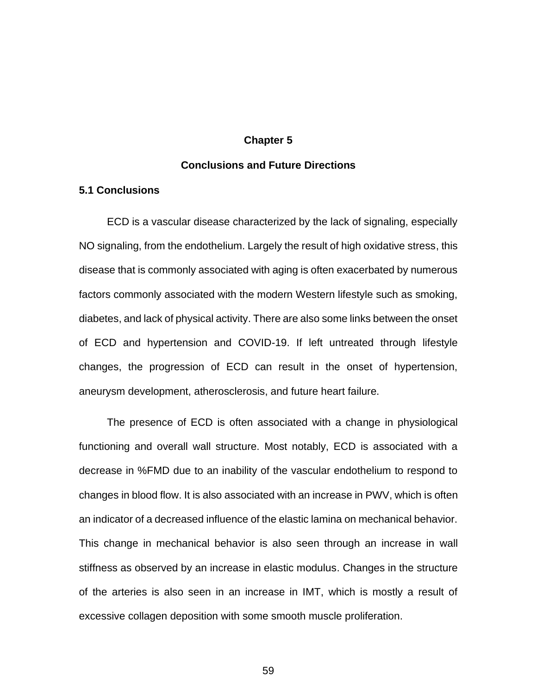### **Chapter 5**

# **Conclusions and Future Directions**

# **5.1 Conclusions**

ECD is a vascular disease characterized by the lack of signaling, especially NO signaling, from the endothelium. Largely the result of high oxidative stress, this disease that is commonly associated with aging is often exacerbated by numerous factors commonly associated with the modern Western lifestyle such as smoking, diabetes, and lack of physical activity. There are also some links between the onset of ECD and hypertension and COVID-19. If left untreated through lifestyle changes, the progression of ECD can result in the onset of hypertension, aneurysm development, atherosclerosis, and future heart failure.

The presence of ECD is often associated with a change in physiological functioning and overall wall structure. Most notably, ECD is associated with a decrease in %FMD due to an inability of the vascular endothelium to respond to changes in blood flow. It is also associated with an increase in PWV, which is often an indicator of a decreased influence of the elastic lamina on mechanical behavior. This change in mechanical behavior is also seen through an increase in wall stiffness as observed by an increase in elastic modulus. Changes in the structure of the arteries is also seen in an increase in IMT, which is mostly a result of excessive collagen deposition with some smooth muscle proliferation.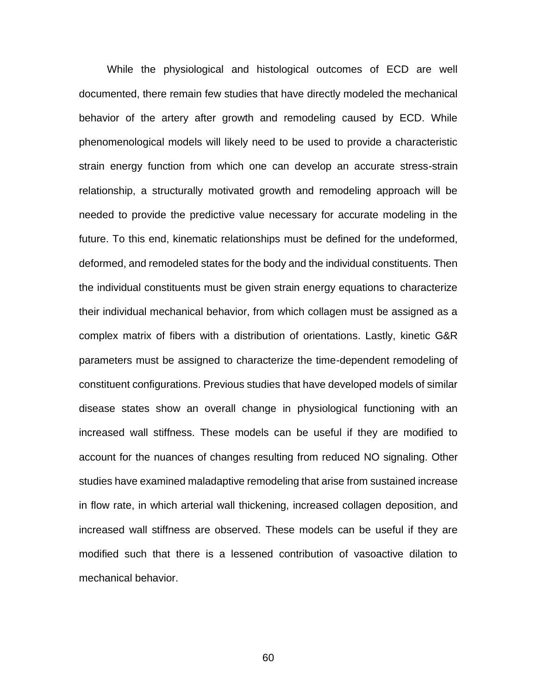While the physiological and histological outcomes of ECD are well documented, there remain few studies that have directly modeled the mechanical behavior of the artery after growth and remodeling caused by ECD. While phenomenological models will likely need to be used to provide a characteristic strain energy function from which one can develop an accurate stress-strain relationship, a structurally motivated growth and remodeling approach will be needed to provide the predictive value necessary for accurate modeling in the future. To this end, kinematic relationships must be defined for the undeformed, deformed, and remodeled states for the body and the individual constituents. Then the individual constituents must be given strain energy equations to characterize their individual mechanical behavior, from which collagen must be assigned as a complex matrix of fibers with a distribution of orientations. Lastly, kinetic G&R parameters must be assigned to characterize the time-dependent remodeling of constituent configurations. Previous studies that have developed models of similar disease states show an overall change in physiological functioning with an increased wall stiffness. These models can be useful if they are modified to account for the nuances of changes resulting from reduced NO signaling. Other studies have examined maladaptive remodeling that arise from sustained increase in flow rate, in which arterial wall thickening, increased collagen deposition, and increased wall stiffness are observed. These models can be useful if they are modified such that there is a lessened contribution of vasoactive dilation to mechanical behavior.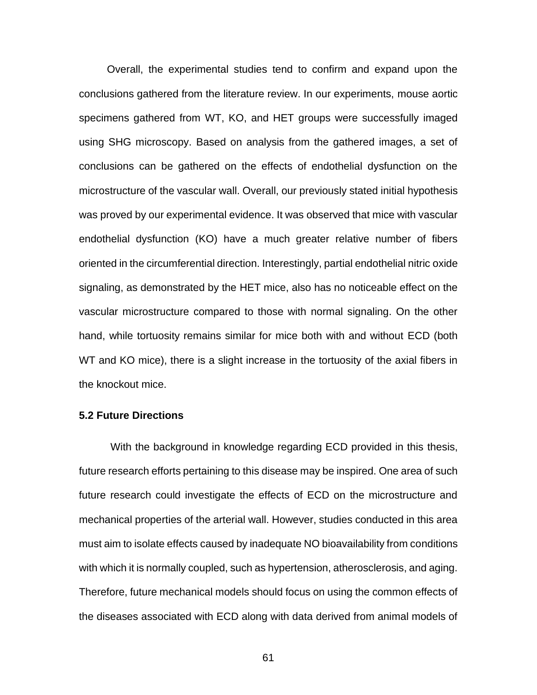Overall, the experimental studies tend to confirm and expand upon the conclusions gathered from the literature review. In our experiments, mouse aortic specimens gathered from WT, KO, and HET groups were successfully imaged using SHG microscopy. Based on analysis from the gathered images, a set of conclusions can be gathered on the effects of endothelial dysfunction on the microstructure of the vascular wall. Overall, our previously stated initial hypothesis was proved by our experimental evidence. It was observed that mice with vascular endothelial dysfunction (KO) have a much greater relative number of fibers oriented in the circumferential direction. Interestingly, partial endothelial nitric oxide signaling, as demonstrated by the HET mice, also has no noticeable effect on the vascular microstructure compared to those with normal signaling. On the other hand, while tortuosity remains similar for mice both with and without ECD (both WT and KO mice), there is a slight increase in the tortuosity of the axial fibers in the knockout mice.

## **5.2 Future Directions**

With the background in knowledge regarding ECD provided in this thesis, future research efforts pertaining to this disease may be inspired. One area of such future research could investigate the effects of ECD on the microstructure and mechanical properties of the arterial wall. However, studies conducted in this area must aim to isolate effects caused by inadequate NO bioavailability from conditions with which it is normally coupled, such as hypertension, atherosclerosis, and aging. Therefore, future mechanical models should focus on using the common effects of the diseases associated with ECD along with data derived from animal models of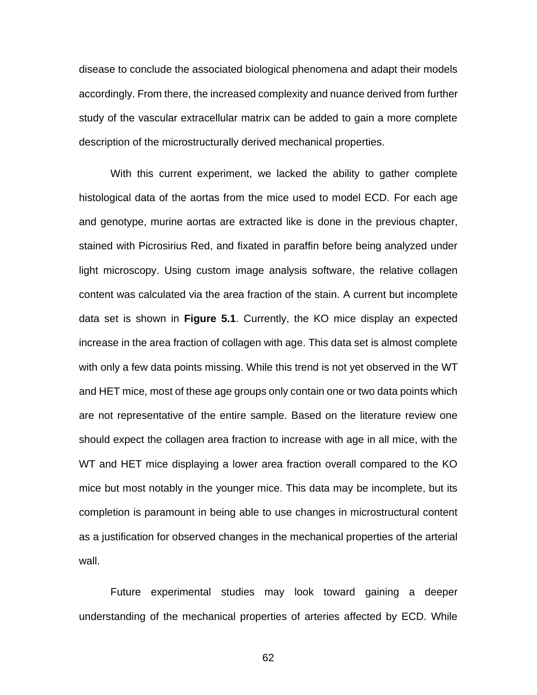disease to conclude the associated biological phenomena and adapt their models accordingly. From there, the increased complexity and nuance derived from further study of the vascular extracellular matrix can be added to gain a more complete description of the microstructurally derived mechanical properties.

With this current experiment, we lacked the ability to gather complete histological data of the aortas from the mice used to model ECD. For each age and genotype, murine aortas are extracted like is done in the previous chapter, stained with Picrosirius Red, and fixated in paraffin before being analyzed under light microscopy. Using custom image analysis software, the relative collagen content was calculated via the area fraction of the stain. A current but incomplete data set is shown in **Figure 5.1**. Currently, the KO mice display an expected increase in the area fraction of collagen with age. This data set is almost complete with only a few data points missing. While this trend is not yet observed in the WT and HET mice, most of these age groups only contain one or two data points which are not representative of the entire sample. Based on the literature review one should expect the collagen area fraction to increase with age in all mice, with the WT and HET mice displaying a lower area fraction overall compared to the KO mice but most notably in the younger mice. This data may be incomplete, but its completion is paramount in being able to use changes in microstructural content as a justification for observed changes in the mechanical properties of the arterial wall.

Future experimental studies may look toward gaining a deeper understanding of the mechanical properties of arteries affected by ECD. While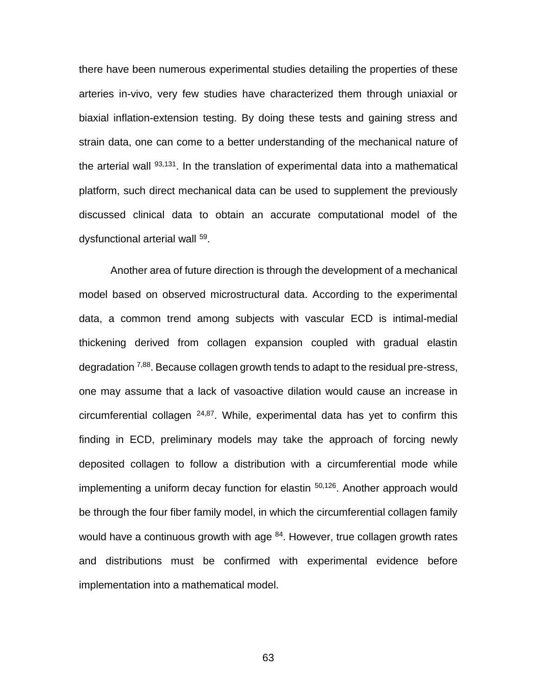there have been numerous experimental studies detailing the properties of these arteries in-vivo, very few studies have characterized them through uniaxial or biaxial inflation-extension testing. By doing these tests and gaining stress and strain data, one can come to a better understanding of the mechanical nature of the arterial wall <sup>93,131</sup>. In the translation of experimental data into a mathematical platform, such direct mechanical data can be used to supplement the previously discussed clinical data to obtain an accurate computational model of the dysfunctional arterial wall <sup>59</sup>.

Another area of future direction is through the development of a mechanical model based on observed microstructural data. According to the experimental data, a common trend among subjects with vascular ECD is intimal-medial thickening derived from collagen expansion coupled with gradual elastin degradation  $^{7,88}$ . Because collagen growth tends to adapt to the residual pre-stress, one may assume that a lack of vasoactive dilation would cause an increase in circumferential collagen  $24,87$ . While, experimental data has yet to confirm this finding in ECD, preliminary models may take the approach of forcing newly deposited collagen to follow a distribution with a circumferential mode while implementing a uniform decay function for elastin <sup>50,126</sup>. Another approach would be through the four fiber family model, in which the circumferential collagen family would have a continuous growth with age  $84$ . However, true collagen growth rates and distributions must be confirmed with experimental evidence before implementation into a mathematical model.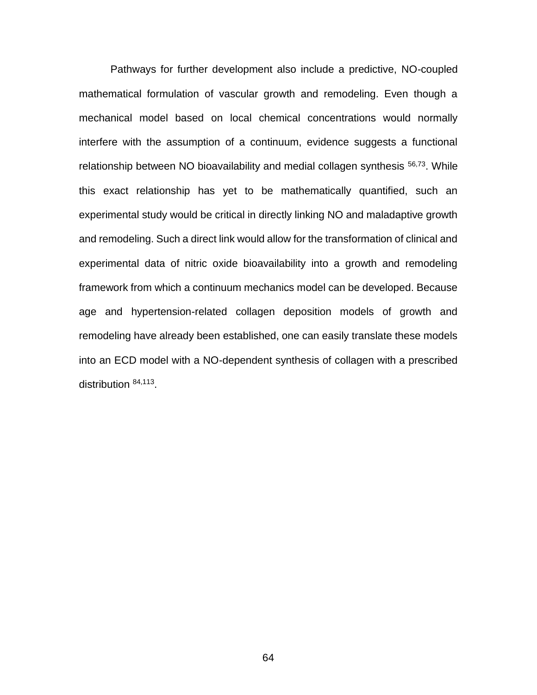Pathways for further development also include a predictive, NO-coupled mathematical formulation of vascular growth and remodeling. Even though a mechanical model based on local chemical concentrations would normally interfere with the assumption of a continuum, evidence suggests a functional relationship between NO bioavailability and medial collagen synthesis  $56,73$ . While this exact relationship has yet to be mathematically quantified, such an experimental study would be critical in directly linking NO and maladaptive growth and remodeling. Such a direct link would allow for the transformation of clinical and experimental data of nitric oxide bioavailability into a growth and remodeling framework from which a continuum mechanics model can be developed. Because age and hypertension-related collagen deposition models of growth and remodeling have already been established, one can easily translate these models into an ECD model with a NO-dependent synthesis of collagen with a prescribed distribution 84,113.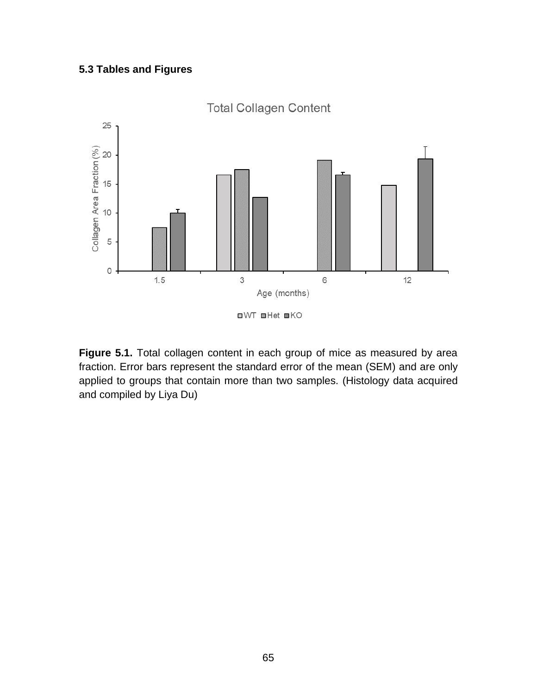# **5.3 Tables and Figures**



**Total Collagen Content** 

**Figure 5.1.** Total collagen content in each group of mice as measured by area fraction. Error bars represent the standard error of the mean (SEM) and are only applied to groups that contain more than two samples. (Histology data acquired and compiled by Liya Du)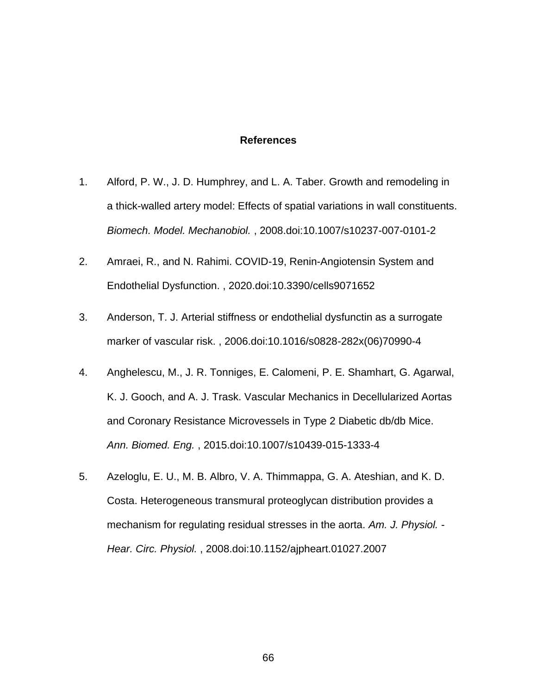### **References**

- 1. Alford, P. W., J. D. Humphrey, and L. A. Taber. Growth and remodeling in a thick-walled artery model: Effects of spatial variations in wall constituents. *Biomech. Model. Mechanobiol.* , 2008.doi:10.1007/s10237-007-0101-2
- 2. Amraei, R., and N. Rahimi. COVID-19, Renin-Angiotensin System and Endothelial Dysfunction. , 2020.doi:10.3390/cells9071652
- 3. Anderson, T. J. Arterial stiffness or endothelial dysfunctin as a surrogate marker of vascular risk. , 2006.doi:10.1016/s0828-282x(06)70990-4
- 4. Anghelescu, M., J. R. Tonniges, E. Calomeni, P. E. Shamhart, G. Agarwal, K. J. Gooch, and A. J. Trask. Vascular Mechanics in Decellularized Aortas and Coronary Resistance Microvessels in Type 2 Diabetic db/db Mice. *Ann. Biomed. Eng.* , 2015.doi:10.1007/s10439-015-1333-4
- 5. Azeloglu, E. U., M. B. Albro, V. A. Thimmappa, G. A. Ateshian, and K. D. Costa. Heterogeneous transmural proteoglycan distribution provides a mechanism for regulating residual stresses in the aorta. *Am. J. Physiol. - Hear. Circ. Physiol.* , 2008.doi:10.1152/ajpheart.01027.2007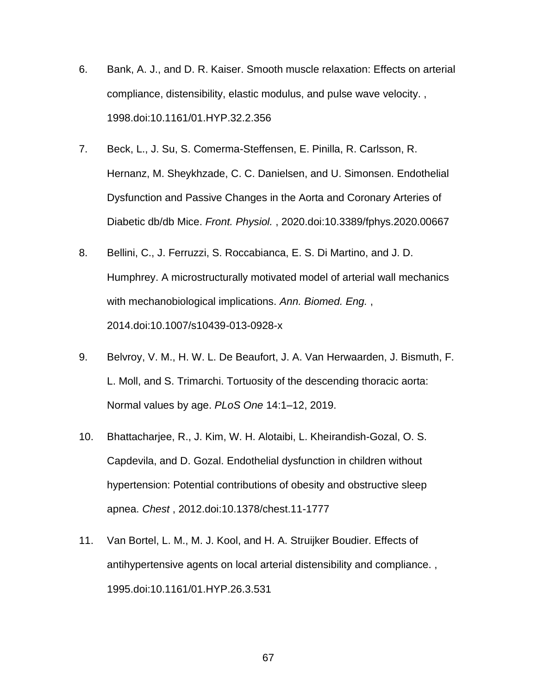- 6. Bank, A. J., and D. R. Kaiser. Smooth muscle relaxation: Effects on arterial compliance, distensibility, elastic modulus, and pulse wave velocity. , 1998.doi:10.1161/01.HYP.32.2.356
- 7. Beck, L., J. Su, S. Comerma-Steffensen, E. Pinilla, R. Carlsson, R. Hernanz, M. Sheykhzade, C. C. Danielsen, and U. Simonsen. Endothelial Dysfunction and Passive Changes in the Aorta and Coronary Arteries of Diabetic db/db Mice. *Front. Physiol.* , 2020.doi:10.3389/fphys.2020.00667
- 8. Bellini, C., J. Ferruzzi, S. Roccabianca, E. S. Di Martino, and J. D. Humphrey. A microstructurally motivated model of arterial wall mechanics with mechanobiological implications. *Ann. Biomed. Eng.* , 2014.doi:10.1007/s10439-013-0928-x
- 9. Belvroy, V. M., H. W. L. De Beaufort, J. A. Van Herwaarden, J. Bismuth, F. L. Moll, and S. Trimarchi. Tortuosity of the descending thoracic aorta: Normal values by age. *PLoS One* 14:1–12, 2019.
- 10. Bhattacharjee, R., J. Kim, W. H. Alotaibi, L. Kheirandish-Gozal, O. S. Capdevila, and D. Gozal. Endothelial dysfunction in children without hypertension: Potential contributions of obesity and obstructive sleep apnea. *Chest* , 2012.doi:10.1378/chest.11-1777
- 11. Van Bortel, L. M., M. J. Kool, and H. A. Struijker Boudier. Effects of antihypertensive agents on local arterial distensibility and compliance. , 1995.doi:10.1161/01.HYP.26.3.531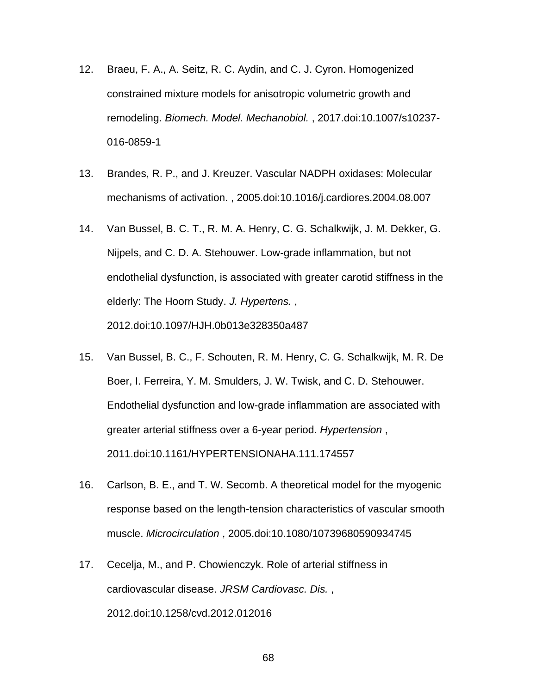- 12. Braeu, F. A., A. Seitz, R. C. Aydin, and C. J. Cyron. Homogenized constrained mixture models for anisotropic volumetric growth and remodeling. *Biomech. Model. Mechanobiol.* , 2017.doi:10.1007/s10237- 016-0859-1
- 13. Brandes, R. P., and J. Kreuzer. Vascular NADPH oxidases: Molecular mechanisms of activation. , 2005.doi:10.1016/j.cardiores.2004.08.007
- 14. Van Bussel, B. C. T., R. M. A. Henry, C. G. Schalkwijk, J. M. Dekker, G. Nijpels, and C. D. A. Stehouwer. Low-grade inflammation, but not endothelial dysfunction, is associated with greater carotid stiffness in the elderly: The Hoorn Study. *J. Hypertens.* , 2012.doi:10.1097/HJH.0b013e328350a487
- 15. Van Bussel, B. C., F. Schouten, R. M. Henry, C. G. Schalkwijk, M. R. De Boer, I. Ferreira, Y. M. Smulders, J. W. Twisk, and C. D. Stehouwer. Endothelial dysfunction and low-grade inflammation are associated with greater arterial stiffness over a 6-year period. *Hypertension* , 2011.doi:10.1161/HYPERTENSIONAHA.111.174557
- 16. Carlson, B. E., and T. W. Secomb. A theoretical model for the myogenic response based on the length-tension characteristics of vascular smooth muscle. *Microcirculation* , 2005.doi:10.1080/10739680590934745
- 17. Cecelja, M., and P. Chowienczyk. Role of arterial stiffness in cardiovascular disease. *JRSM Cardiovasc. Dis.* , 2012.doi:10.1258/cvd.2012.012016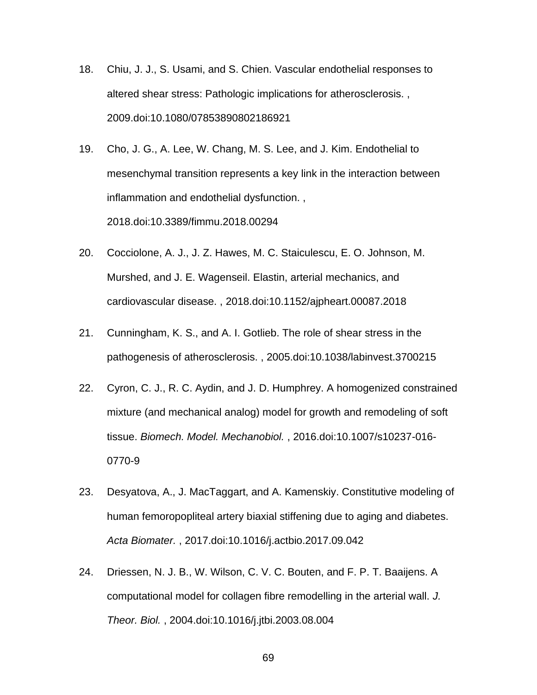- 18. Chiu, J. J., S. Usami, and S. Chien. Vascular endothelial responses to altered shear stress: Pathologic implications for atherosclerosis. , 2009.doi:10.1080/07853890802186921
- 19. Cho, J. G., A. Lee, W. Chang, M. S. Lee, and J. Kim. Endothelial to mesenchymal transition represents a key link in the interaction between inflammation and endothelial dysfunction. , 2018.doi:10.3389/fimmu.2018.00294
- 20. Cocciolone, A. J., J. Z. Hawes, M. C. Staiculescu, E. O. Johnson, M. Murshed, and J. E. Wagenseil. Elastin, arterial mechanics, and cardiovascular disease. , 2018.doi:10.1152/ajpheart.00087.2018
- 21. Cunningham, K. S., and A. I. Gotlieb. The role of shear stress in the pathogenesis of atherosclerosis. , 2005.doi:10.1038/labinvest.3700215
- 22. Cyron, C. J., R. C. Aydin, and J. D. Humphrey. A homogenized constrained mixture (and mechanical analog) model for growth and remodeling of soft tissue. *Biomech. Model. Mechanobiol.* , 2016.doi:10.1007/s10237-016- 0770-9
- 23. Desyatova, A., J. MacTaggart, and A. Kamenskiy. Constitutive modeling of human femoropopliteal artery biaxial stiffening due to aging and diabetes. *Acta Biomater.* , 2017.doi:10.1016/j.actbio.2017.09.042
- 24. Driessen, N. J. B., W. Wilson, C. V. C. Bouten, and F. P. T. Baaijens. A computational model for collagen fibre remodelling in the arterial wall. *J. Theor. Biol.* , 2004.doi:10.1016/j.jtbi.2003.08.004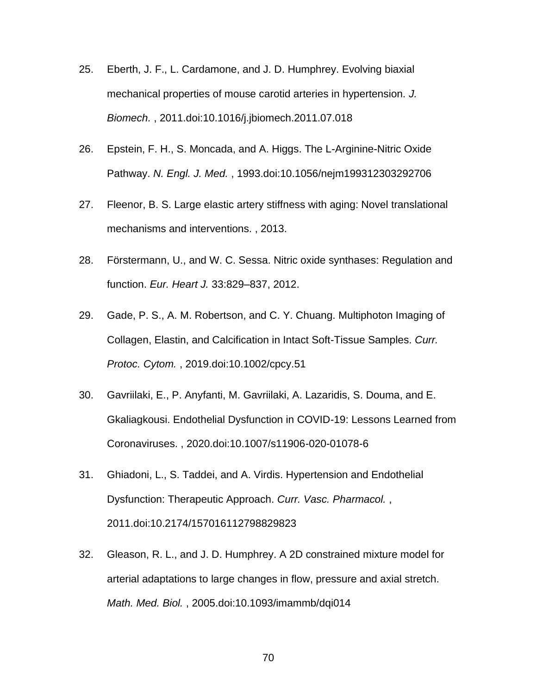- 25. Eberth, J. F., L. Cardamone, and J. D. Humphrey. Evolving biaxial mechanical properties of mouse carotid arteries in hypertension. *J. Biomech.* , 2011.doi:10.1016/j.jbiomech.2011.07.018
- 26. Epstein, F. H., S. Moncada, and A. Higgs. The L-Arginine-Nitric Oxide Pathway. *N. Engl. J. Med.* , 1993.doi:10.1056/nejm199312303292706
- 27. Fleenor, B. S. Large elastic artery stiffness with aging: Novel translational mechanisms and interventions. , 2013.
- 28. Förstermann, U., and W. C. Sessa. Nitric oxide synthases: Regulation and function. *Eur. Heart J.* 33:829–837, 2012.
- 29. Gade, P. S., A. M. Robertson, and C. Y. Chuang. Multiphoton Imaging of Collagen, Elastin, and Calcification in Intact Soft-Tissue Samples. *Curr. Protoc. Cytom.* , 2019.doi:10.1002/cpcy.51
- 30. Gavriilaki, E., P. Anyfanti, M. Gavriilaki, A. Lazaridis, S. Douma, and E. Gkaliagkousi. Endothelial Dysfunction in COVID-19: Lessons Learned from Coronaviruses. , 2020.doi:10.1007/s11906-020-01078-6
- 31. Ghiadoni, L., S. Taddei, and A. Virdis. Hypertension and Endothelial Dysfunction: Therapeutic Approach. *Curr. Vasc. Pharmacol.* , 2011.doi:10.2174/157016112798829823
- 32. Gleason, R. L., and J. D. Humphrey. A 2D constrained mixture model for arterial adaptations to large changes in flow, pressure and axial stretch. *Math. Med. Biol.* , 2005.doi:10.1093/imammb/dqi014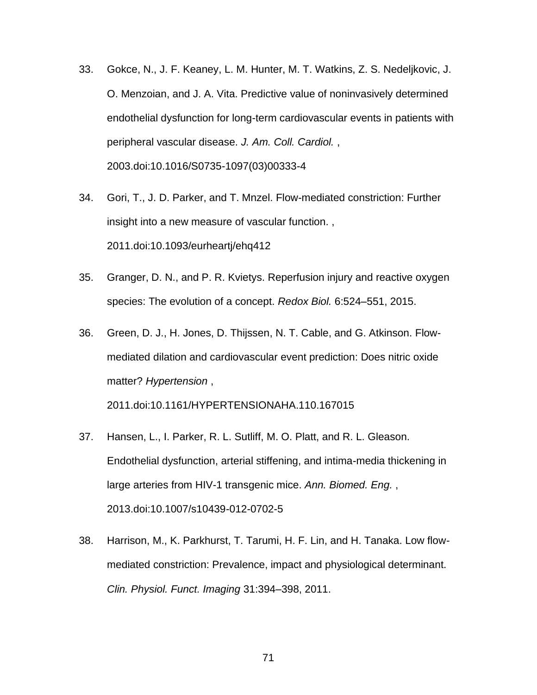- 33. Gokce, N., J. F. Keaney, L. M. Hunter, M. T. Watkins, Z. S. Nedeljkovic, J. O. Menzoian, and J. A. Vita. Predictive value of noninvasively determined endothelial dysfunction for long-term cardiovascular events in patients with peripheral vascular disease. *J. Am. Coll. Cardiol.* , 2003.doi:10.1016/S0735-1097(03)00333-4
- 34. Gori, T., J. D. Parker, and T. Mnzel. Flow-mediated constriction: Further insight into a new measure of vascular function. , 2011.doi:10.1093/eurheartj/ehq412
- 35. Granger, D. N., and P. R. Kvietys. Reperfusion injury and reactive oxygen species: The evolution of a concept. *Redox Biol.* 6:524–551, 2015.
- 36. Green, D. J., H. Jones, D. Thijssen, N. T. Cable, and G. Atkinson. Flowmediated dilation and cardiovascular event prediction: Does nitric oxide matter? *Hypertension* ,

2011.doi:10.1161/HYPERTENSIONAHA.110.167015

- 37. Hansen, L., I. Parker, R. L. Sutliff, M. O. Platt, and R. L. Gleason. Endothelial dysfunction, arterial stiffening, and intima-media thickening in large arteries from HIV-1 transgenic mice. *Ann. Biomed. Eng.* , 2013.doi:10.1007/s10439-012-0702-5
- 38. Harrison, M., K. Parkhurst, T. Tarumi, H. F. Lin, and H. Tanaka. Low flowmediated constriction: Prevalence, impact and physiological determinant. *Clin. Physiol. Funct. Imaging* 31:394–398, 2011.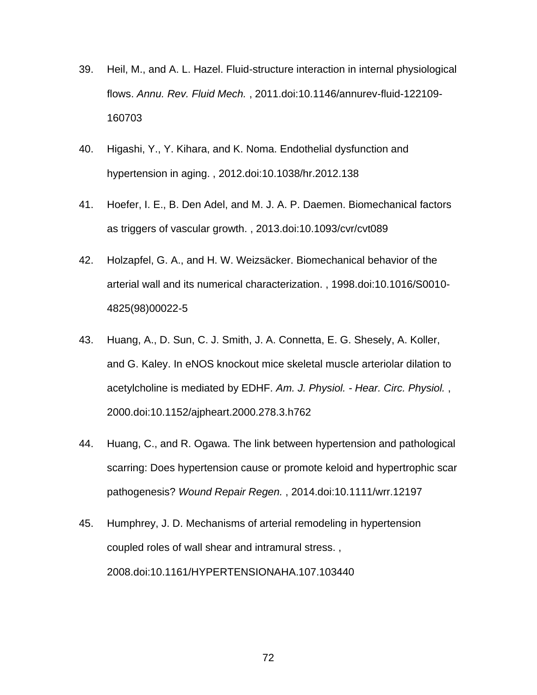- 39. Heil, M., and A. L. Hazel. Fluid-structure interaction in internal physiological flows. *Annu. Rev. Fluid Mech.* , 2011.doi:10.1146/annurev-fluid-122109- 160703
- 40. Higashi, Y., Y. Kihara, and K. Noma. Endothelial dysfunction and hypertension in aging. , 2012.doi:10.1038/hr.2012.138
- 41. Hoefer, I. E., B. Den Adel, and M. J. A. P. Daemen. Biomechanical factors as triggers of vascular growth. , 2013.doi:10.1093/cvr/cvt089
- 42. Holzapfel, G. A., and H. W. Weizsäcker. Biomechanical behavior of the arterial wall and its numerical characterization. , 1998.doi:10.1016/S0010- 4825(98)00022-5
- 43. Huang, A., D. Sun, C. J. Smith, J. A. Connetta, E. G. Shesely, A. Koller, and G. Kaley. In eNOS knockout mice skeletal muscle arteriolar dilation to acetylcholine is mediated by EDHF. *Am. J. Physiol. - Hear. Circ. Physiol.* , 2000.doi:10.1152/ajpheart.2000.278.3.h762
- 44. Huang, C., and R. Ogawa. The link between hypertension and pathological scarring: Does hypertension cause or promote keloid and hypertrophic scar pathogenesis? *Wound Repair Regen.* , 2014.doi:10.1111/wrr.12197
- 45. Humphrey, J. D. Mechanisms of arterial remodeling in hypertension coupled roles of wall shear and intramural stress. , 2008.doi:10.1161/HYPERTENSIONAHA.107.103440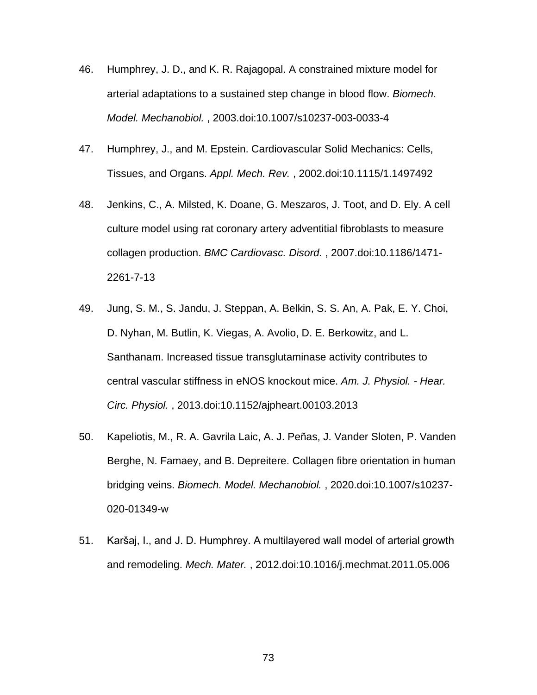- 46. Humphrey, J. D., and K. R. Rajagopal. A constrained mixture model for arterial adaptations to a sustained step change in blood flow. *Biomech. Model. Mechanobiol.* , 2003.doi:10.1007/s10237-003-0033-4
- 47. Humphrey, J., and M. Epstein. Cardiovascular Solid Mechanics: Cells, Tissues, and Organs. *Appl. Mech. Rev.* , 2002.doi:10.1115/1.1497492
- 48. Jenkins, C., A. Milsted, K. Doane, G. Meszaros, J. Toot, and D. Ely. A cell culture model using rat coronary artery adventitial fibroblasts to measure collagen production. *BMC Cardiovasc. Disord.* , 2007.doi:10.1186/1471- 2261-7-13
- 49. Jung, S. M., S. Jandu, J. Steppan, A. Belkin, S. S. An, A. Pak, E. Y. Choi, D. Nyhan, M. Butlin, K. Viegas, A. Avolio, D. E. Berkowitz, and L. Santhanam. Increased tissue transglutaminase activity contributes to central vascular stiffness in eNOS knockout mice. *Am. J. Physiol. - Hear. Circ. Physiol.* , 2013.doi:10.1152/ajpheart.00103.2013
- 50. Kapeliotis, M., R. A. Gavrila Laic, A. J. Peñas, J. Vander Sloten, P. Vanden Berghe, N. Famaey, and B. Depreitere. Collagen fibre orientation in human bridging veins. *Biomech. Model. Mechanobiol.* , 2020.doi:10.1007/s10237- 020-01349-w
- 51. Karšaj, I., and J. D. Humphrey. A multilayered wall model of arterial growth and remodeling. *Mech. Mater.* , 2012.doi:10.1016/j.mechmat.2011.05.006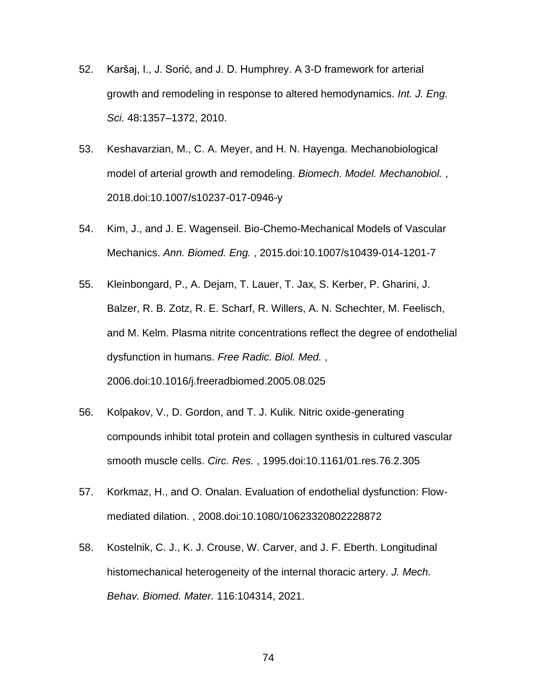- 52. Karšaj, I., J. Sorić, and J. D. Humphrey. A 3-D framework for arterial growth and remodeling in response to altered hemodynamics. *Int. J. Eng. Sci.* 48:1357–1372, 2010.
- 53. Keshavarzian, M., C. A. Meyer, and H. N. Hayenga. Mechanobiological model of arterial growth and remodeling. *Biomech. Model. Mechanobiol.* , 2018.doi:10.1007/s10237-017-0946-y
- 54. Kim, J., and J. E. Wagenseil. Bio-Chemo-Mechanical Models of Vascular Mechanics. *Ann. Biomed. Eng.* , 2015.doi:10.1007/s10439-014-1201-7
- 55. Kleinbongard, P., A. Dejam, T. Lauer, T. Jax, S. Kerber, P. Gharini, J. Balzer, R. B. Zotz, R. E. Scharf, R. Willers, A. N. Schechter, M. Feelisch, and M. Kelm. Plasma nitrite concentrations reflect the degree of endothelial dysfunction in humans. *Free Radic. Biol. Med.* , 2006.doi:10.1016/j.freeradbiomed.2005.08.025
- 56. Kolpakov, V., D. Gordon, and T. J. Kulik. Nitric oxide-generating compounds inhibit total protein and collagen synthesis in cultured vascular smooth muscle cells. *Circ. Res.* , 1995.doi:10.1161/01.res.76.2.305
- 57. Korkmaz, H., and O. Onalan. Evaluation of endothelial dysfunction: Flowmediated dilation. , 2008.doi:10.1080/10623320802228872
- 58. Kostelnik, C. J., K. J. Crouse, W. Carver, and J. F. Eberth. Longitudinal histomechanical heterogeneity of the internal thoracic artery. *J. Mech. Behav. Biomed. Mater.* 116:104314, 2021.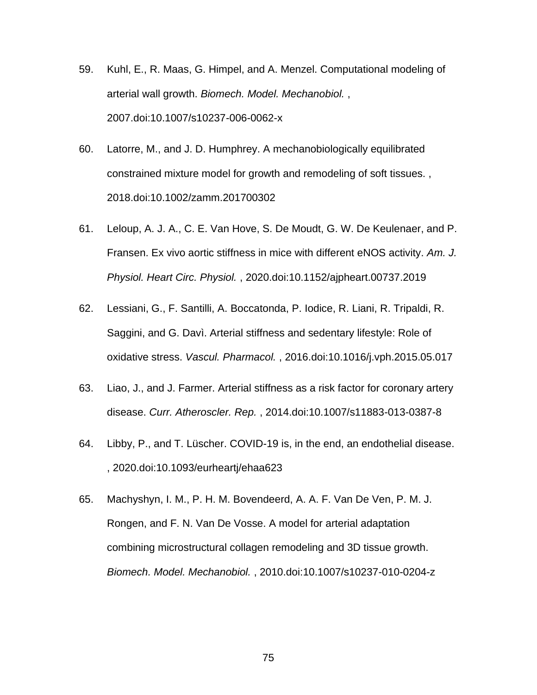- 59. Kuhl, E., R. Maas, G. Himpel, and A. Menzel. Computational modeling of arterial wall growth. *Biomech. Model. Mechanobiol.* , 2007.doi:10.1007/s10237-006-0062-x
- 60. Latorre, M., and J. D. Humphrey. A mechanobiologically equilibrated constrained mixture model for growth and remodeling of soft tissues. , 2018.doi:10.1002/zamm.201700302
- 61. Leloup, A. J. A., C. E. Van Hove, S. De Moudt, G. W. De Keulenaer, and P. Fransen. Ex vivo aortic stiffness in mice with different eNOS activity. *Am. J. Physiol. Heart Circ. Physiol.* , 2020.doi:10.1152/ajpheart.00737.2019
- 62. Lessiani, G., F. Santilli, A. Boccatonda, P. Iodice, R. Liani, R. Tripaldi, R. Saggini, and G. Davì. Arterial stiffness and sedentary lifestyle: Role of oxidative stress. *Vascul. Pharmacol.* , 2016.doi:10.1016/j.vph.2015.05.017
- 63. Liao, J., and J. Farmer. Arterial stiffness as a risk factor for coronary artery disease. *Curr. Atheroscler. Rep.* , 2014.doi:10.1007/s11883-013-0387-8
- 64. Libby, P., and T. Lüscher. COVID-19 is, in the end, an endothelial disease. , 2020.doi:10.1093/eurheartj/ehaa623
- 65. Machyshyn, I. M., P. H. M. Bovendeerd, A. A. F. Van De Ven, P. M. J. Rongen, and F. N. Van De Vosse. A model for arterial adaptation combining microstructural collagen remodeling and 3D tissue growth. *Biomech. Model. Mechanobiol.* , 2010.doi:10.1007/s10237-010-0204-z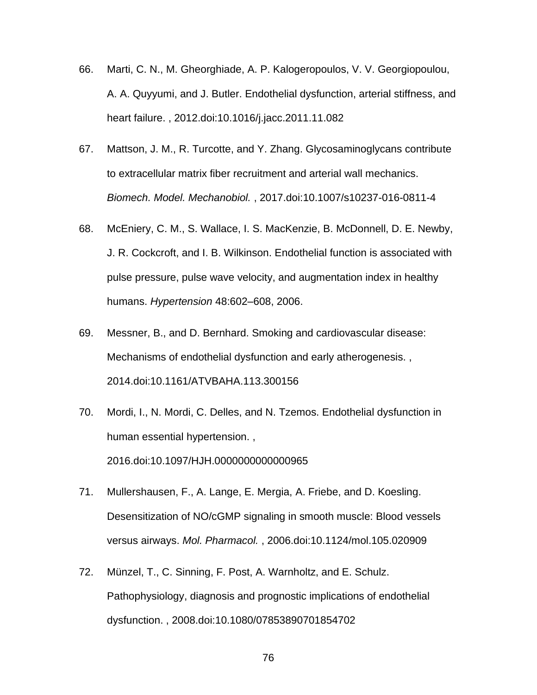- 66. Marti, C. N., M. Gheorghiade, A. P. Kalogeropoulos, V. V. Georgiopoulou, A. A. Quyyumi, and J. Butler. Endothelial dysfunction, arterial stiffness, and heart failure. , 2012.doi:10.1016/j.jacc.2011.11.082
- 67. Mattson, J. M., R. Turcotte, and Y. Zhang. Glycosaminoglycans contribute to extracellular matrix fiber recruitment and arterial wall mechanics. *Biomech. Model. Mechanobiol.* , 2017.doi:10.1007/s10237-016-0811-4
- 68. McEniery, C. M., S. Wallace, I. S. MacKenzie, B. McDonnell, D. E. Newby, J. R. Cockcroft, and I. B. Wilkinson. Endothelial function is associated with pulse pressure, pulse wave velocity, and augmentation index in healthy humans. *Hypertension* 48:602–608, 2006.
- 69. Messner, B., and D. Bernhard. Smoking and cardiovascular disease: Mechanisms of endothelial dysfunction and early atherogenesis. , 2014.doi:10.1161/ATVBAHA.113.300156
- 70. Mordi, I., N. Mordi, C. Delles, and N. Tzemos. Endothelial dysfunction in human essential hypertension. , 2016.doi:10.1097/HJH.0000000000000965
- 71. Mullershausen, F., A. Lange, E. Mergia, A. Friebe, and D. Koesling. Desensitization of NO/cGMP signaling in smooth muscle: Blood vessels versus airways. *Mol. Pharmacol.* , 2006.doi:10.1124/mol.105.020909
- 72. Münzel, T., C. Sinning, F. Post, A. Warnholtz, and E. Schulz. Pathophysiology, diagnosis and prognostic implications of endothelial dysfunction. , 2008.doi:10.1080/07853890701854702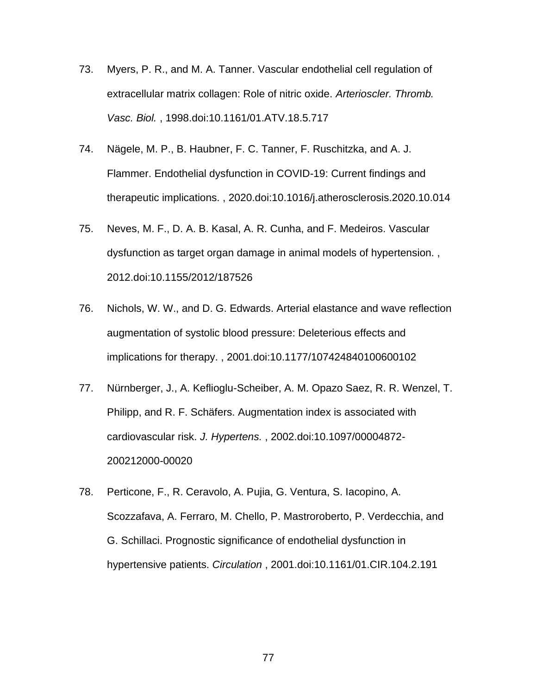- 73. Myers, P. R., and M. A. Tanner. Vascular endothelial cell regulation of extracellular matrix collagen: Role of nitric oxide. *Arterioscler. Thromb. Vasc. Biol.* , 1998.doi:10.1161/01.ATV.18.5.717
- 74. Nägele, M. P., B. Haubner, F. C. Tanner, F. Ruschitzka, and A. J. Flammer. Endothelial dysfunction in COVID-19: Current findings and therapeutic implications. , 2020.doi:10.1016/j.atherosclerosis.2020.10.014
- 75. Neves, M. F., D. A. B. Kasal, A. R. Cunha, and F. Medeiros. Vascular dysfunction as target organ damage in animal models of hypertension. , 2012.doi:10.1155/2012/187526
- 76. Nichols, W. W., and D. G. Edwards. Arterial elastance and wave reflection augmentation of systolic blood pressure: Deleterious effects and implications for therapy. , 2001.doi:10.1177/107424840100600102
- 77. Nürnberger, J., A. Keflioglu-Scheiber, A. M. Opazo Saez, R. R. Wenzel, T. Philipp, and R. F. Schäfers. Augmentation index is associated with cardiovascular risk. *J. Hypertens.* , 2002.doi:10.1097/00004872- 200212000-00020
- 78. Perticone, F., R. Ceravolo, A. Pujia, G. Ventura, S. Iacopino, A. Scozzafava, A. Ferraro, M. Chello, P. Mastroroberto, P. Verdecchia, and G. Schillaci. Prognostic significance of endothelial dysfunction in hypertensive patients. *Circulation* , 2001.doi:10.1161/01.CIR.104.2.191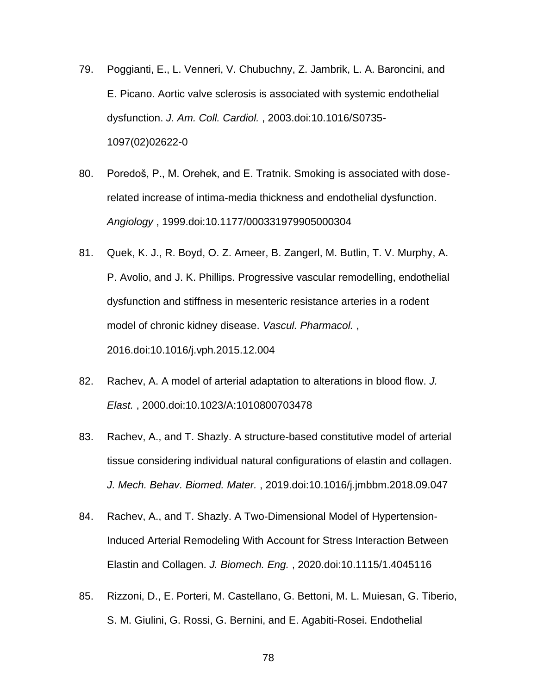- 79. Poggianti, E., L. Venneri, V. Chubuchny, Z. Jambrik, L. A. Baroncini, and E. Picano. Aortic valve sclerosis is associated with systemic endothelial dysfunction. *J. Am. Coll. Cardiol.* , 2003.doi:10.1016/S0735- 1097(02)02622-0
- 80. Poredoš, P., M. Orehek, and E. Tratnik. Smoking is associated with doserelated increase of intima-media thickness and endothelial dysfunction. *Angiology* , 1999.doi:10.1177/000331979905000304
- 81. Quek, K. J., R. Boyd, O. Z. Ameer, B. Zangerl, M. Butlin, T. V. Murphy, A. P. Avolio, and J. K. Phillips. Progressive vascular remodelling, endothelial dysfunction and stiffness in mesenteric resistance arteries in a rodent model of chronic kidney disease. *Vascul. Pharmacol.* , 2016.doi:10.1016/j.vph.2015.12.004
- 82. Rachev, A. A model of arterial adaptation to alterations in blood flow. *J. Elast.* , 2000.doi:10.1023/A:1010800703478
- 83. Rachev, A., and T. Shazly. A structure-based constitutive model of arterial tissue considering individual natural configurations of elastin and collagen. *J. Mech. Behav. Biomed. Mater.* , 2019.doi:10.1016/j.jmbbm.2018.09.047
- 84. Rachev, A., and T. Shazly. A Two-Dimensional Model of Hypertension-Induced Arterial Remodeling With Account for Stress Interaction Between Elastin and Collagen. *J. Biomech. Eng.* , 2020.doi:10.1115/1.4045116
- 85. Rizzoni, D., E. Porteri, M. Castellano, G. Bettoni, M. L. Muiesan, G. Tiberio, S. M. Giulini, G. Rossi, G. Bernini, and E. Agabiti-Rosei. Endothelial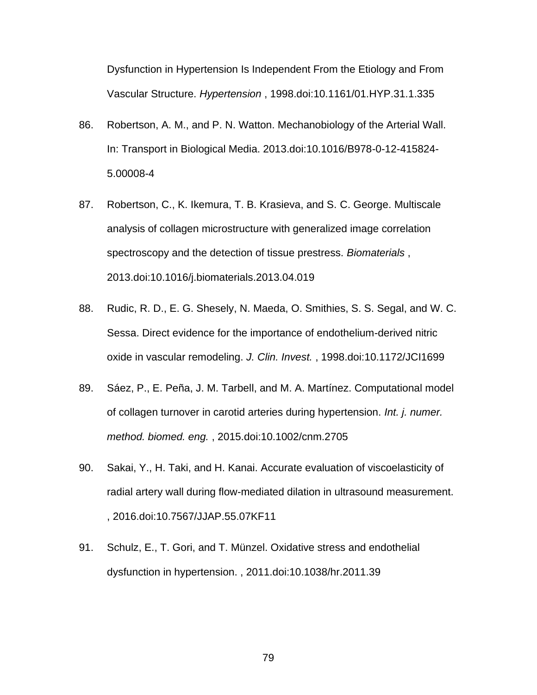Dysfunction in Hypertension Is Independent From the Etiology and From Vascular Structure. *Hypertension* , 1998.doi:10.1161/01.HYP.31.1.335

- 86. Robertson, A. M., and P. N. Watton. Mechanobiology of the Arterial Wall. In: Transport in Biological Media. 2013.doi:10.1016/B978-0-12-415824- 5.00008-4
- 87. Robertson, C., K. Ikemura, T. B. Krasieva, and S. C. George. Multiscale analysis of collagen microstructure with generalized image correlation spectroscopy and the detection of tissue prestress. *Biomaterials* , 2013.doi:10.1016/j.biomaterials.2013.04.019
- 88. Rudic, R. D., E. G. Shesely, N. Maeda, O. Smithies, S. S. Segal, and W. C. Sessa. Direct evidence for the importance of endothelium-derived nitric oxide in vascular remodeling. *J. Clin. Invest.* , 1998.doi:10.1172/JCI1699
- 89. Sáez, P., E. Peña, J. M. Tarbell, and M. A. Martínez. Computational model of collagen turnover in carotid arteries during hypertension. *Int. j. numer. method. biomed. eng.* , 2015.doi:10.1002/cnm.2705
- 90. Sakai, Y., H. Taki, and H. Kanai. Accurate evaluation of viscoelasticity of radial artery wall during flow-mediated dilation in ultrasound measurement. , 2016.doi:10.7567/JJAP.55.07KF11
- 91. Schulz, E., T. Gori, and T. Münzel. Oxidative stress and endothelial dysfunction in hypertension. , 2011.doi:10.1038/hr.2011.39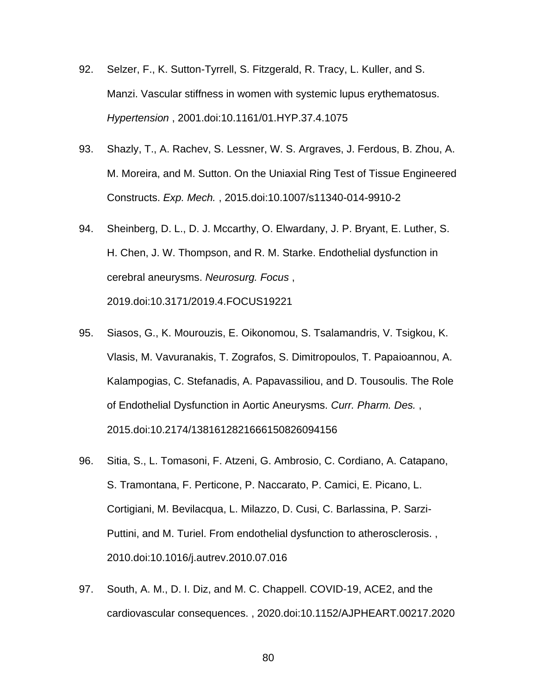- 92. Selzer, F., K. Sutton-Tyrrell, S. Fitzgerald, R. Tracy, L. Kuller, and S. Manzi. Vascular stiffness in women with systemic lupus erythematosus. *Hypertension* , 2001.doi:10.1161/01.HYP.37.4.1075
- 93. Shazly, T., A. Rachev, S. Lessner, W. S. Argraves, J. Ferdous, B. Zhou, A. M. Moreira, and M. Sutton. On the Uniaxial Ring Test of Tissue Engineered Constructs. *Exp. Mech.* , 2015.doi:10.1007/s11340-014-9910-2
- 94. Sheinberg, D. L., D. J. Mccarthy, O. Elwardany, J. P. Bryant, E. Luther, S. H. Chen, J. W. Thompson, and R. M. Starke. Endothelial dysfunction in cerebral aneurysms. *Neurosurg. Focus* , 2019.doi:10.3171/2019.4.FOCUS19221
- 95. Siasos, G., K. Mourouzis, E. Oikonomou, S. Tsalamandris, V. Tsigkou, K. Vlasis, M. Vavuranakis, T. Zografos, S. Dimitropoulos, T. Papaioannou, A. Kalampogias, C. Stefanadis, A. Papavassiliou, and D. Tousoulis. The Role of Endothelial Dysfunction in Aortic Aneurysms. *Curr. Pharm. Des.* , 2015.doi:10.2174/1381612821666150826094156
- 96. Sitia, S., L. Tomasoni, F. Atzeni, G. Ambrosio, C. Cordiano, A. Catapano, S. Tramontana, F. Perticone, P. Naccarato, P. Camici, E. Picano, L. Cortigiani, M. Bevilacqua, L. Milazzo, D. Cusi, C. Barlassina, P. Sarzi-Puttini, and M. Turiel. From endothelial dysfunction to atherosclerosis. , 2010.doi:10.1016/j.autrev.2010.07.016
- 97. South, A. M., D. I. Diz, and M. C. Chappell. COVID-19, ACE2, and the cardiovascular consequences. , 2020.doi:10.1152/AJPHEART.00217.2020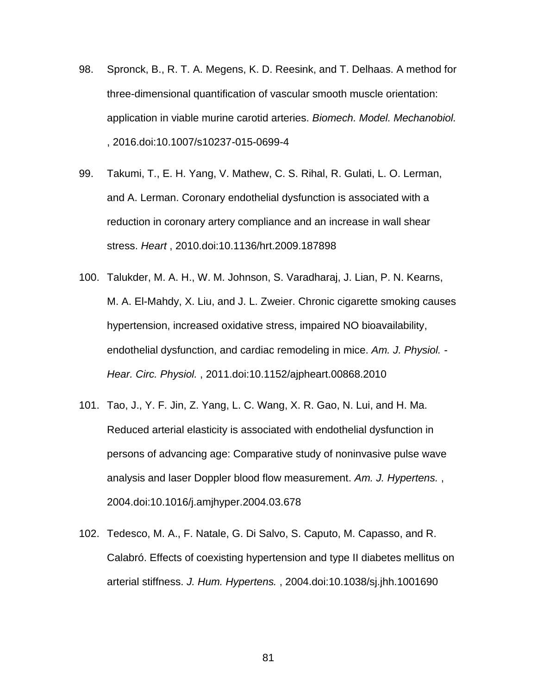- 98. Spronck, B., R. T. A. Megens, K. D. Reesink, and T. Delhaas. A method for three-dimensional quantification of vascular smooth muscle orientation: application in viable murine carotid arteries. *Biomech. Model. Mechanobiol.* , 2016.doi:10.1007/s10237-015-0699-4
- 99. Takumi, T., E. H. Yang, V. Mathew, C. S. Rihal, R. Gulati, L. O. Lerman, and A. Lerman. Coronary endothelial dysfunction is associated with a reduction in coronary artery compliance and an increase in wall shear stress. *Heart* , 2010.doi:10.1136/hrt.2009.187898
- 100. Talukder, M. A. H., W. M. Johnson, S. Varadharaj, J. Lian, P. N. Kearns, M. A. El-Mahdy, X. Liu, and J. L. Zweier. Chronic cigarette smoking causes hypertension, increased oxidative stress, impaired NO bioavailability, endothelial dysfunction, and cardiac remodeling in mice. *Am. J. Physiol. - Hear. Circ. Physiol.* , 2011.doi:10.1152/ajpheart.00868.2010
- 101. Tao, J., Y. F. Jin, Z. Yang, L. C. Wang, X. R. Gao, N. Lui, and H. Ma. Reduced arterial elasticity is associated with endothelial dysfunction in persons of advancing age: Comparative study of noninvasive pulse wave analysis and laser Doppler blood flow measurement. *Am. J. Hypertens.* , 2004.doi:10.1016/j.amjhyper.2004.03.678
- 102. Tedesco, M. A., F. Natale, G. Di Salvo, S. Caputo, M. Capasso, and R. Calabró. Effects of coexisting hypertension and type II diabetes mellitus on arterial stiffness. *J. Hum. Hypertens.* , 2004.doi:10.1038/sj.jhh.1001690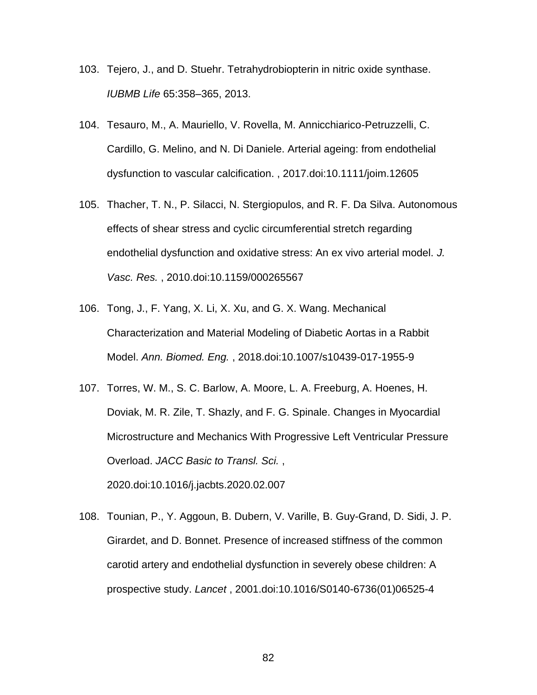- 103. Tejero, J., and D. Stuehr. Tetrahydrobiopterin in nitric oxide synthase. *IUBMB Life* 65:358–365, 2013.
- 104. Tesauro, M., A. Mauriello, V. Rovella, M. Annicchiarico-Petruzzelli, C. Cardillo, G. Melino, and N. Di Daniele. Arterial ageing: from endothelial dysfunction to vascular calcification. , 2017.doi:10.1111/joim.12605
- 105. Thacher, T. N., P. Silacci, N. Stergiopulos, and R. F. Da Silva. Autonomous effects of shear stress and cyclic circumferential stretch regarding endothelial dysfunction and oxidative stress: An ex vivo arterial model. *J. Vasc. Res.* , 2010.doi:10.1159/000265567
- 106. Tong, J., F. Yang, X. Li, X. Xu, and G. X. Wang. Mechanical Characterization and Material Modeling of Diabetic Aortas in a Rabbit Model. *Ann. Biomed. Eng.* , 2018.doi:10.1007/s10439-017-1955-9
- 107. Torres, W. M., S. C. Barlow, A. Moore, L. A. Freeburg, A. Hoenes, H. Doviak, M. R. Zile, T. Shazly, and F. G. Spinale. Changes in Myocardial Microstructure and Mechanics With Progressive Left Ventricular Pressure Overload. *JACC Basic to Transl. Sci.* , 2020.doi:10.1016/j.jacbts.2020.02.007
- 108. Tounian, P., Y. Aggoun, B. Dubern, V. Varille, B. Guy-Grand, D. Sidi, J. P. Girardet, and D. Bonnet. Presence of increased stiffness of the common carotid artery and endothelial dysfunction in severely obese children: A prospective study. *Lancet* , 2001.doi:10.1016/S0140-6736(01)06525-4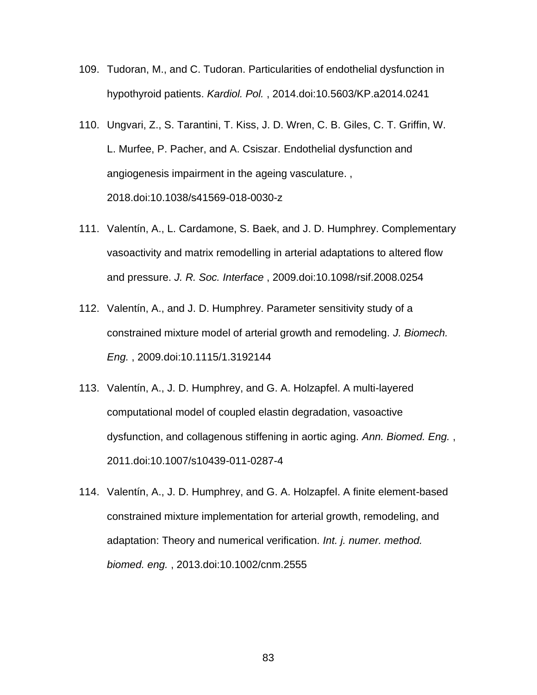- 109. Tudoran, M., and C. Tudoran. Particularities of endothelial dysfunction in hypothyroid patients. *Kardiol. Pol.* , 2014.doi:10.5603/KP.a2014.0241
- 110. Ungvari, Z., S. Tarantini, T. Kiss, J. D. Wren, C. B. Giles, C. T. Griffin, W. L. Murfee, P. Pacher, and A. Csiszar. Endothelial dysfunction and angiogenesis impairment in the ageing vasculature. , 2018.doi:10.1038/s41569-018-0030-z
- 111. Valentín, A., L. Cardamone, S. Baek, and J. D. Humphrey. Complementary vasoactivity and matrix remodelling in arterial adaptations to altered flow and pressure. *J. R. Soc. Interface* , 2009.doi:10.1098/rsif.2008.0254
- 112. Valentín, A., and J. D. Humphrey. Parameter sensitivity study of a constrained mixture model of arterial growth and remodeling. *J. Biomech. Eng.* , 2009.doi:10.1115/1.3192144
- 113. Valentín, A., J. D. Humphrey, and G. A. Holzapfel. A multi-layered computational model of coupled elastin degradation, vasoactive dysfunction, and collagenous stiffening in aortic aging. *Ann. Biomed. Eng.* , 2011.doi:10.1007/s10439-011-0287-4
- 114. Valentín, A., J. D. Humphrey, and G. A. Holzapfel. A finite element-based constrained mixture implementation for arterial growth, remodeling, and adaptation: Theory and numerical verification. *Int. j. numer. method. biomed. eng.* , 2013.doi:10.1002/cnm.2555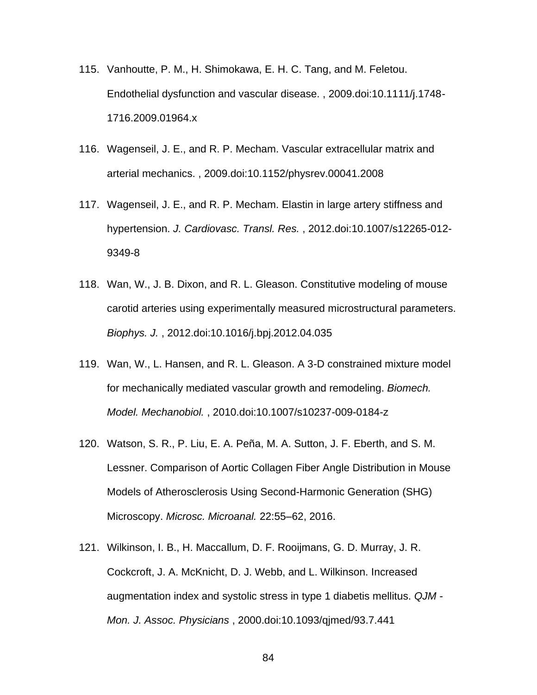- 115. Vanhoutte, P. M., H. Shimokawa, E. H. C. Tang, and M. Feletou. Endothelial dysfunction and vascular disease. , 2009.doi:10.1111/j.1748- 1716.2009.01964.x
- 116. Wagenseil, J. E., and R. P. Mecham. Vascular extracellular matrix and arterial mechanics. , 2009.doi:10.1152/physrev.00041.2008
- 117. Wagenseil, J. E., and R. P. Mecham. Elastin in large artery stiffness and hypertension. *J. Cardiovasc. Transl. Res.* , 2012.doi:10.1007/s12265-012- 9349-8
- 118. Wan, W., J. B. Dixon, and R. L. Gleason. Constitutive modeling of mouse carotid arteries using experimentally measured microstructural parameters. *Biophys. J.* , 2012.doi:10.1016/j.bpj.2012.04.035
- 119. Wan, W., L. Hansen, and R. L. Gleason. A 3-D constrained mixture model for mechanically mediated vascular growth and remodeling. *Biomech. Model. Mechanobiol.* , 2010.doi:10.1007/s10237-009-0184-z
- 120. Watson, S. R., P. Liu, E. A. Peña, M. A. Sutton, J. F. Eberth, and S. M. Lessner. Comparison of Aortic Collagen Fiber Angle Distribution in Mouse Models of Atherosclerosis Using Second-Harmonic Generation (SHG) Microscopy. *Microsc. Microanal.* 22:55–62, 2016.
- 121. Wilkinson, I. B., H. Maccallum, D. F. Rooijmans, G. D. Murray, J. R. Cockcroft, J. A. McKnicht, D. J. Webb, and L. Wilkinson. Increased augmentation index and systolic stress in type 1 diabetis mellitus. *QJM - Mon. J. Assoc. Physicians* , 2000.doi:10.1093/qjmed/93.7.441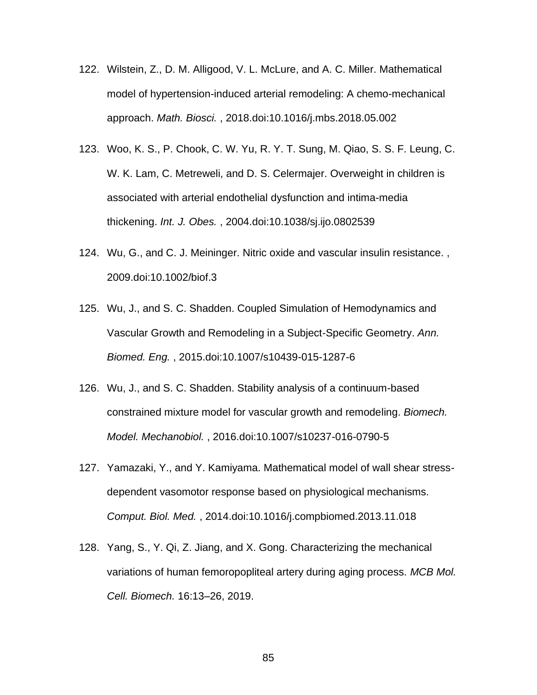- 122. Wilstein, Z., D. M. Alligood, V. L. McLure, and A. C. Miller. Mathematical model of hypertension-induced arterial remodeling: A chemo-mechanical approach. *Math. Biosci.* , 2018.doi:10.1016/j.mbs.2018.05.002
- 123. Woo, K. S., P. Chook, C. W. Yu, R. Y. T. Sung, M. Qiao, S. S. F. Leung, C. W. K. Lam, C. Metreweli, and D. S. Celermajer. Overweight in children is associated with arterial endothelial dysfunction and intima-media thickening. *Int. J. Obes.* , 2004.doi:10.1038/sj.ijo.0802539
- 124. Wu, G., and C. J. Meininger. Nitric oxide and vascular insulin resistance. , 2009.doi:10.1002/biof.3
- 125. Wu, J., and S. C. Shadden. Coupled Simulation of Hemodynamics and Vascular Growth and Remodeling in a Subject-Specific Geometry. *Ann. Biomed. Eng.* , 2015.doi:10.1007/s10439-015-1287-6
- 126. Wu, J., and S. C. Shadden. Stability analysis of a continuum-based constrained mixture model for vascular growth and remodeling. *Biomech. Model. Mechanobiol.* , 2016.doi:10.1007/s10237-016-0790-5
- 127. Yamazaki, Y., and Y. Kamiyama. Mathematical model of wall shear stressdependent vasomotor response based on physiological mechanisms. *Comput. Biol. Med.* , 2014.doi:10.1016/j.compbiomed.2013.11.018
- 128. Yang, S., Y. Qi, Z. Jiang, and X. Gong. Characterizing the mechanical variations of human femoropopliteal artery during aging process. *MCB Mol. Cell. Biomech.* 16:13–26, 2019.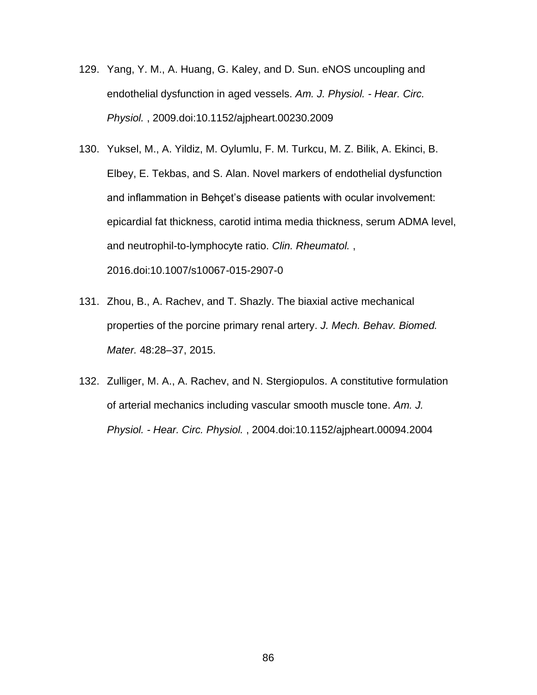- 129. Yang, Y. M., A. Huang, G. Kaley, and D. Sun. eNOS uncoupling and endothelial dysfunction in aged vessels. *Am. J. Physiol. - Hear. Circ. Physiol.* , 2009.doi:10.1152/ajpheart.00230.2009
- 130. Yuksel, M., A. Yildiz, M. Oylumlu, F. M. Turkcu, M. Z. Bilik, A. Ekinci, B. Elbey, E. Tekbas, and S. Alan. Novel markers of endothelial dysfunction and inflammation in Behçet's disease patients with ocular involvement: epicardial fat thickness, carotid intima media thickness, serum ADMA level, and neutrophil-to-lymphocyte ratio. *Clin. Rheumatol.* , 2016.doi:10.1007/s10067-015-2907-0
- 131. Zhou, B., A. Rachev, and T. Shazly. The biaxial active mechanical properties of the porcine primary renal artery. *J. Mech. Behav. Biomed. Mater.* 48:28–37, 2015.
- 132. Zulliger, M. A., A. Rachev, and N. Stergiopulos. A constitutive formulation of arterial mechanics including vascular smooth muscle tone. *Am. J. Physiol. - Hear. Circ. Physiol.* , 2004.doi:10.1152/ajpheart.00094.2004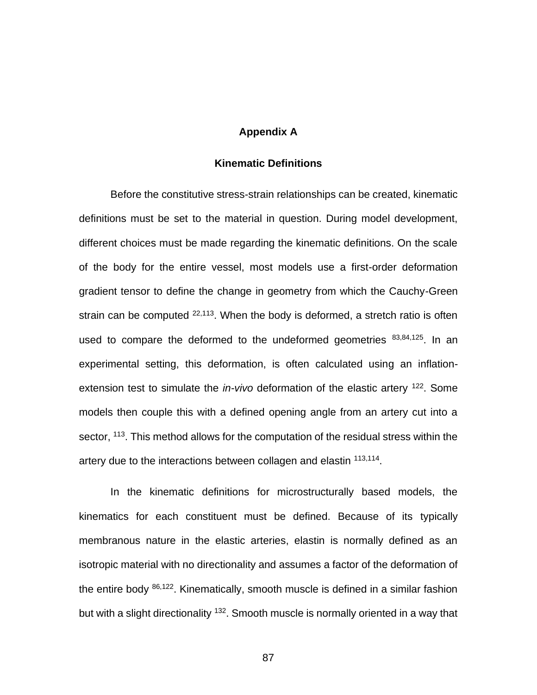## **Appendix A**

#### **Kinematic Definitions**

Before the constitutive stress-strain relationships can be created, kinematic definitions must be set to the material in question. During model development, different choices must be made regarding the kinematic definitions. On the scale of the body for the entire vessel, most models use a first-order deformation gradient tensor to define the change in geometry from which the Cauchy-Green strain can be computed  $22,113$ . When the body is deformed, a stretch ratio is often used to compare the deformed to the undeformed geometries  $83,84,125$ . In an experimental setting, this deformation, is often calculated using an inflationextension test to simulate the *in-vivo* deformation of the elastic artery <sup>122</sup>. Some models then couple this with a defined opening angle from an artery cut into a sector, <sup>113</sup>. This method allows for the computation of the residual stress within the artery due to the interactions between collagen and elastin 113,114.

In the kinematic definitions for microstructurally based models, the kinematics for each constituent must be defined. Because of its typically membranous nature in the elastic arteries, elastin is normally defined as an isotropic material with no directionality and assumes a factor of the deformation of the entire body 86,122. Kinematically, smooth muscle is defined in a similar fashion but with a slight directionality <sup>132</sup>. Smooth muscle is normally oriented in a way that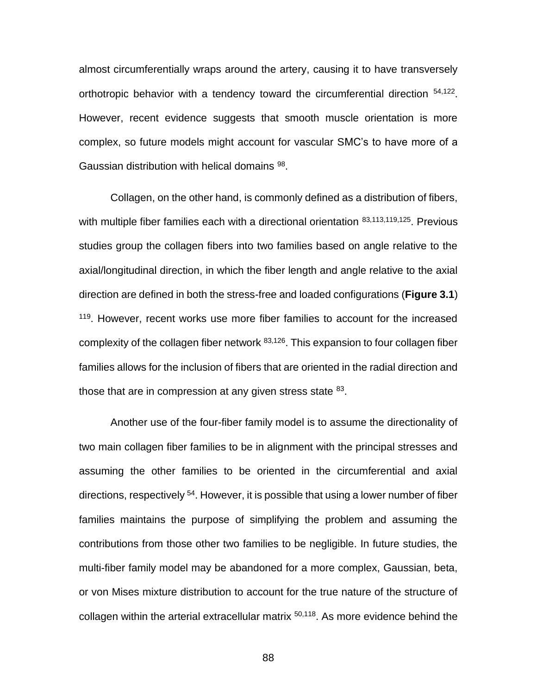almost circumferentially wraps around the artery, causing it to have transversely orthotropic behavior with a tendency toward the circumferential direction  $54,122$ . However, recent evidence suggests that smooth muscle orientation is more complex, so future models might account for vascular SMC's to have more of a Gaussian distribution with helical domains<sup>98</sup>.

Collagen, on the other hand, is commonly defined as a distribution of fibers, with multiple fiber families each with a directional orientation 83,113,119,125. Previous studies group the collagen fibers into two families based on angle relative to the axial/longitudinal direction, in which the fiber length and angle relative to the axial direction are defined in both the stress-free and loaded configurations (**Figure 3.1**) <sup>119</sup>. However, recent works use more fiber families to account for the increased complexity of the collagen fiber network  $83,126$ . This expansion to four collagen fiber families allows for the inclusion of fibers that are oriented in the radial direction and those that are in compression at any given stress state <sup>83</sup>.

Another use of the four-fiber family model is to assume the directionality of two main collagen fiber families to be in alignment with the principal stresses and assuming the other families to be oriented in the circumferential and axial directions, respectively <sup>54</sup>. However, it is possible that using a lower number of fiber families maintains the purpose of simplifying the problem and assuming the contributions from those other two families to be negligible. In future studies, the multi-fiber family model may be abandoned for a more complex, Gaussian, beta, or von Mises mixture distribution to account for the true nature of the structure of collagen within the arterial extracellular matrix <sup>50,118</sup>. As more evidence behind the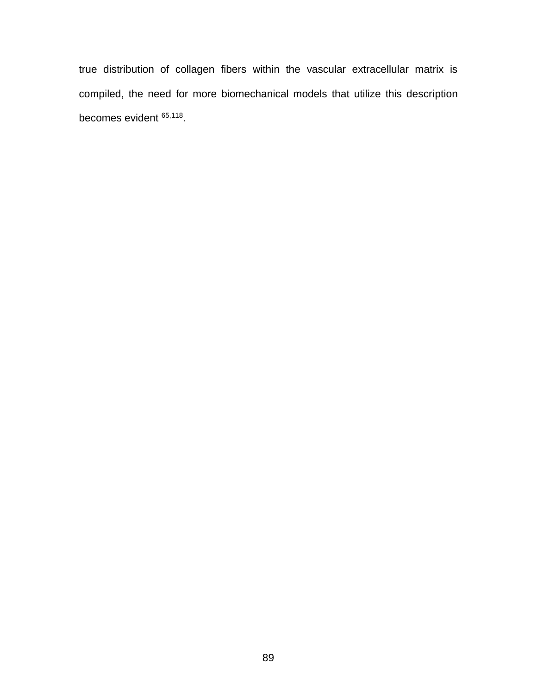true distribution of collagen fibers within the vascular extracellular matrix is compiled, the need for more biomechanical models that utilize this description becomes evident <sup>65,118</sup>.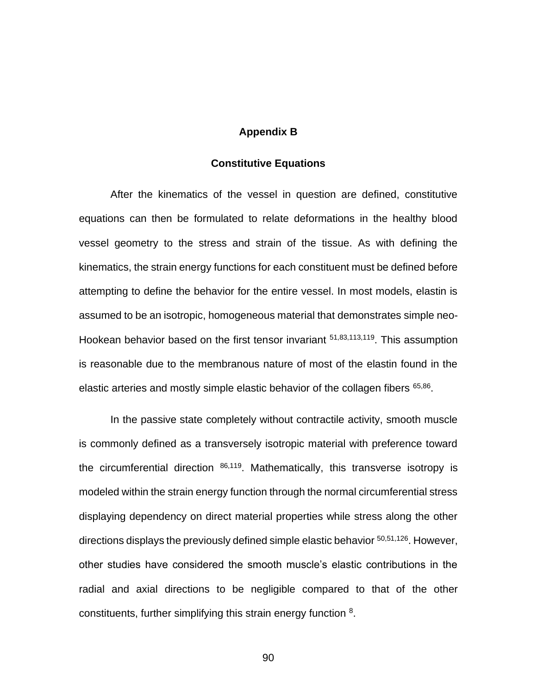## **Appendix B**

#### **Constitutive Equations**

After the kinematics of the vessel in question are defined, constitutive equations can then be formulated to relate deformations in the healthy blood vessel geometry to the stress and strain of the tissue. As with defining the kinematics, the strain energy functions for each constituent must be defined before attempting to define the behavior for the entire vessel. In most models, elastin is assumed to be an isotropic, homogeneous material that demonstrates simple neo-Hookean behavior based on the first tensor invariant <sup>51,83,113,119</sup>. This assumption is reasonable due to the membranous nature of most of the elastin found in the elastic arteries and mostly simple elastic behavior of the collagen fibers <sup>65,86</sup>.

In the passive state completely without contractile activity, smooth muscle is commonly defined as a transversely isotropic material with preference toward the circumferential direction  $86,119$ . Mathematically, this transverse isotropy is modeled within the strain energy function through the normal circumferential stress displaying dependency on direct material properties while stress along the other directions displays the previously defined simple elastic behavior  $50,51,126$ . However, other studies have considered the smooth muscle's elastic contributions in the radial and axial directions to be negligible compared to that of the other constituents, further simplifying this strain energy function <sup>8</sup>.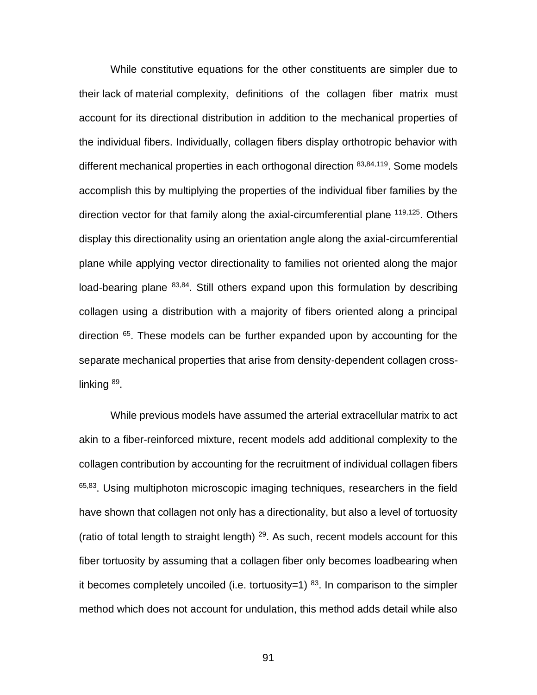While constitutive equations for the other constituents are simpler due to their lack of material complexity, definitions of the collagen fiber matrix must account for its directional distribution in addition to the mechanical properties of the individual fibers. Individually, collagen fibers display orthotropic behavior with different mechanical properties in each orthogonal direction <sup>83,84,119</sup>. Some models accomplish this by multiplying the properties of the individual fiber families by the direction vector for that family along the axial-circumferential plane <sup>119,125</sup>. Others display this directionality using an orientation angle along the axial-circumferential plane while applying vector directionality to families not oriented along the major load-bearing plane <sup>83,84</sup>. Still others expand upon this formulation by describing collagen using a distribution with a majority of fibers oriented along a principal direction <sup>65</sup>. These models can be further expanded upon by accounting for the separate mechanical properties that arise from density-dependent collagen crosslinking <sup>89</sup>.

While previous models have assumed the arterial extracellular matrix to act akin to a fiber-reinforced mixture, recent models add additional complexity to the collagen contribution by accounting for the recruitment of individual collagen fibers  $65,83$ . Using multiphoton microscopic imaging techniques, researchers in the field have shown that collagen not only has a directionality, but also a level of tortuosity (ratio of total length to straight length)  $29$ . As such, recent models account for this fiber tortuosity by assuming that a collagen fiber only becomes loadbearing when it becomes completely uncoiled (i.e. tortuosity=1)  $83$ . In comparison to the simpler method which does not account for undulation, this method adds detail while also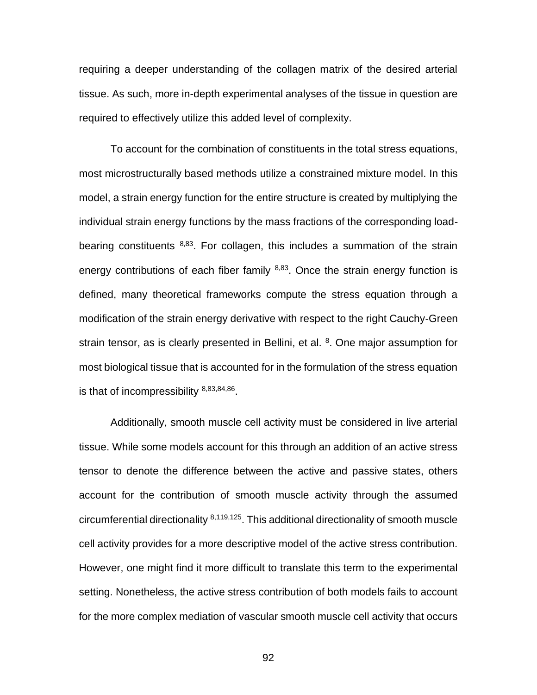requiring a deeper understanding of the collagen matrix of the desired arterial tissue. As such, more in-depth experimental analyses of the tissue in question are required to effectively utilize this added level of complexity.

To account for the combination of constituents in the total stress equations, most microstructurally based methods utilize a constrained mixture model. In this model, a strain energy function for the entire structure is created by multiplying the individual strain energy functions by the mass fractions of the corresponding loadbearing constituents  $8,83$ . For collagen, this includes a summation of the strain energy contributions of each fiber family  $8,83$ . Once the strain energy function is defined, many theoretical frameworks compute the stress equation through a modification of the strain energy derivative with respect to the right Cauchy-Green strain tensor, as is clearly presented in Bellini, et al. <sup>8</sup>. One major assumption for most biological tissue that is accounted for in the formulation of the stress equation is that of incompressibility 8,83,84,86.

Additionally, smooth muscle cell activity must be considered in live arterial tissue. While some models account for this through an addition of an active stress tensor to denote the difference between the active and passive states, others account for the contribution of smooth muscle activity through the assumed circumferential directionality 8,119,125. This additional directionality of smooth muscle cell activity provides for a more descriptive model of the active stress contribution. However, one might find it more difficult to translate this term to the experimental setting. Nonetheless, the active stress contribution of both models fails to account for the more complex mediation of vascular smooth muscle cell activity that occurs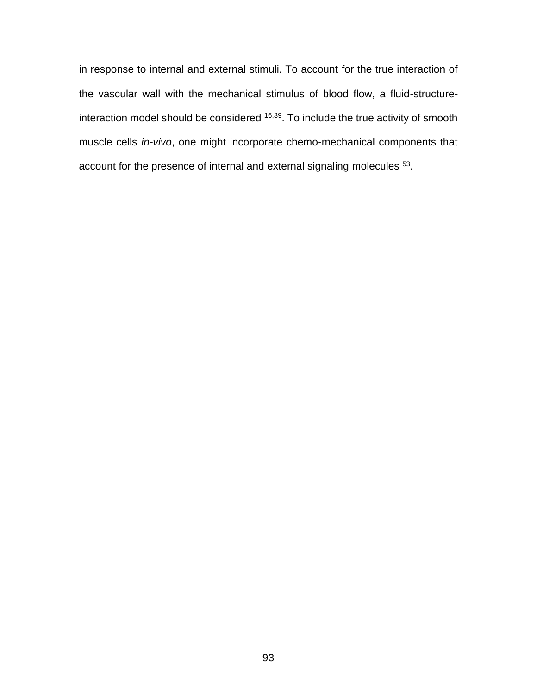in response to internal and external stimuli. To account for the true interaction of the vascular wall with the mechanical stimulus of blood flow, a fluid-structureinteraction model should be considered 16,39. To include the true activity of smooth muscle cells *in-vivo*, one might incorporate chemo-mechanical components that account for the presence of internal and external signaling molecules <sup>53</sup>.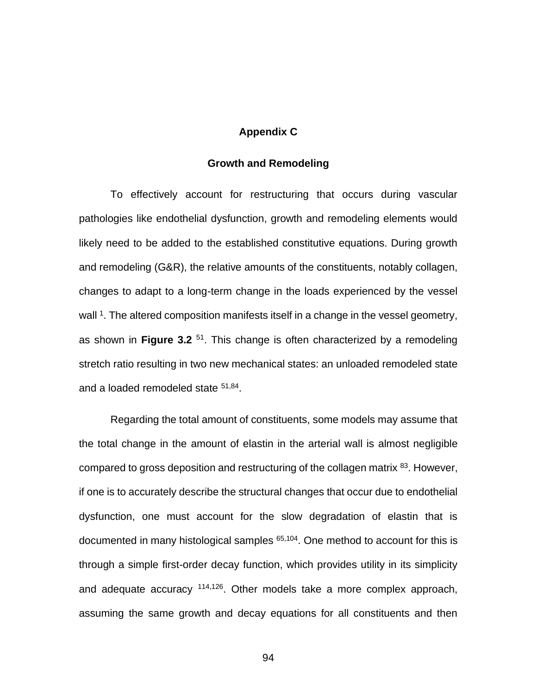### **Appendix C**

#### **Growth and Remodeling**

To effectively account for restructuring that occurs during vascular pathologies like endothelial dysfunction, growth and remodeling elements would likely need to be added to the established constitutive equations. During growth and remodeling (G&R), the relative amounts of the constituents, notably collagen, changes to adapt to a long-term change in the loads experienced by the vessel wall <sup>1</sup>. The altered composition manifests itself in a change in the vessel geometry, as shown in **Figure 3.2** <sup>51</sup>. This change is often characterized by a remodeling stretch ratio resulting in two new mechanical states: an unloaded remodeled state and a loaded remodeled state <sup>51,84</sup>.

Regarding the total amount of constituents, some models may assume that the total change in the amount of elastin in the arterial wall is almost negligible compared to gross deposition and restructuring of the collagen matrix <sup>83</sup>. However, if one is to accurately describe the structural changes that occur due to endothelial dysfunction, one must account for the slow degradation of elastin that is documented in many histological samples  $65,104$ . One method to account for this is through a simple first-order decay function, which provides utility in its simplicity and adequate accuracy  $114,126$ . Other models take a more complex approach, assuming the same growth and decay equations for all constituents and then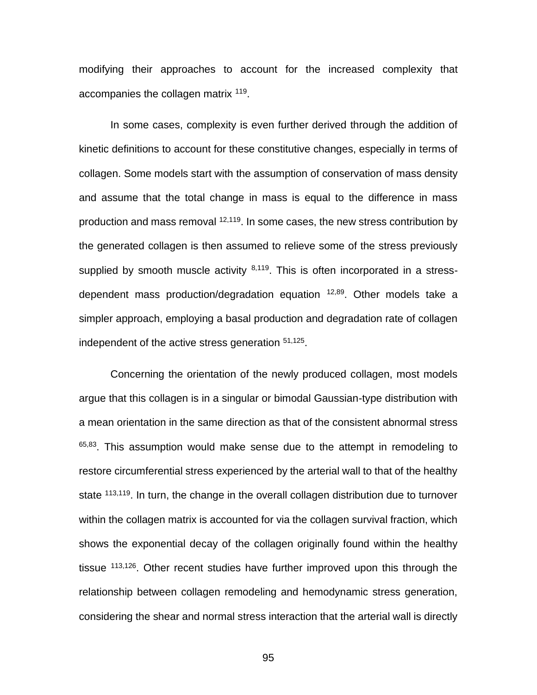modifying their approaches to account for the increased complexity that accompanies the collagen matrix <sup>119</sup>.

In some cases, complexity is even further derived through the addition of kinetic definitions to account for these constitutive changes, especially in terms of collagen. Some models start with the assumption of conservation of mass density and assume that the total change in mass is equal to the difference in mass production and mass removal 12,119. In some cases, the new stress contribution by the generated collagen is then assumed to relieve some of the stress previously supplied by smooth muscle activity  $8,119$ . This is often incorporated in a stressdependent mass production/degradation equation  $12,89$ . Other models take a simpler approach, employing a basal production and degradation rate of collagen independent of the active stress generation <sup>51,125</sup>.

Concerning the orientation of the newly produced collagen, most models argue that this collagen is in a singular or bimodal Gaussian-type distribution with a mean orientation in the same direction as that of the consistent abnormal stress <sup>65,83</sup>. This assumption would make sense due to the attempt in remodeling to restore circumferential stress experienced by the arterial wall to that of the healthy state <sup>113,119</sup>. In turn, the change in the overall collagen distribution due to turnover within the collagen matrix is accounted for via the collagen survival fraction, which shows the exponential decay of the collagen originally found within the healthy tissue  $113,126$ . Other recent studies have further improved upon this through the relationship between collagen remodeling and hemodynamic stress generation, considering the shear and normal stress interaction that the arterial wall is directly